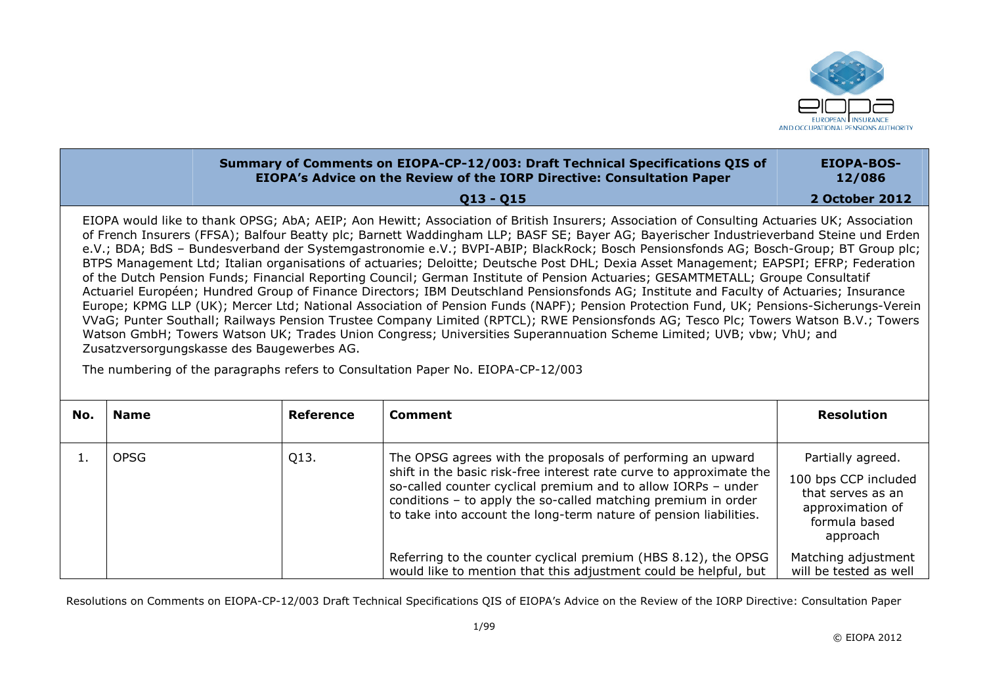

## **Summary of Comments on EIOPA-CP-12/003: Draft Technical Specifications QIS of EIOPA's Advice on the Review of the IORP Directive: Consultation Paper EIOPA-BOS-12/086**

**Q13 Q15** 

**2 October 2012** 

EIOPA would like to thank OPSG; AbA; AEIP; Aon Hewitt; Association of British Insurers; Association of Consulting Actuaries UK; Association of French Insurers (FFSA); Balfour Beatty plc; Barnett Waddingham LLP; BASF SE; Bayer AG; Bayerischer Industrieverband Steine und Erden e.V.; BDA; BdS – Bundesverband der Systemgastronomie e.V.; BVPI-ABIP; BlackRock; Bosch Pensionsfonds AG; Bosch-Group; BT Group plc; BTPS Management Ltd; Italian organisations of actuaries; Deloitte; Deutsche Post DHL; Dexia Asset Management; EAPSPI; EFRP; Federation of the Dutch Pension Funds; Financial Reporting Council; German Institute of Pension Actuaries; GESAMTMETALL; Groupe Consultatif Actuariel Européen; Hundred Group of Finance Directors; IBM Deutschland Pensionsfonds AG; Institute and Faculty of Actuaries; Insurance Europe; KPMG LLP (UK); Mercer Ltd; National Association of Pension Funds (NAPF); Pension Protection Fund, UK; Pensions-Sicherungs-Verein VVaG; Punter Southall; Railways Pension Trustee Company Limited (RPTCL); RWE Pensionsfonds AG; Tesco Plc; Towers Watson B.V.; Towers Watson GmbH; Towers Watson UK; Trades Union Congress; Universities Superannuation Scheme Limited; UVB; vbw; VhU; and Zusatzversorgungskasse des Baugewerbes AG.

The numbering of the paragraphs refers to Consultation Paper No. EIOPA-CP-12/003

| No. | <b>Name</b> | Reference | Comment                                                                                                                                                                                                                                                                                                                                  | <b>Resolution</b>                                                                                               |
|-----|-------------|-----------|------------------------------------------------------------------------------------------------------------------------------------------------------------------------------------------------------------------------------------------------------------------------------------------------------------------------------------------|-----------------------------------------------------------------------------------------------------------------|
|     | <b>OPSG</b> | Q13.      | The OPSG agrees with the proposals of performing an upward<br>shift in the basic risk-free interest rate curve to approximate the<br>so-called counter cyclical premium and to allow IORPs - under<br>conditions - to apply the so-called matching premium in order<br>to take into account the long-term nature of pension liabilities. | Partially agreed.<br>100 bps CCP included<br>that serves as an<br>approximation of<br>formula based<br>approach |
|     |             |           | Referring to the counter cyclical premium (HBS 8.12), the OPSG<br>would like to mention that this adjustment could be helpful, but                                                                                                                                                                                                       | Matching adjustment<br>will be tested as well                                                                   |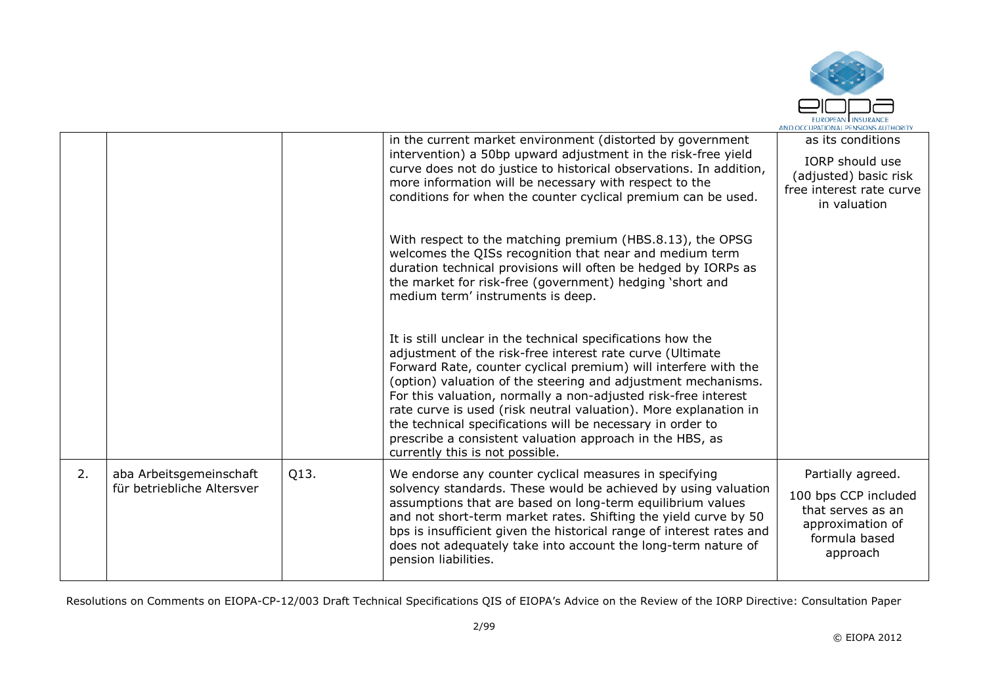

|    |                                                       |      | in the current market environment (distorted by government<br>intervention) a 50bp upward adjustment in the risk-free yield<br>curve does not do justice to historical observations. In addition,<br>more information will be necessary with respect to the<br>conditions for when the counter cyclical premium can be used.                                                                                                                                                                                                                                    | as its conditions<br>IORP should use<br>(adjusted) basic risk<br>free interest rate curve<br>in valuation       |
|----|-------------------------------------------------------|------|-----------------------------------------------------------------------------------------------------------------------------------------------------------------------------------------------------------------------------------------------------------------------------------------------------------------------------------------------------------------------------------------------------------------------------------------------------------------------------------------------------------------------------------------------------------------|-----------------------------------------------------------------------------------------------------------------|
|    |                                                       |      | With respect to the matching premium (HBS.8.13), the OPSG<br>welcomes the QISs recognition that near and medium term<br>duration technical provisions will often be hedged by IORPs as<br>the market for risk-free (government) hedging 'short and<br>medium term' instruments is deep.                                                                                                                                                                                                                                                                         |                                                                                                                 |
|    |                                                       |      | It is still unclear in the technical specifications how the<br>adjustment of the risk-free interest rate curve (Ultimate<br>Forward Rate, counter cyclical premium) will interfere with the<br>(option) valuation of the steering and adjustment mechanisms.<br>For this valuation, normally a non-adjusted risk-free interest<br>rate curve is used (risk neutral valuation). More explanation in<br>the technical specifications will be necessary in order to<br>prescribe a consistent valuation approach in the HBS, as<br>currently this is not possible. |                                                                                                                 |
| 2. | aba Arbeitsgemeinschaft<br>für betriebliche Altersver | Q13. | We endorse any counter cyclical measures in specifying<br>solvency standards. These would be achieved by using valuation<br>assumptions that are based on long-term equilibrium values<br>and not short-term market rates. Shifting the yield curve by 50<br>bps is insufficient given the historical range of interest rates and<br>does not adequately take into account the long-term nature of<br>pension liabilities.                                                                                                                                      | Partially agreed.<br>100 bps CCP included<br>that serves as an<br>approximation of<br>formula based<br>approach |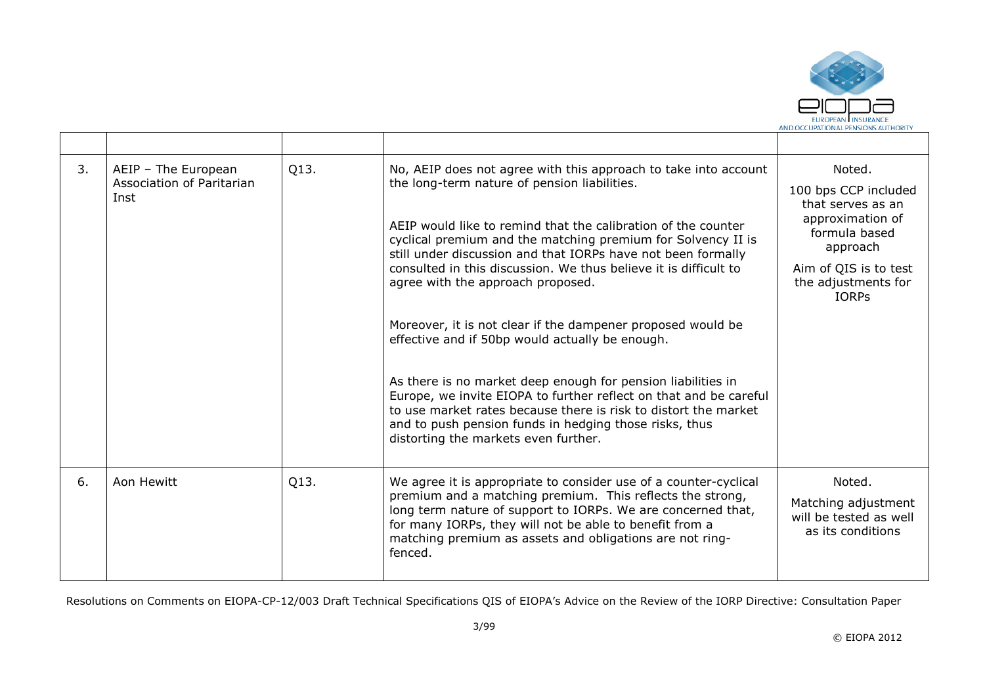

| 3. | AEIP - The European<br>Association of Paritarian<br>Inst | Q13. | No, AEIP does not agree with this approach to take into account<br>the long-term nature of pension liabilities.<br>AEIP would like to remind that the calibration of the counter<br>cyclical premium and the matching premium for Solvency II is<br>still under discussion and that IORPs have not been formally<br>consulted in this discussion. We thus believe it is difficult to<br>agree with the approach proposed.<br>Moreover, it is not clear if the dampener proposed would be<br>effective and if 50bp would actually be enough.<br>As there is no market deep enough for pension liabilities in<br>Europe, we invite EIOPA to further reflect on that and be careful<br>to use market rates because there is risk to distort the market<br>and to push pension funds in hedging those risks, thus | Noted.<br>100 bps CCP included<br>that serves as an<br>approximation of<br>formula based<br>approach<br>Aim of QIS is to test<br>the adjustments for<br><b>IORPS</b> |
|----|----------------------------------------------------------|------|---------------------------------------------------------------------------------------------------------------------------------------------------------------------------------------------------------------------------------------------------------------------------------------------------------------------------------------------------------------------------------------------------------------------------------------------------------------------------------------------------------------------------------------------------------------------------------------------------------------------------------------------------------------------------------------------------------------------------------------------------------------------------------------------------------------|----------------------------------------------------------------------------------------------------------------------------------------------------------------------|
| 6. | Aon Hewitt                                               | Q13. | distorting the markets even further.<br>We agree it is appropriate to consider use of a counter-cyclical<br>premium and a matching premium. This reflects the strong,                                                                                                                                                                                                                                                                                                                                                                                                                                                                                                                                                                                                                                         | Noted.<br>Matching adjustment                                                                                                                                        |
|    |                                                          |      | long term nature of support to IORPs. We are concerned that,<br>for many IORPs, they will not be able to benefit from a<br>matching premium as assets and obligations are not ring-<br>fenced.                                                                                                                                                                                                                                                                                                                                                                                                                                                                                                                                                                                                                | will be tested as well<br>as its conditions                                                                                                                          |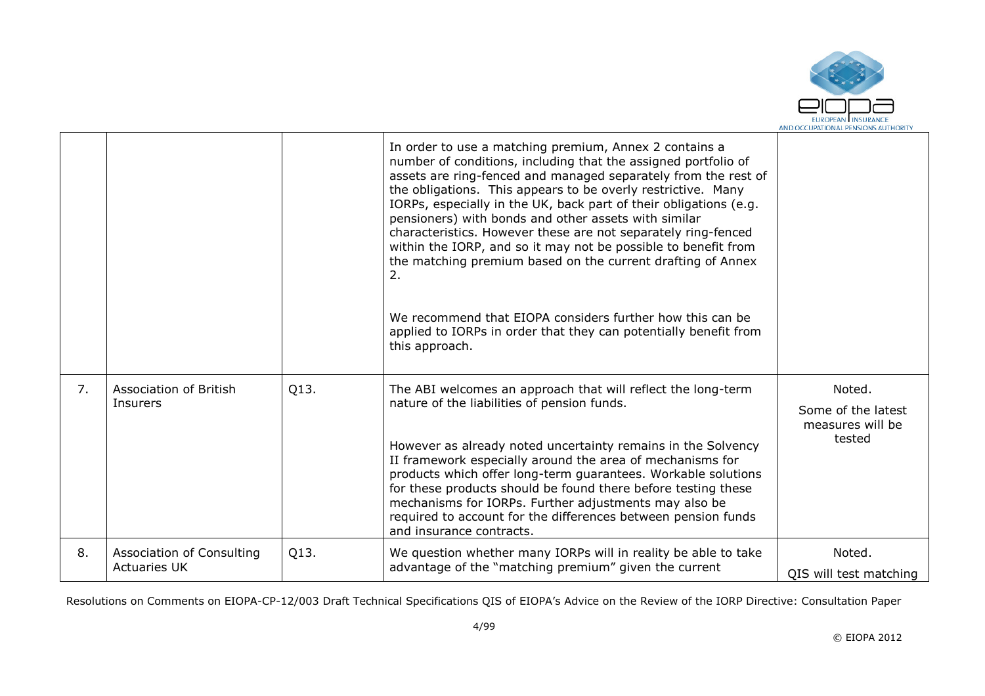

|    |                                                  |      | In order to use a matching premium, Annex 2 contains a<br>number of conditions, including that the assigned portfolio of<br>assets are ring-fenced and managed separately from the rest of<br>the obligations. This appears to be overly restrictive. Many<br>IORPs, especially in the UK, back part of their obligations (e.g.<br>pensioners) with bonds and other assets with similar<br>characteristics. However these are not separately ring-fenced<br>within the IORP, and so it may not be possible to benefit from<br>the matching premium based on the current drafting of Annex<br>2.<br>We recommend that EIOPA considers further how this can be<br>applied to IORPs in order that they can potentially benefit from<br>this approach. |                                                            |
|----|--------------------------------------------------|------|----------------------------------------------------------------------------------------------------------------------------------------------------------------------------------------------------------------------------------------------------------------------------------------------------------------------------------------------------------------------------------------------------------------------------------------------------------------------------------------------------------------------------------------------------------------------------------------------------------------------------------------------------------------------------------------------------------------------------------------------------|------------------------------------------------------------|
| 7. | Association of British<br>Insurers               | Q13. | The ABI welcomes an approach that will reflect the long-term<br>nature of the liabilities of pension funds.<br>However as already noted uncertainty remains in the Solvency<br>II framework especially around the area of mechanisms for<br>products which offer long-term guarantees. Workable solutions<br>for these products should be found there before testing these<br>mechanisms for IORPs. Further adjustments may also be<br>required to account for the differences between pension funds<br>and insurance contracts.                                                                                                                                                                                                                   | Noted.<br>Some of the latest<br>measures will be<br>tested |
| 8. | Association of Consulting<br><b>Actuaries UK</b> | Q13. | We question whether many IORPs will in reality be able to take<br>advantage of the "matching premium" given the current                                                                                                                                                                                                                                                                                                                                                                                                                                                                                                                                                                                                                            | Noted.<br>OIS will test matching                           |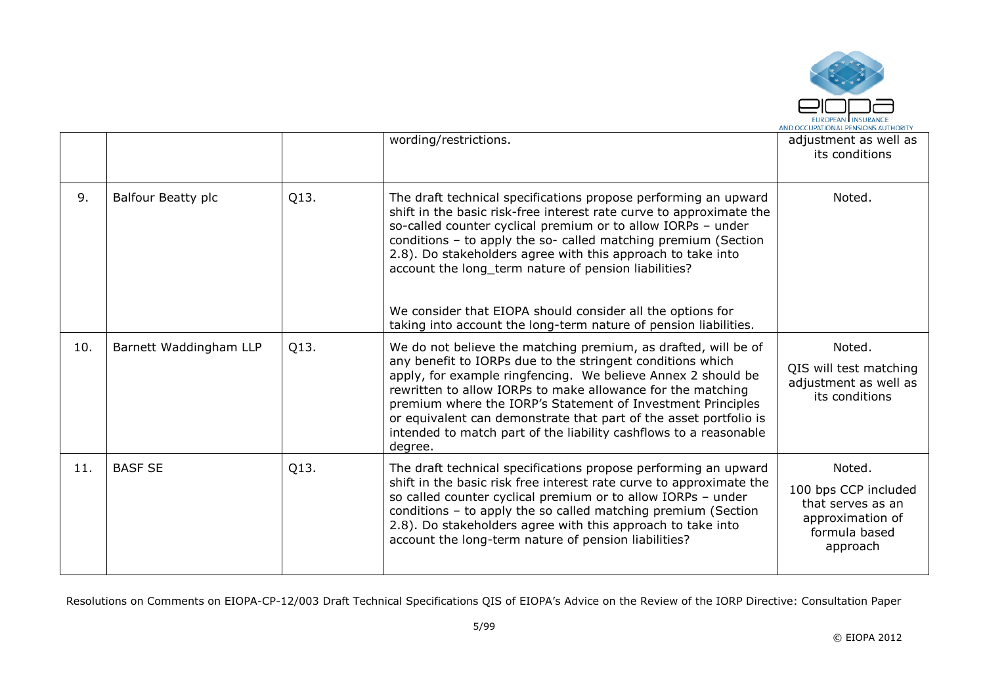

|     |                        |      | wording/restrictions.                                                                                                                                                                                                                                                                                                                                                                                                                                                                                                                               | adjustment as well as<br>its conditions                                                              |
|-----|------------------------|------|-----------------------------------------------------------------------------------------------------------------------------------------------------------------------------------------------------------------------------------------------------------------------------------------------------------------------------------------------------------------------------------------------------------------------------------------------------------------------------------------------------------------------------------------------------|------------------------------------------------------------------------------------------------------|
| 9.  | Balfour Beatty plc     | Q13. | The draft technical specifications propose performing an upward<br>shift in the basic risk-free interest rate curve to approximate the<br>so-called counter cyclical premium or to allow IORPs - under<br>conditions - to apply the so- called matching premium (Section<br>2.8). Do stakeholders agree with this approach to take into<br>account the long_term nature of pension liabilities?<br>We consider that EIOPA should consider all the options for                                                                                       | Noted.                                                                                               |
| 10. | Barnett Waddingham LLP | Q13. | taking into account the long-term nature of pension liabilities.<br>We do not believe the matching premium, as drafted, will be of<br>any benefit to IORPs due to the stringent conditions which<br>apply, for example ringfencing. We believe Annex 2 should be<br>rewritten to allow IORPs to make allowance for the matching<br>premium where the IORP's Statement of Investment Principles<br>or equivalent can demonstrate that part of the asset portfolio is<br>intended to match part of the liability cashflows to a reasonable<br>degree. | Noted.<br>QIS will test matching<br>adjustment as well as<br>its conditions                          |
| 11. | <b>BASF SE</b>         | Q13. | The draft technical specifications propose performing an upward<br>shift in the basic risk free interest rate curve to approximate the<br>so called counter cyclical premium or to allow IORPs - under<br>conditions - to apply the so called matching premium (Section<br>2.8). Do stakeholders agree with this approach to take into<br>account the long-term nature of pension liabilities?                                                                                                                                                      | Noted.<br>100 bps CCP included<br>that serves as an<br>approximation of<br>formula based<br>approach |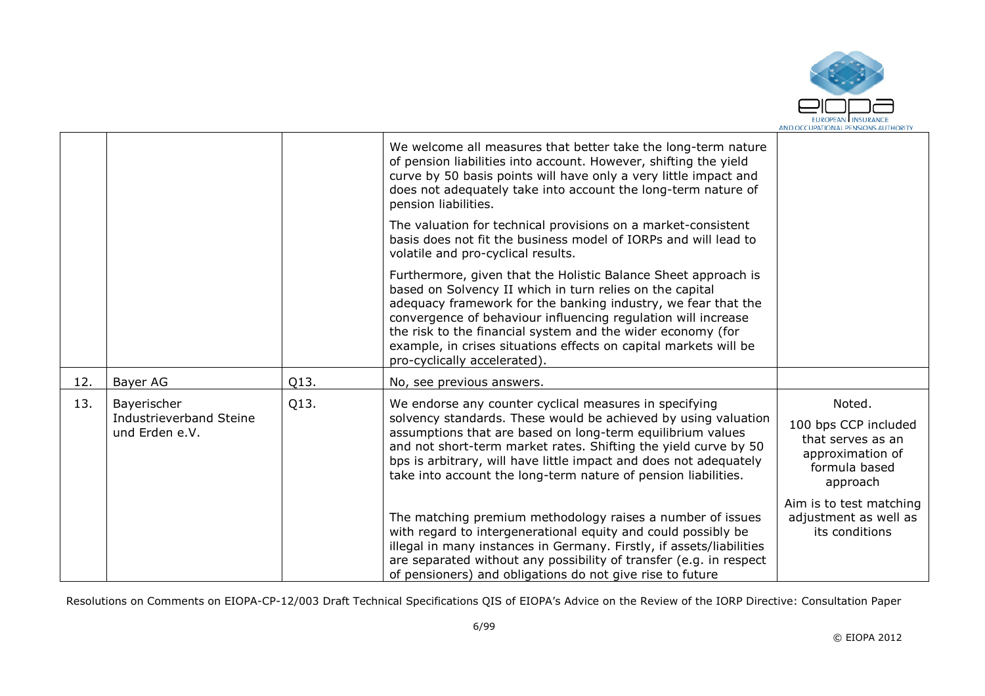

|     |                                                          |      | We welcome all measures that better take the long-term nature<br>of pension liabilities into account. However, shifting the yield<br>curve by 50 basis points will have only a very little impact and<br>does not adequately take into account the long-term nature of<br>pension liabilities.                                                                                                                                  |                                                                                                      |
|-----|----------------------------------------------------------|------|---------------------------------------------------------------------------------------------------------------------------------------------------------------------------------------------------------------------------------------------------------------------------------------------------------------------------------------------------------------------------------------------------------------------------------|------------------------------------------------------------------------------------------------------|
|     |                                                          |      | The valuation for technical provisions on a market-consistent<br>basis does not fit the business model of IORPs and will lead to<br>volatile and pro-cyclical results.                                                                                                                                                                                                                                                          |                                                                                                      |
|     |                                                          |      | Furthermore, given that the Holistic Balance Sheet approach is<br>based on Solvency II which in turn relies on the capital<br>adequacy framework for the banking industry, we fear that the<br>convergence of behaviour influencing regulation will increase<br>the risk to the financial system and the wider economy (for<br>example, in crises situations effects on capital markets will be<br>pro-cyclically accelerated). |                                                                                                      |
| 12. | Bayer AG                                                 | Q13. | No, see previous answers.                                                                                                                                                                                                                                                                                                                                                                                                       |                                                                                                      |
| 13. | Bayerischer<br>Industrieverband Steine<br>und Erden e.V. | Q13. | We endorse any counter cyclical measures in specifying<br>solvency standards. These would be achieved by using valuation<br>assumptions that are based on long-term equilibrium values<br>and not short-term market rates. Shifting the yield curve by 50<br>bps is arbitrary, will have little impact and does not adequately<br>take into account the long-term nature of pension liabilities.                                | Noted.<br>100 bps CCP included<br>that serves as an<br>approximation of<br>formula based<br>approach |
|     |                                                          |      | The matching premium methodology raises a number of issues<br>with regard to intergenerational equity and could possibly be<br>illegal in many instances in Germany. Firstly, if assets/liabilities<br>are separated without any possibility of transfer (e.g. in respect<br>of pensioners) and obligations do not give rise to future                                                                                          | Aim is to test matching<br>adjustment as well as<br>its conditions                                   |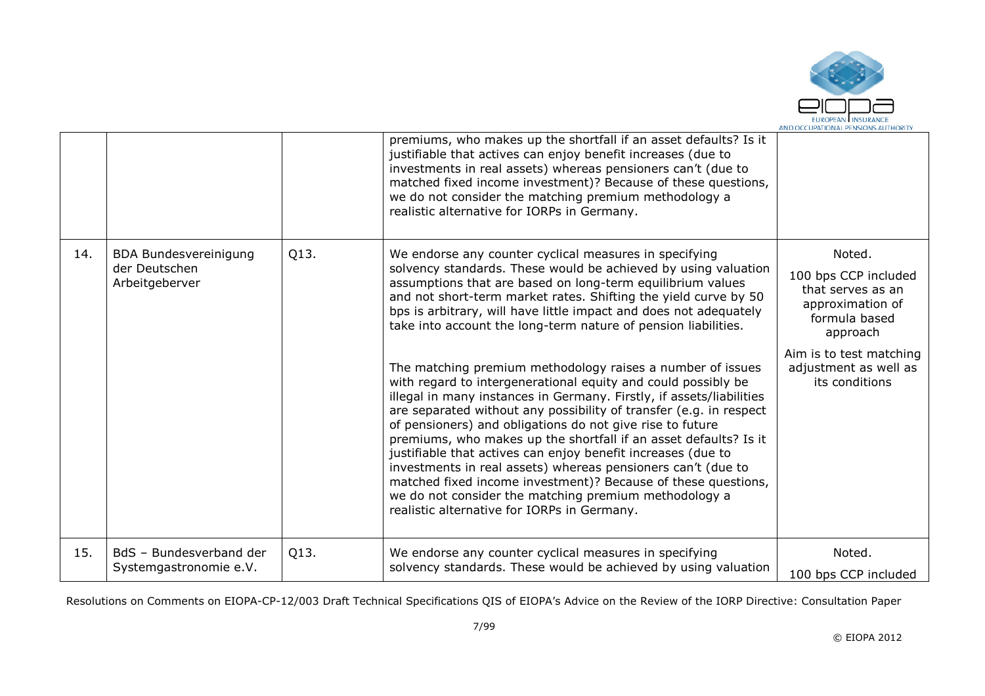

|     |                                                                 |      | premiums, who makes up the shortfall if an asset defaults? Is it<br>justifiable that actives can enjoy benefit increases (due to<br>investments in real assets) whereas pensioners can't (due to<br>matched fixed income investment)? Because of these questions,<br>we do not consider the matching premium methodology a<br>realistic alternative for IORPs in Germany.                                                                                                                                                                                                                                                                                                                                                                                                                                                                                                                                                                                                                                                                                                                                               |                                                                                                                                                                            |
|-----|-----------------------------------------------------------------|------|-------------------------------------------------------------------------------------------------------------------------------------------------------------------------------------------------------------------------------------------------------------------------------------------------------------------------------------------------------------------------------------------------------------------------------------------------------------------------------------------------------------------------------------------------------------------------------------------------------------------------------------------------------------------------------------------------------------------------------------------------------------------------------------------------------------------------------------------------------------------------------------------------------------------------------------------------------------------------------------------------------------------------------------------------------------------------------------------------------------------------|----------------------------------------------------------------------------------------------------------------------------------------------------------------------------|
| 14. | <b>BDA Bundesvereinigung</b><br>der Deutschen<br>Arbeitgeberver | Q13. | We endorse any counter cyclical measures in specifying<br>solvency standards. These would be achieved by using valuation<br>assumptions that are based on long-term equilibrium values<br>and not short-term market rates. Shifting the yield curve by 50<br>bps is arbitrary, will have little impact and does not adequately<br>take into account the long-term nature of pension liabilities.<br>The matching premium methodology raises a number of issues<br>with regard to intergenerational equity and could possibly be<br>illegal in many instances in Germany. Firstly, if assets/liabilities<br>are separated without any possibility of transfer (e.g. in respect<br>of pensioners) and obligations do not give rise to future<br>premiums, who makes up the shortfall if an asset defaults? Is it<br>justifiable that actives can enjoy benefit increases (due to<br>investments in real assets) whereas pensioners can't (due to<br>matched fixed income investment)? Because of these questions,<br>we do not consider the matching premium methodology a<br>realistic alternative for IORPs in Germany. | Noted.<br>100 bps CCP included<br>that serves as an<br>approximation of<br>formula based<br>approach<br>Aim is to test matching<br>adjustment as well as<br>its conditions |
| 15. | BdS - Bundesverband der<br>Systemgastronomie e.V.               | Q13. | We endorse any counter cyclical measures in specifying<br>solvency standards. These would be achieved by using valuation                                                                                                                                                                                                                                                                                                                                                                                                                                                                                                                                                                                                                                                                                                                                                                                                                                                                                                                                                                                                | Noted.<br>100 bps CCP included                                                                                                                                             |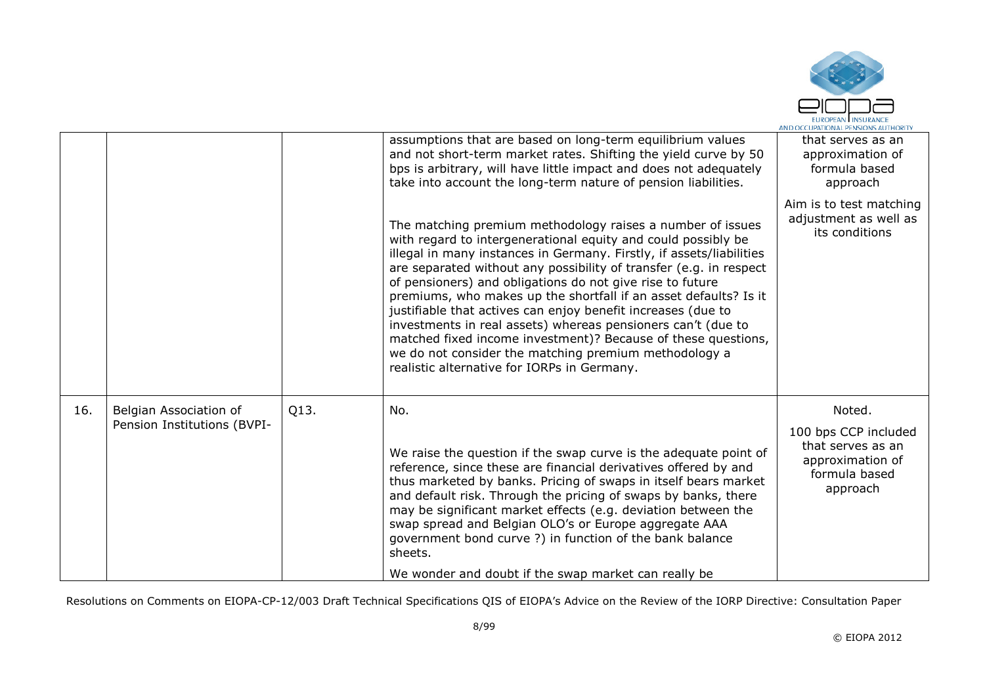

|     |                                                       |      | assumptions that are based on long-term equilibrium values<br>and not short-term market rates. Shifting the yield curve by 50<br>bps is arbitrary, will have little impact and does not adequately<br>take into account the long-term nature of pension liabilities.                                                                                                                                                                                                                                                                                                                                                                                                                                                | that serves as an<br>approximation of<br>formula based<br>approach                                   |
|-----|-------------------------------------------------------|------|---------------------------------------------------------------------------------------------------------------------------------------------------------------------------------------------------------------------------------------------------------------------------------------------------------------------------------------------------------------------------------------------------------------------------------------------------------------------------------------------------------------------------------------------------------------------------------------------------------------------------------------------------------------------------------------------------------------------|------------------------------------------------------------------------------------------------------|
|     |                                                       |      | The matching premium methodology raises a number of issues<br>with regard to intergenerational equity and could possibly be<br>illegal in many instances in Germany. Firstly, if assets/liabilities<br>are separated without any possibility of transfer (e.g. in respect<br>of pensioners) and obligations do not give rise to future<br>premiums, who makes up the shortfall if an asset defaults? Is it<br>justifiable that actives can enjoy benefit increases (due to<br>investments in real assets) whereas pensioners can't (due to<br>matched fixed income investment)? Because of these questions,<br>we do not consider the matching premium methodology a<br>realistic alternative for IORPs in Germany. | Aim is to test matching<br>adjustment as well as<br>its conditions                                   |
| 16. | Belgian Association of<br>Pension Institutions (BVPI- | Q13. | No.<br>We raise the question if the swap curve is the adequate point of<br>reference, since these are financial derivatives offered by and<br>thus marketed by banks. Pricing of swaps in itself bears market<br>and default risk. Through the pricing of swaps by banks, there<br>may be significant market effects (e.g. deviation between the<br>swap spread and Belgian OLO's or Europe aggregate AAA<br>government bond curve ?) in function of the bank balance<br>sheets.<br>We wonder and doubt if the swap market can really be                                                                                                                                                                            | Noted.<br>100 bps CCP included<br>that serves as an<br>approximation of<br>formula based<br>approach |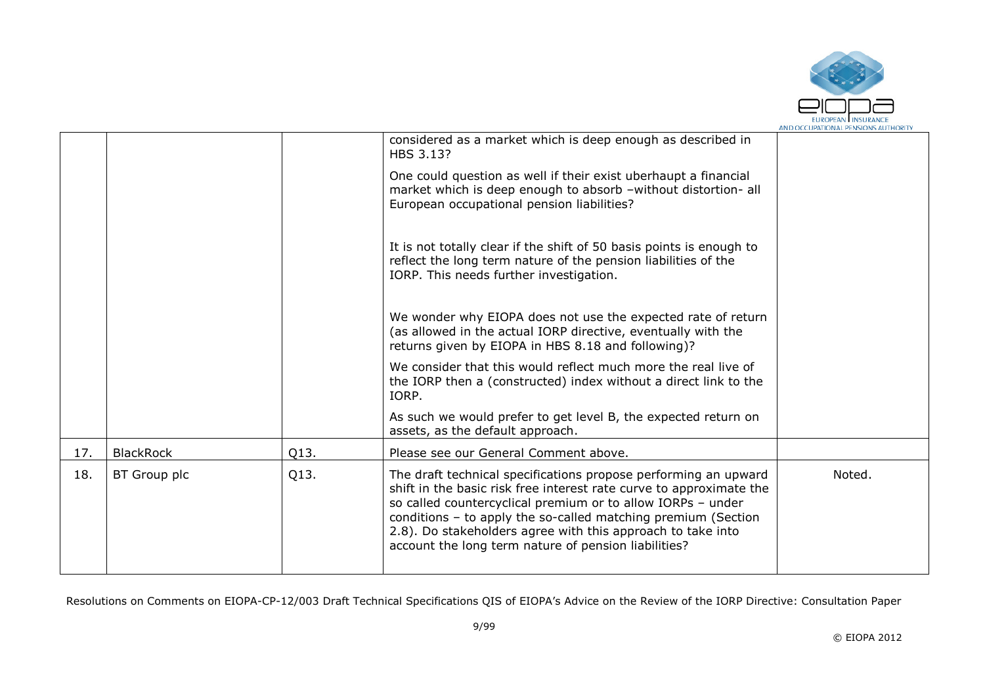

|                  |      | considered as a market which is deep enough as described in<br>HBS 3.13?                                                                                                                                                                                                                                                                                                                      |        |
|------------------|------|-----------------------------------------------------------------------------------------------------------------------------------------------------------------------------------------------------------------------------------------------------------------------------------------------------------------------------------------------------------------------------------------------|--------|
|                  |      | One could question as well if their exist uberhaupt a financial<br>market which is deep enough to absorb - without distortion- all<br>European occupational pension liabilities?                                                                                                                                                                                                              |        |
|                  |      | It is not totally clear if the shift of 50 basis points is enough to<br>reflect the long term nature of the pension liabilities of the<br>IORP. This needs further investigation.                                                                                                                                                                                                             |        |
|                  |      | We wonder why EIOPA does not use the expected rate of return<br>(as allowed in the actual IORP directive, eventually with the<br>returns given by EIOPA in HBS 8.18 and following)?                                                                                                                                                                                                           |        |
|                  |      | We consider that this would reflect much more the real live of<br>the IORP then a (constructed) index without a direct link to the<br>IORP.                                                                                                                                                                                                                                                   |        |
|                  |      | As such we would prefer to get level B, the expected return on<br>assets, as the default approach.                                                                                                                                                                                                                                                                                            |        |
| <b>BlackRock</b> | Q13. | Please see our General Comment above.                                                                                                                                                                                                                                                                                                                                                         |        |
| BT Group plc     | Q13. | The draft technical specifications propose performing an upward<br>shift in the basic risk free interest rate curve to approximate the<br>so called countercyclical premium or to allow IORPs - under<br>conditions - to apply the so-called matching premium (Section<br>2.8). Do stakeholders agree with this approach to take into<br>account the long term nature of pension liabilities? | Noted. |
|                  |      |                                                                                                                                                                                                                                                                                                                                                                                               |        |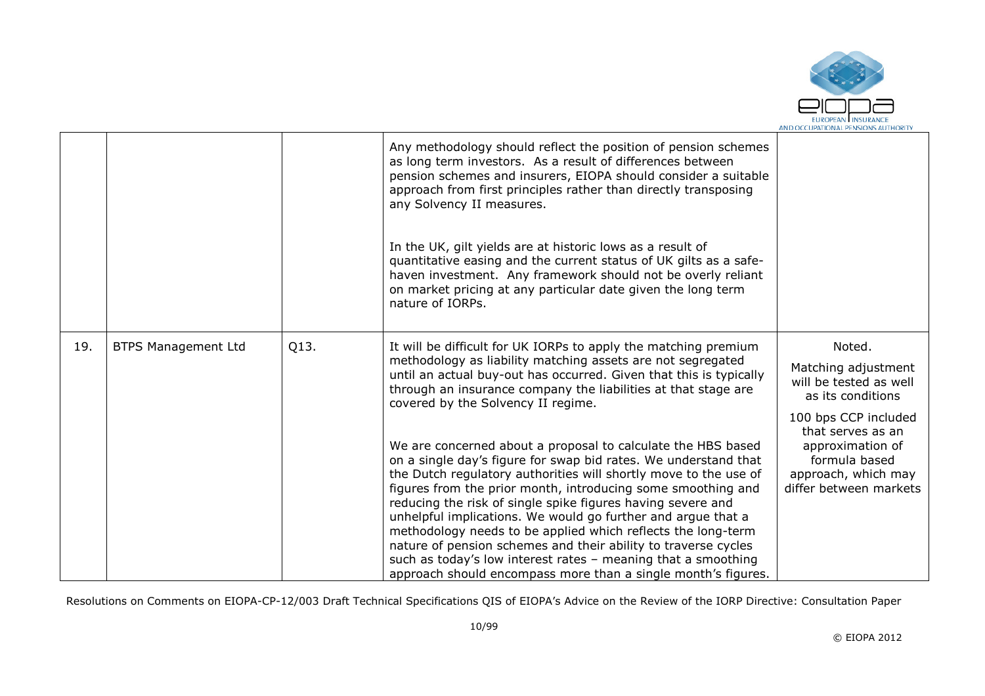

|     |                            |      | Any methodology should reflect the position of pension schemes<br>as long term investors. As a result of differences between<br>pension schemes and insurers, EIOPA should consider a suitable<br>approach from first principles rather than directly transposing<br>any Solvency II measures.<br>In the UK, gilt yields are at historic lows as a result of<br>quantitative easing and the current status of UK gilts as a safe-<br>haven investment. Any framework should not be overly reliant<br>on market pricing at any particular date given the long term<br>nature of IORPs.                                                                                                                                                                                                                                                                                                                                                                                                  |                                                                                                                                                                                                                 |
|-----|----------------------------|------|----------------------------------------------------------------------------------------------------------------------------------------------------------------------------------------------------------------------------------------------------------------------------------------------------------------------------------------------------------------------------------------------------------------------------------------------------------------------------------------------------------------------------------------------------------------------------------------------------------------------------------------------------------------------------------------------------------------------------------------------------------------------------------------------------------------------------------------------------------------------------------------------------------------------------------------------------------------------------------------|-----------------------------------------------------------------------------------------------------------------------------------------------------------------------------------------------------------------|
| 19. | <b>BTPS Management Ltd</b> | Q13. | It will be difficult for UK IORPs to apply the matching premium<br>methodology as liability matching assets are not segregated<br>until an actual buy-out has occurred. Given that this is typically<br>through an insurance company the liabilities at that stage are<br>covered by the Solvency II regime.<br>We are concerned about a proposal to calculate the HBS based<br>on a single day's figure for swap bid rates. We understand that<br>the Dutch regulatory authorities will shortly move to the use of<br>figures from the prior month, introducing some smoothing and<br>reducing the risk of single spike figures having severe and<br>unhelpful implications. We would go further and argue that a<br>methodology needs to be applied which reflects the long-term<br>nature of pension schemes and their ability to traverse cycles<br>such as today's low interest rates - meaning that a smoothing<br>approach should encompass more than a single month's figures. | Noted.<br>Matching adjustment<br>will be tested as well<br>as its conditions<br>100 bps CCP included<br>that serves as an<br>approximation of<br>formula based<br>approach, which may<br>differ between markets |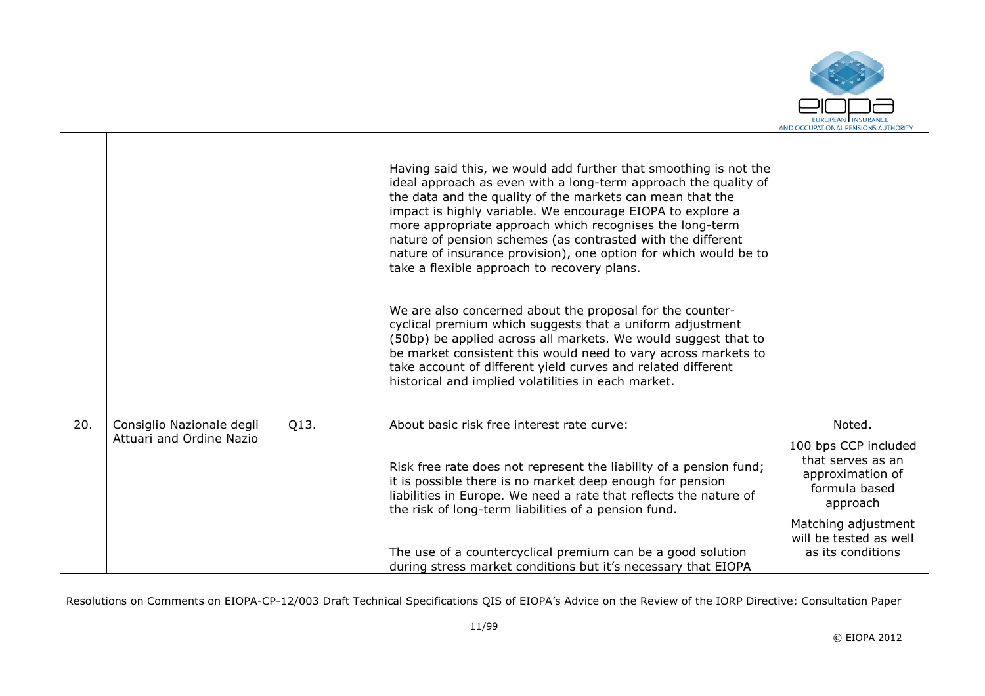

|     |                                                       |      | Having said this, we would add further that smoothing is not the<br>ideal approach as even with a long-term approach the quality of<br>the data and the quality of the markets can mean that the<br>impact is highly variable. We encourage EIOPA to explore a<br>more appropriate approach which recognises the long-term<br>nature of pension schemes (as contrasted with the different<br>nature of insurance provision), one option for which would be to<br>take a flexible approach to recovery plans.<br>We are also concerned about the proposal for the counter-<br>cyclical premium which suggests that a uniform adjustment<br>(50bp) be applied across all markets. We would suggest that to<br>be market consistent this would need to vary across markets to<br>take account of different yield curves and related different<br>historical and implied volatilities in each market. |                                                                    |
|-----|-------------------------------------------------------|------|---------------------------------------------------------------------------------------------------------------------------------------------------------------------------------------------------------------------------------------------------------------------------------------------------------------------------------------------------------------------------------------------------------------------------------------------------------------------------------------------------------------------------------------------------------------------------------------------------------------------------------------------------------------------------------------------------------------------------------------------------------------------------------------------------------------------------------------------------------------------------------------------------|--------------------------------------------------------------------|
| 20. | Consiglio Nazionale degli<br>Attuari and Ordine Nazio | Q13. | About basic risk free interest rate curve:                                                                                                                                                                                                                                                                                                                                                                                                                                                                                                                                                                                                                                                                                                                                                                                                                                                        | Noted.<br>100 bps CCP included<br>that serves as an                |
|     |                                                       |      | Risk free rate does not represent the liability of a pension fund;<br>it is possible there is no market deep enough for pension<br>liabilities in Europe. We need a rate that reflects the nature of<br>the risk of long-term liabilities of a pension fund.                                                                                                                                                                                                                                                                                                                                                                                                                                                                                                                                                                                                                                      | approximation of<br>formula based<br>approach                      |
|     |                                                       |      | The use of a countercyclical premium can be a good solution<br>during stress market conditions but it's necessary that EIOPA                                                                                                                                                                                                                                                                                                                                                                                                                                                                                                                                                                                                                                                                                                                                                                      | Matching adjustment<br>will be tested as well<br>as its conditions |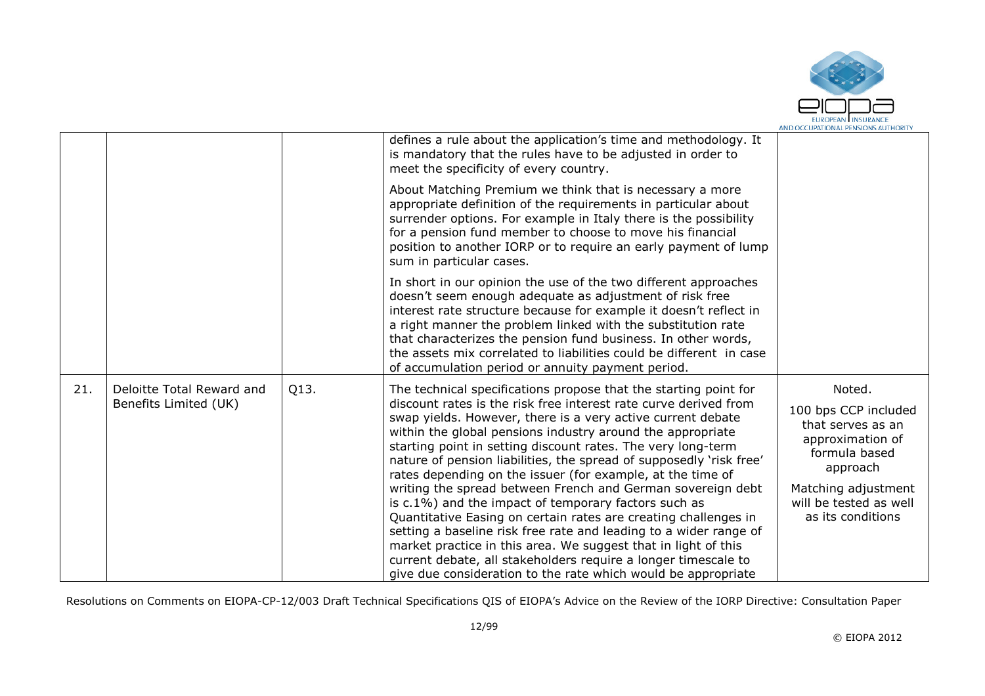

|     |                                                    |      | defines a rule about the application's time and methodology. It<br>is mandatory that the rules have to be adjusted in order to<br>meet the specificity of every country.                                                                                                                                                                                                                                                                                                                                                                                                                                                                                                                                                                                                                                                                                                                                                                   |                                                                                                                                                                            |
|-----|----------------------------------------------------|------|--------------------------------------------------------------------------------------------------------------------------------------------------------------------------------------------------------------------------------------------------------------------------------------------------------------------------------------------------------------------------------------------------------------------------------------------------------------------------------------------------------------------------------------------------------------------------------------------------------------------------------------------------------------------------------------------------------------------------------------------------------------------------------------------------------------------------------------------------------------------------------------------------------------------------------------------|----------------------------------------------------------------------------------------------------------------------------------------------------------------------------|
|     |                                                    |      | About Matching Premium we think that is necessary a more<br>appropriate definition of the requirements in particular about<br>surrender options. For example in Italy there is the possibility<br>for a pension fund member to choose to move his financial<br>position to another IORP or to require an early payment of lump<br>sum in particular cases.                                                                                                                                                                                                                                                                                                                                                                                                                                                                                                                                                                                 |                                                                                                                                                                            |
|     |                                                    |      | In short in our opinion the use of the two different approaches<br>doesn't seem enough adequate as adjustment of risk free<br>interest rate structure because for example it doesn't reflect in<br>a right manner the problem linked with the substitution rate<br>that characterizes the pension fund business. In other words,<br>the assets mix correlated to liabilities could be different in case<br>of accumulation period or annuity payment period.                                                                                                                                                                                                                                                                                                                                                                                                                                                                               |                                                                                                                                                                            |
| 21. | Deloitte Total Reward and<br>Benefits Limited (UK) | Q13. | The technical specifications propose that the starting point for<br>discount rates is the risk free interest rate curve derived from<br>swap yields. However, there is a very active current debate<br>within the global pensions industry around the appropriate<br>starting point in setting discount rates. The very long-term<br>nature of pension liabilities, the spread of supposedly 'risk free'<br>rates depending on the issuer (for example, at the time of<br>writing the spread between French and German sovereign debt<br>is c.1%) and the impact of temporary factors such as<br>Quantitative Easing on certain rates are creating challenges in<br>setting a baseline risk free rate and leading to a wider range of<br>market practice in this area. We suggest that in light of this<br>current debate, all stakeholders require a longer timescale to<br>give due consideration to the rate which would be appropriate | Noted.<br>100 bps CCP included<br>that serves as an<br>approximation of<br>formula based<br>approach<br>Matching adjustment<br>will be tested as well<br>as its conditions |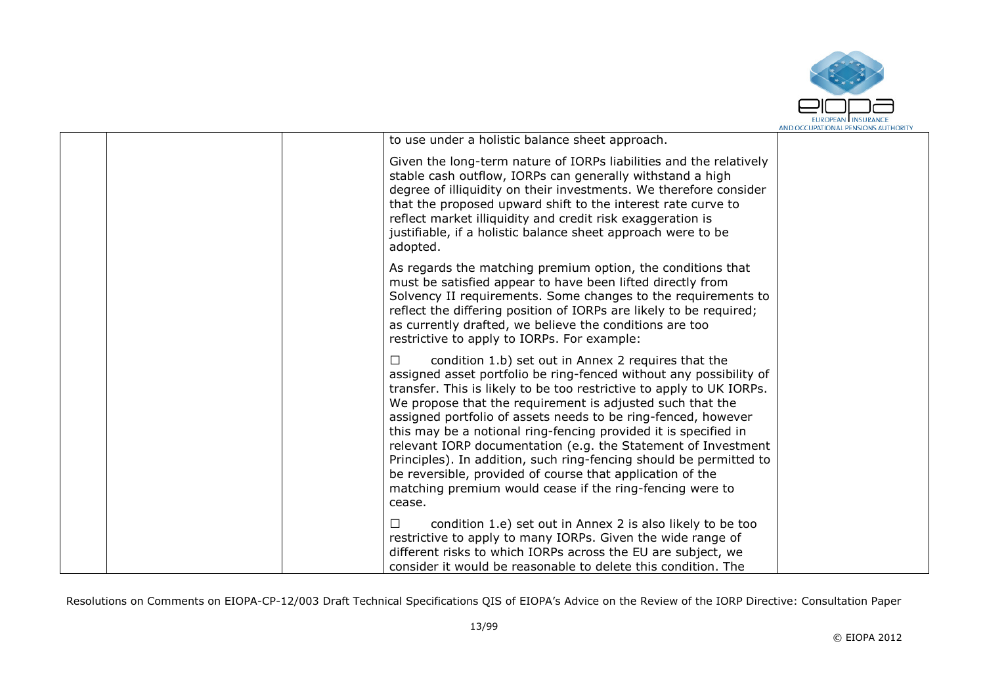

|  | to use under a holistic balance sheet approach.                                                                                                                                                                                                                                                                                                                                                                                                                                                                                                                                                                                                                                   |  |
|--|-----------------------------------------------------------------------------------------------------------------------------------------------------------------------------------------------------------------------------------------------------------------------------------------------------------------------------------------------------------------------------------------------------------------------------------------------------------------------------------------------------------------------------------------------------------------------------------------------------------------------------------------------------------------------------------|--|
|  | Given the long-term nature of IORPs liabilities and the relatively<br>stable cash outflow, IORPs can generally withstand a high<br>degree of illiquidity on their investments. We therefore consider<br>that the proposed upward shift to the interest rate curve to<br>reflect market illiquidity and credit risk exaggeration is<br>justifiable, if a holistic balance sheet approach were to be<br>adopted.                                                                                                                                                                                                                                                                    |  |
|  | As regards the matching premium option, the conditions that<br>must be satisfied appear to have been lifted directly from<br>Solvency II requirements. Some changes to the requirements to<br>reflect the differing position of IORPs are likely to be required;<br>as currently drafted, we believe the conditions are too<br>restrictive to apply to IORPs. For example:                                                                                                                                                                                                                                                                                                        |  |
|  | condition 1.b) set out in Annex 2 requires that the<br>П<br>assigned asset portfolio be ring-fenced without any possibility of<br>transfer. This is likely to be too restrictive to apply to UK IORPs.<br>We propose that the requirement is adjusted such that the<br>assigned portfolio of assets needs to be ring-fenced, however<br>this may be a notional ring-fencing provided it is specified in<br>relevant IORP documentation (e.g. the Statement of Investment<br>Principles). In addition, such ring-fencing should be permitted to<br>be reversible, provided of course that application of the<br>matching premium would cease if the ring-fencing were to<br>cease. |  |
|  | condition 1.e) set out in Annex 2 is also likely to be too<br>□<br>restrictive to apply to many IORPs. Given the wide range of<br>different risks to which IORPs across the EU are subject, we<br>consider it would be reasonable to delete this condition. The                                                                                                                                                                                                                                                                                                                                                                                                                   |  |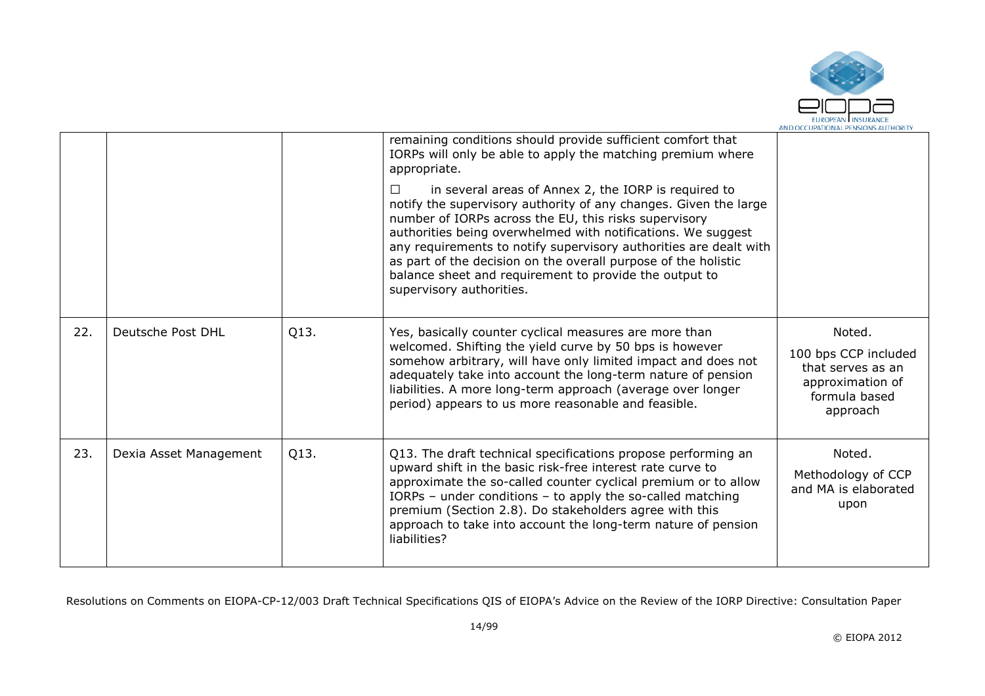

|     |                        |      | remaining conditions should provide sufficient comfort that<br>IORPs will only be able to apply the matching premium where<br>appropriate.<br>in several areas of Annex 2, the IORP is required to<br>$\perp$<br>notify the supervisory authority of any changes. Given the large<br>number of IORPs across the EU, this risks supervisory<br>authorities being overwhelmed with notifications. We suggest<br>any requirements to notify supervisory authorities are dealt with<br>as part of the decision on the overall purpose of the holistic<br>balance sheet and requirement to provide the output to<br>supervisory authorities. |                                                                                                      |
|-----|------------------------|------|-----------------------------------------------------------------------------------------------------------------------------------------------------------------------------------------------------------------------------------------------------------------------------------------------------------------------------------------------------------------------------------------------------------------------------------------------------------------------------------------------------------------------------------------------------------------------------------------------------------------------------------------|------------------------------------------------------------------------------------------------------|
| 22. | Deutsche Post DHL      | Q13. | Yes, basically counter cyclical measures are more than<br>welcomed. Shifting the yield curve by 50 bps is however<br>somehow arbitrary, will have only limited impact and does not<br>adequately take into account the long-term nature of pension<br>liabilities. A more long-term approach (average over longer<br>period) appears to us more reasonable and feasible.                                                                                                                                                                                                                                                                | Noted.<br>100 bps CCP included<br>that serves as an<br>approximation of<br>formula based<br>approach |
| 23. | Dexia Asset Management | Q13. | Q13. The draft technical specifications propose performing an<br>upward shift in the basic risk-free interest rate curve to<br>approximate the so-called counter cyclical premium or to allow<br>IORPs – under conditions – to apply the so-called matching<br>premium (Section 2.8). Do stakeholders agree with this<br>approach to take into account the long-term nature of pension<br>liabilities?                                                                                                                                                                                                                                  | Noted.<br>Methodology of CCP<br>and MA is elaborated<br>upon                                         |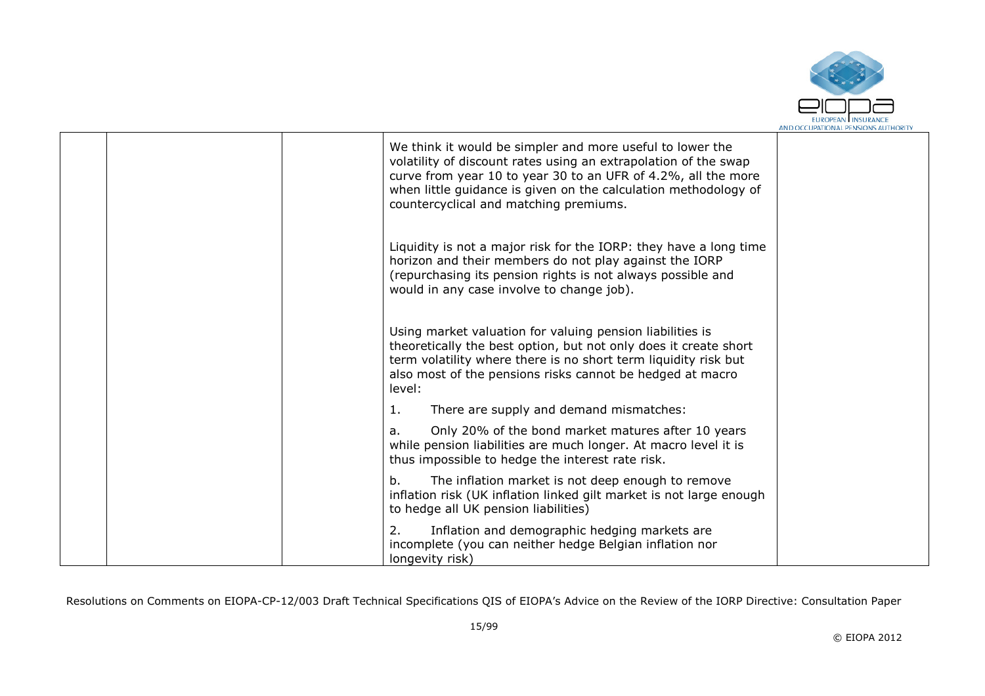

|  | We think it would be simpler and more useful to lower the<br>volatility of discount rates using an extrapolation of the swap<br>curve from year 10 to year 30 to an UFR of 4.2%, all the more<br>when little guidance is given on the calculation methodology of<br>countercyclical and matching premiums. |  |
|--|------------------------------------------------------------------------------------------------------------------------------------------------------------------------------------------------------------------------------------------------------------------------------------------------------------|--|
|  | Liquidity is not a major risk for the IORP: they have a long time<br>horizon and their members do not play against the IORP<br>(repurchasing its pension rights is not always possible and<br>would in any case involve to change job).                                                                    |  |
|  | Using market valuation for valuing pension liabilities is<br>theoretically the best option, but not only does it create short<br>term volatility where there is no short term liquidity risk but<br>also most of the pensions risks cannot be hedged at macro<br>level:                                    |  |
|  | 1.<br>There are supply and demand mismatches:                                                                                                                                                                                                                                                              |  |
|  | Only 20% of the bond market matures after 10 years<br>a.<br>while pension liabilities are much longer. At macro level it is<br>thus impossible to hedge the interest rate risk.                                                                                                                            |  |
|  | b.<br>The inflation market is not deep enough to remove<br>inflation risk (UK inflation linked gilt market is not large enough<br>to hedge all UK pension liabilities)                                                                                                                                     |  |
|  | 2.<br>Inflation and demographic hedging markets are<br>incomplete (you can neither hedge Belgian inflation nor<br>longevity risk)                                                                                                                                                                          |  |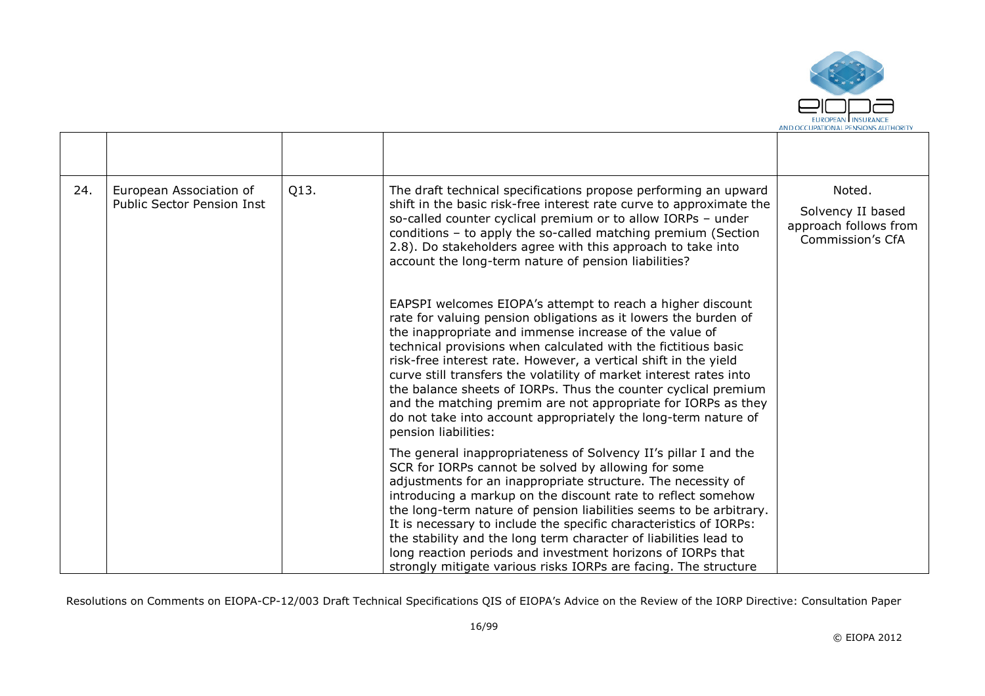

| 24. | European Association of<br><b>Public Sector Pension Inst</b> | Q13. | The draft technical specifications propose performing an upward<br>shift in the basic risk-free interest rate curve to approximate the<br>so-called counter cyclical premium or to allow IORPs - under<br>conditions - to apply the so-called matching premium (Section<br>2.8). Do stakeholders agree with this approach to take into<br>account the long-term nature of pension liabilities?                                                                                                                                                                                                                                  | Noted.<br>Solvency II based<br>approach follows from<br>Commission's CfA |
|-----|--------------------------------------------------------------|------|---------------------------------------------------------------------------------------------------------------------------------------------------------------------------------------------------------------------------------------------------------------------------------------------------------------------------------------------------------------------------------------------------------------------------------------------------------------------------------------------------------------------------------------------------------------------------------------------------------------------------------|--------------------------------------------------------------------------|
|     |                                                              |      | EAPSPI welcomes EIOPA's attempt to reach a higher discount<br>rate for valuing pension obligations as it lowers the burden of<br>the inappropriate and immense increase of the value of<br>technical provisions when calculated with the fictitious basic<br>risk-free interest rate. However, a vertical shift in the yield<br>curve still transfers the volatility of market interest rates into<br>the balance sheets of IORPs. Thus the counter cyclical premium<br>and the matching premim are not appropriate for IORPs as they<br>do not take into account appropriately the long-term nature of<br>pension liabilities: |                                                                          |
|     |                                                              |      | The general inappropriateness of Solvency II's pillar I and the<br>SCR for IORPs cannot be solved by allowing for some<br>adjustments for an inappropriate structure. The necessity of<br>introducing a markup on the discount rate to reflect somehow<br>the long-term nature of pension liabilities seems to be arbitrary.<br>It is necessary to include the specific characteristics of IORPs:<br>the stability and the long term character of liabilities lead to<br>long reaction periods and investment horizons of IORPs that<br>strongly mitigate various risks IORPs are facing. The structure                         |                                                                          |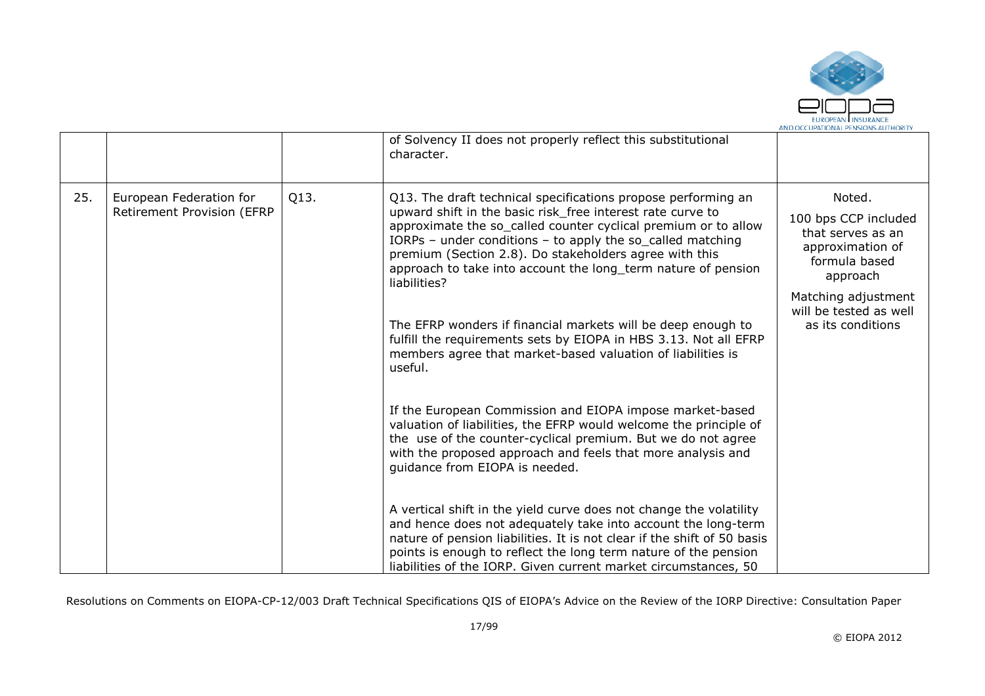

|     |                                                       |                                                                                                                                                                                                                                                                         | of Solvency II does not properly reflect this substitutional<br>character.                                                                                                                                                                                                                                                                           |                                               |
|-----|-------------------------------------------------------|-------------------------------------------------------------------------------------------------------------------------------------------------------------------------------------------------------------------------------------------------------------------------|------------------------------------------------------------------------------------------------------------------------------------------------------------------------------------------------------------------------------------------------------------------------------------------------------------------------------------------------------|-----------------------------------------------|
| 25. | European Federation for<br>Retirement Provision (EFRP | Q13.                                                                                                                                                                                                                                                                    | Q13. The draft technical specifications propose performing an<br>upward shift in the basic risk_free interest rate curve to                                                                                                                                                                                                                          | Noted.                                        |
|     |                                                       | approximate the so_called counter cyclical premium or to allow<br>IORPs - under conditions - to apply the so_called matching<br>premium (Section 2.8). Do stakeholders agree with this<br>approach to take into account the long_term nature of pension<br>liabilities? | 100 bps CCP included<br>that serves as an<br>approximation of<br>formula based<br>approach                                                                                                                                                                                                                                                           |                                               |
|     |                                                       |                                                                                                                                                                                                                                                                         |                                                                                                                                                                                                                                                                                                                                                      | Matching adjustment<br>will be tested as well |
|     |                                                       |                                                                                                                                                                                                                                                                         | The EFRP wonders if financial markets will be deep enough to<br>fulfill the requirements sets by EIOPA in HBS 3.13. Not all EFRP<br>members agree that market-based valuation of liabilities is<br>useful.                                                                                                                                           | as its conditions                             |
|     |                                                       |                                                                                                                                                                                                                                                                         | If the European Commission and EIOPA impose market-based<br>valuation of liabilities, the EFRP would welcome the principle of<br>the use of the counter-cyclical premium. But we do not agree<br>with the proposed approach and feels that more analysis and<br>guidance from EIOPA is needed.                                                       |                                               |
|     |                                                       |                                                                                                                                                                                                                                                                         | A vertical shift in the yield curve does not change the volatility<br>and hence does not adequately take into account the long-term<br>nature of pension liabilities. It is not clear if the shift of 50 basis<br>points is enough to reflect the long term nature of the pension<br>liabilities of the IORP. Given current market circumstances, 50 |                                               |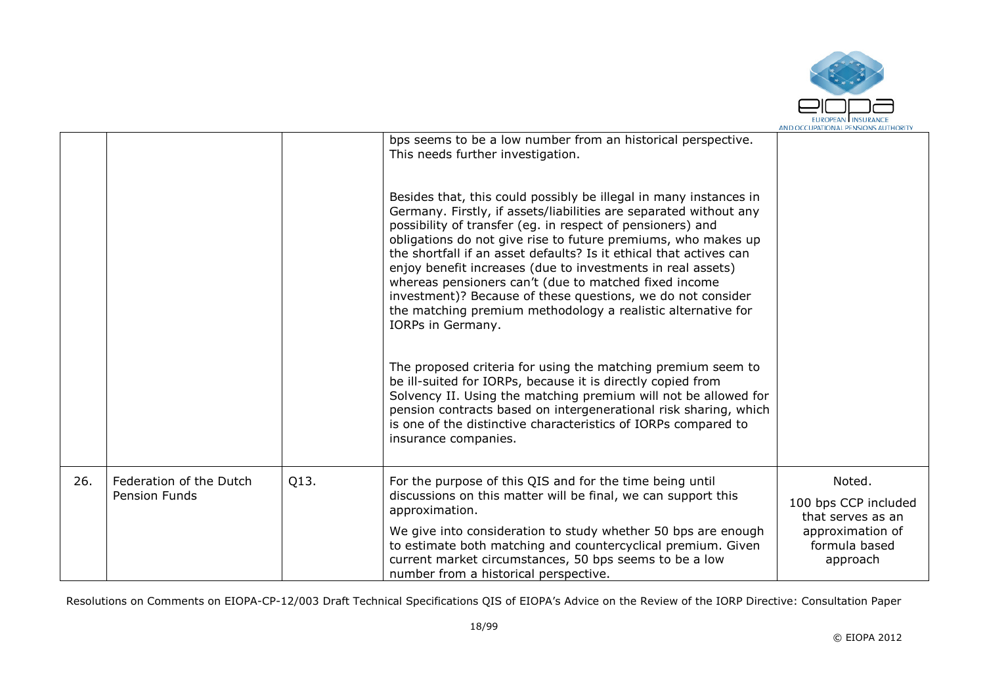

|     |                                                 |      | bps seems to be a low number from an historical perspective.<br>This needs further investigation.                                                                                                                                                                                                                                                                                                                                                                                                                                                                                                                       |                                                                                                      |
|-----|-------------------------------------------------|------|-------------------------------------------------------------------------------------------------------------------------------------------------------------------------------------------------------------------------------------------------------------------------------------------------------------------------------------------------------------------------------------------------------------------------------------------------------------------------------------------------------------------------------------------------------------------------------------------------------------------------|------------------------------------------------------------------------------------------------------|
|     |                                                 |      | Besides that, this could possibly be illegal in many instances in<br>Germany. Firstly, if assets/liabilities are separated without any<br>possibility of transfer (eg. in respect of pensioners) and<br>obligations do not give rise to future premiums, who makes up<br>the shortfall if an asset defaults? Is it ethical that actives can<br>enjoy benefit increases (due to investments in real assets)<br>whereas pensioners can't (due to matched fixed income<br>investment)? Because of these questions, we do not consider<br>the matching premium methodology a realistic alternative for<br>IORPs in Germany. |                                                                                                      |
|     |                                                 |      | The proposed criteria for using the matching premium seem to<br>be ill-suited for IORPs, because it is directly copied from<br>Solvency II. Using the matching premium will not be allowed for<br>pension contracts based on intergenerational risk sharing, which<br>is one of the distinctive characteristics of IORPs compared to<br>insurance companies.                                                                                                                                                                                                                                                            |                                                                                                      |
| 26. | Federation of the Dutch<br><b>Pension Funds</b> | Q13. | For the purpose of this QIS and for the time being until<br>discussions on this matter will be final, we can support this<br>approximation.<br>We give into consideration to study whether 50 bps are enough<br>to estimate both matching and countercyclical premium. Given<br>current market circumstances, 50 bps seems to be a low<br>number from a historical perspective.                                                                                                                                                                                                                                         | Noted.<br>100 bps CCP included<br>that serves as an<br>approximation of<br>formula based<br>approach |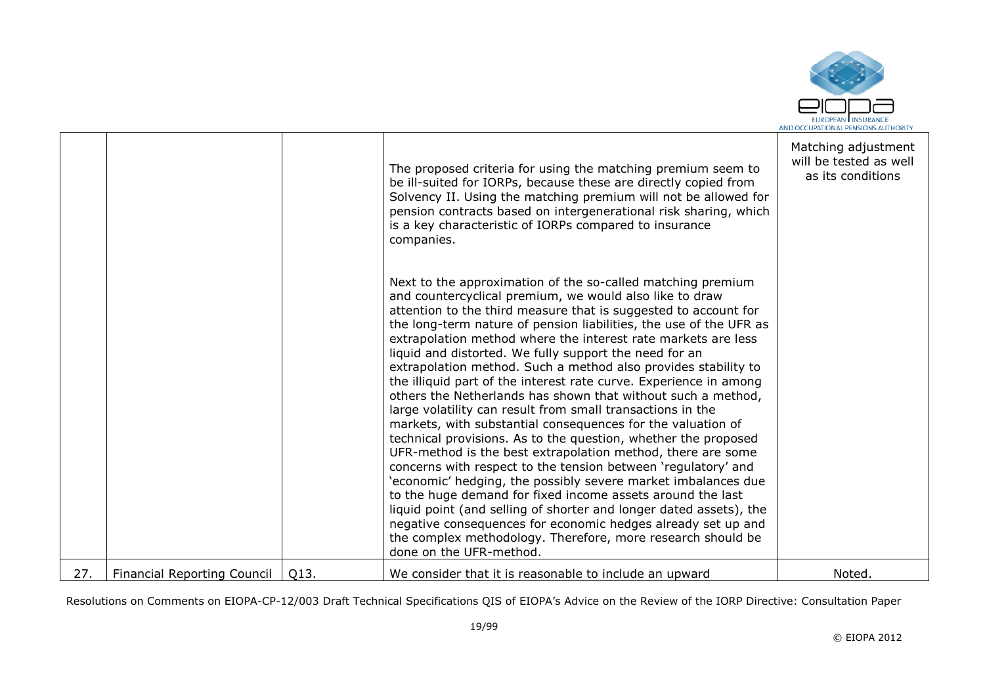

|     |                                    |      | The proposed criteria for using the matching premium seem to<br>be ill-suited for IORPs, because these are directly copied from<br>Solvency II. Using the matching premium will not be allowed for<br>pension contracts based on intergenerational risk sharing, which<br>is a key characteristic of IORPs compared to insurance<br>companies.                                                                                                                                                                                                                                                                                                                                                                                                                                                                                                                                                                                                                                                                                                                                                                                                                                                                                                                                                  | Matching adjustment<br>will be tested as well<br>as its conditions |
|-----|------------------------------------|------|-------------------------------------------------------------------------------------------------------------------------------------------------------------------------------------------------------------------------------------------------------------------------------------------------------------------------------------------------------------------------------------------------------------------------------------------------------------------------------------------------------------------------------------------------------------------------------------------------------------------------------------------------------------------------------------------------------------------------------------------------------------------------------------------------------------------------------------------------------------------------------------------------------------------------------------------------------------------------------------------------------------------------------------------------------------------------------------------------------------------------------------------------------------------------------------------------------------------------------------------------------------------------------------------------|--------------------------------------------------------------------|
|     |                                    |      | Next to the approximation of the so-called matching premium<br>and countercyclical premium, we would also like to draw<br>attention to the third measure that is suggested to account for<br>the long-term nature of pension liabilities, the use of the UFR as<br>extrapolation method where the interest rate markets are less<br>liquid and distorted. We fully support the need for an<br>extrapolation method. Such a method also provides stability to<br>the illiquid part of the interest rate curve. Experience in among<br>others the Netherlands has shown that without such a method,<br>large volatility can result from small transactions in the<br>markets, with substantial consequences for the valuation of<br>technical provisions. As to the question, whether the proposed<br>UFR-method is the best extrapolation method, there are some<br>concerns with respect to the tension between 'regulatory' and<br>'economic' hedging, the possibly severe market imbalances due<br>to the huge demand for fixed income assets around the last<br>liquid point (and selling of shorter and longer dated assets), the<br>negative consequences for economic hedges already set up and<br>the complex methodology. Therefore, more research should be<br>done on the UFR-method. |                                                                    |
| 27. | <b>Financial Reporting Council</b> | Q13. | We consider that it is reasonable to include an upward                                                                                                                                                                                                                                                                                                                                                                                                                                                                                                                                                                                                                                                                                                                                                                                                                                                                                                                                                                                                                                                                                                                                                                                                                                          | Noted.                                                             |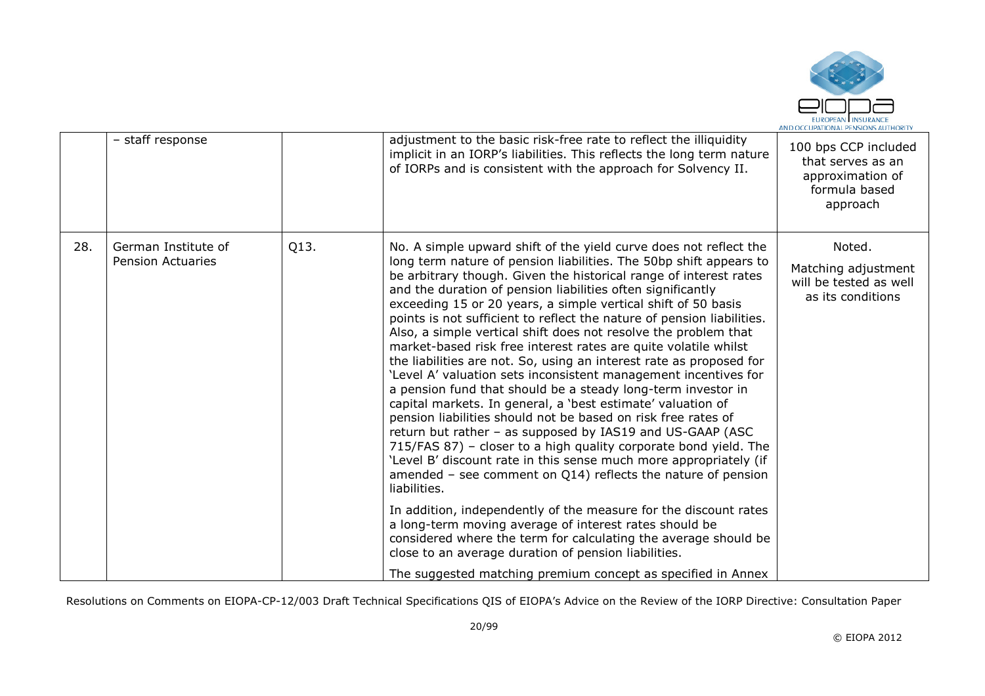

|     | - staff response                                |      | adjustment to the basic risk-free rate to reflect the illiquidity<br>implicit in an IORP's liabilities. This reflects the long term nature<br>of IORPs and is consistent with the approach for Solvency II.                                                                                                                                                                                                                                                                                                                                                                                                                                                                                                                                                                                                                                                                                                                                                                                                                                                                                                                                                                                                                                                                                                                                                                                                                                                                                                              | 100 bps CCP included<br>that serves as an<br>approximation of<br>formula based<br>approach |
|-----|-------------------------------------------------|------|--------------------------------------------------------------------------------------------------------------------------------------------------------------------------------------------------------------------------------------------------------------------------------------------------------------------------------------------------------------------------------------------------------------------------------------------------------------------------------------------------------------------------------------------------------------------------------------------------------------------------------------------------------------------------------------------------------------------------------------------------------------------------------------------------------------------------------------------------------------------------------------------------------------------------------------------------------------------------------------------------------------------------------------------------------------------------------------------------------------------------------------------------------------------------------------------------------------------------------------------------------------------------------------------------------------------------------------------------------------------------------------------------------------------------------------------------------------------------------------------------------------------------|--------------------------------------------------------------------------------------------|
| 28. | German Institute of<br><b>Pension Actuaries</b> | Q13. | No. A simple upward shift of the yield curve does not reflect the<br>long term nature of pension liabilities. The 50bp shift appears to<br>be arbitrary though. Given the historical range of interest rates<br>and the duration of pension liabilities often significantly<br>exceeding 15 or 20 years, a simple vertical shift of 50 basis<br>points is not sufficient to reflect the nature of pension liabilities.<br>Also, a simple vertical shift does not resolve the problem that<br>market-based risk free interest rates are quite volatile whilst<br>the liabilities are not. So, using an interest rate as proposed for<br>'Level A' valuation sets inconsistent management incentives for<br>a pension fund that should be a steady long-term investor in<br>capital markets. In general, a 'best estimate' valuation of<br>pension liabilities should not be based on risk free rates of<br>return but rather - as supposed by IAS19 and US-GAAP (ASC<br>715/FAS 87) - closer to a high quality corporate bond yield. The<br>'Level B' discount rate in this sense much more appropriately (if<br>amended – see comment on $Q14$ ) reflects the nature of pension<br>liabilities.<br>In addition, independently of the measure for the discount rates<br>a long-term moving average of interest rates should be<br>considered where the term for calculating the average should be<br>close to an average duration of pension liabilities.<br>The suggested matching premium concept as specified in Annex | Noted.<br>Matching adjustment<br>will be tested as well<br>as its conditions               |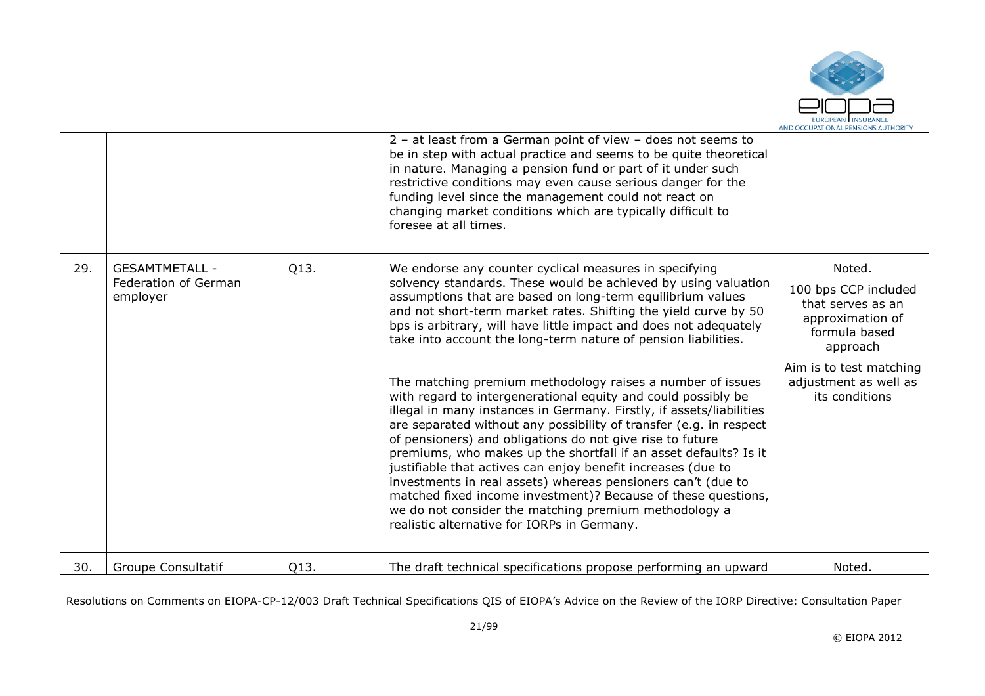

|     |                                                           |      | $2 - at$ least from a German point of view - does not seems to<br>be in step with actual practice and seems to be quite theoretical<br>in nature. Managing a pension fund or part of it under such<br>restrictive conditions may even cause serious danger for the<br>funding level since the management could not react on<br>changing market conditions which are typically difficult to<br>foresee at all times.                                                                                                                                                                                                                                                                                                                                                                                                                                                                                                                                                                                                                                                                                                     |                                                                                                                                                                            |
|-----|-----------------------------------------------------------|------|-------------------------------------------------------------------------------------------------------------------------------------------------------------------------------------------------------------------------------------------------------------------------------------------------------------------------------------------------------------------------------------------------------------------------------------------------------------------------------------------------------------------------------------------------------------------------------------------------------------------------------------------------------------------------------------------------------------------------------------------------------------------------------------------------------------------------------------------------------------------------------------------------------------------------------------------------------------------------------------------------------------------------------------------------------------------------------------------------------------------------|----------------------------------------------------------------------------------------------------------------------------------------------------------------------------|
| 29. | <b>GESAMTMETALL -</b><br>Federation of German<br>employer | Q13. | We endorse any counter cyclical measures in specifying<br>solvency standards. These would be achieved by using valuation<br>assumptions that are based on long-term equilibrium values<br>and not short-term market rates. Shifting the yield curve by 50<br>bps is arbitrary, will have little impact and does not adequately<br>take into account the long-term nature of pension liabilities.<br>The matching premium methodology raises a number of issues<br>with regard to intergenerational equity and could possibly be<br>illegal in many instances in Germany. Firstly, if assets/liabilities<br>are separated without any possibility of transfer (e.g. in respect<br>of pensioners) and obligations do not give rise to future<br>premiums, who makes up the shortfall if an asset defaults? Is it<br>justifiable that actives can enjoy benefit increases (due to<br>investments in real assets) whereas pensioners can't (due to<br>matched fixed income investment)? Because of these questions,<br>we do not consider the matching premium methodology a<br>realistic alternative for IORPs in Germany. | Noted.<br>100 bps CCP included<br>that serves as an<br>approximation of<br>formula based<br>approach<br>Aim is to test matching<br>adjustment as well as<br>its conditions |
| 30. | <b>Groupe Consultatif</b>                                 | Q13. | The draft technical specifications propose performing an upward                                                                                                                                                                                                                                                                                                                                                                                                                                                                                                                                                                                                                                                                                                                                                                                                                                                                                                                                                                                                                                                         | Noted.                                                                                                                                                                     |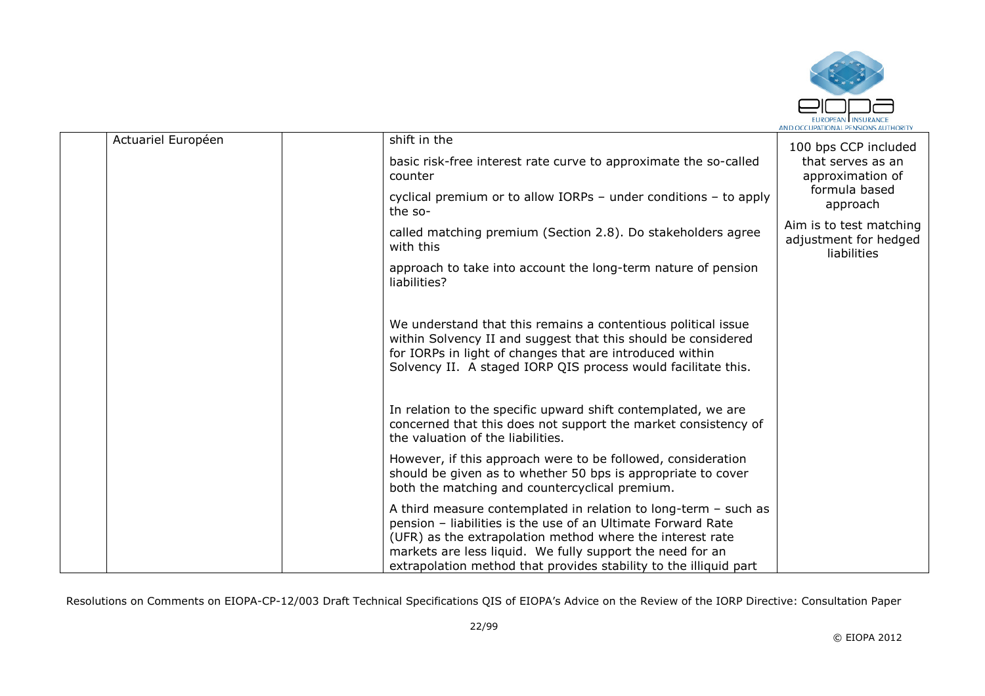

| Actuariel Européen | shift in the                                                                                                                                                                                                                                                                                                                     | 100 bps CCP included                                            |
|--------------------|----------------------------------------------------------------------------------------------------------------------------------------------------------------------------------------------------------------------------------------------------------------------------------------------------------------------------------|-----------------------------------------------------------------|
|                    | basic risk-free interest rate curve to approximate the so-called<br>counter                                                                                                                                                                                                                                                      | that serves as an<br>approximation of                           |
|                    | cyclical premium or to allow IORPs $-$ under conditions $-$ to apply<br>the so-                                                                                                                                                                                                                                                  | formula based<br>approach                                       |
|                    | called matching premium (Section 2.8). Do stakeholders agree<br>with this                                                                                                                                                                                                                                                        | Aim is to test matching<br>adjustment for hedged<br>liabilities |
|                    | approach to take into account the long-term nature of pension<br>liabilities?                                                                                                                                                                                                                                                    |                                                                 |
|                    | We understand that this remains a contentious political issue<br>within Solvency II and suggest that this should be considered<br>for IORPs in light of changes that are introduced within<br>Solvency II. A staged IORP QIS process would facilitate this.                                                                      |                                                                 |
|                    | In relation to the specific upward shift contemplated, we are<br>concerned that this does not support the market consistency of<br>the valuation of the liabilities.                                                                                                                                                             |                                                                 |
|                    | However, if this approach were to be followed, consideration<br>should be given as to whether 50 bps is appropriate to cover<br>both the matching and countercyclical premium.                                                                                                                                                   |                                                                 |
|                    | A third measure contemplated in relation to long-term $-$ such as<br>pension - liabilities is the use of an Ultimate Forward Rate<br>(UFR) as the extrapolation method where the interest rate<br>markets are less liquid. We fully support the need for an<br>extrapolation method that provides stability to the illiquid part |                                                                 |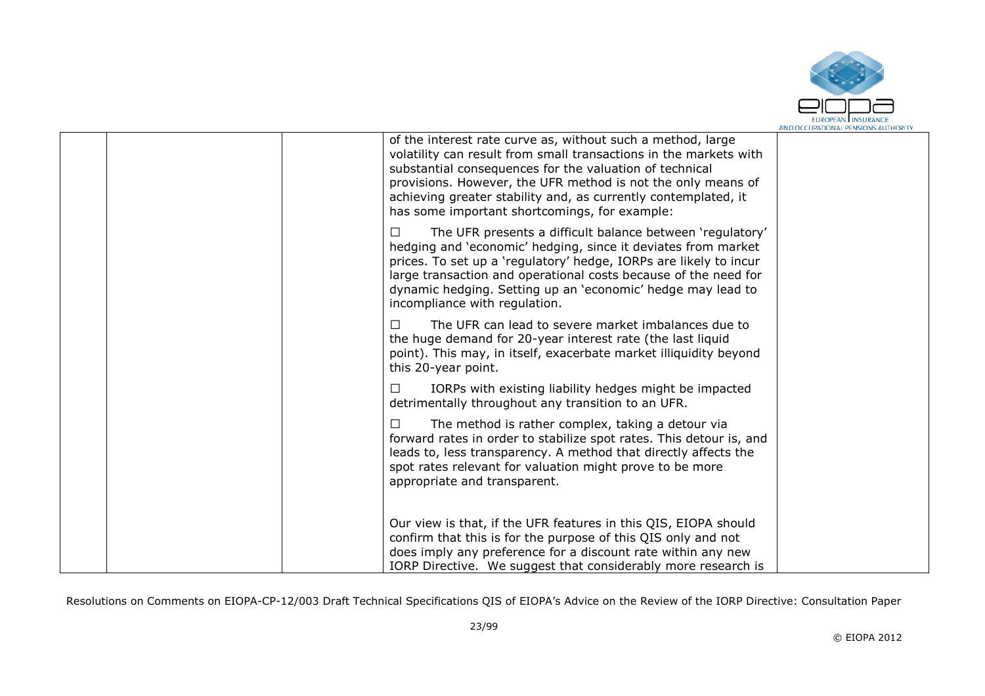

| of the interest rate curve as, without such a method, large<br>volatility can result from small transactions in the markets with<br>substantial consequences for the valuation of technical<br>provisions. However, the UFR method is not the only means of<br>achieving greater stability and, as currently contemplated, it<br>has some important shortcomings, for example: |  |
|--------------------------------------------------------------------------------------------------------------------------------------------------------------------------------------------------------------------------------------------------------------------------------------------------------------------------------------------------------------------------------|--|
| The UFR presents a difficult balance between 'regulatory'<br>П<br>hedging and 'economic' hedging, since it deviates from market<br>prices. To set up a 'regulatory' hedge, IORPs are likely to incur<br>large transaction and operational costs because of the need for<br>dynamic hedging. Setting up an 'economic' hedge may lead to<br>incompliance with regulation.        |  |
| П<br>The UFR can lead to severe market imbalances due to<br>the huge demand for 20-year interest rate (the last liquid<br>point). This may, in itself, exacerbate market illiquidity beyond<br>this 20-year point.                                                                                                                                                             |  |
| IORPs with existing liability hedges might be impacted<br>detrimentally throughout any transition to an UFR.                                                                                                                                                                                                                                                                   |  |
| The method is rather complex, taking a detour via<br>forward rates in order to stabilize spot rates. This detour is, and<br>leads to, less transparency. A method that directly affects the<br>spot rates relevant for valuation might prove to be more<br>appropriate and transparent.                                                                                        |  |
| Our view is that, if the UFR features in this QIS, EIOPA should<br>confirm that this is for the purpose of this QIS only and not<br>does imply any preference for a discount rate within any new<br>IORP Directive. We suggest that considerably more research is                                                                                                              |  |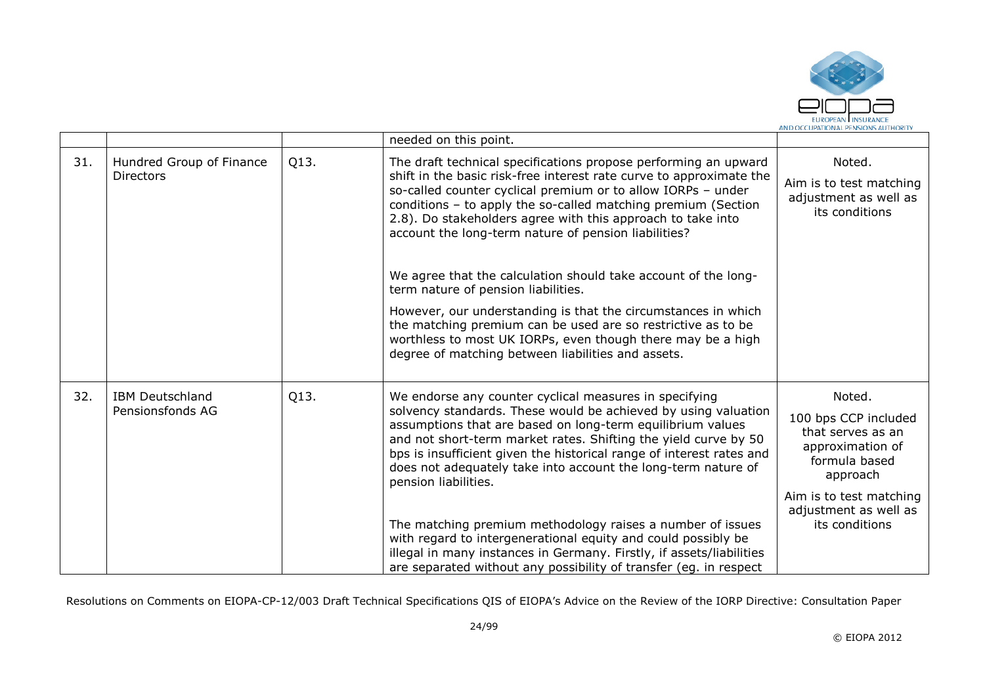

|     |                                              |      | needed on this point.                                                                                                                                                                                                                                                                                                                                                                                                                                                                                                                                     |                                                                                                                                                                            |
|-----|----------------------------------------------|------|-----------------------------------------------------------------------------------------------------------------------------------------------------------------------------------------------------------------------------------------------------------------------------------------------------------------------------------------------------------------------------------------------------------------------------------------------------------------------------------------------------------------------------------------------------------|----------------------------------------------------------------------------------------------------------------------------------------------------------------------------|
| 31. | Hundred Group of Finance<br><b>Directors</b> | Q13. | The draft technical specifications propose performing an upward<br>shift in the basic risk-free interest rate curve to approximate the<br>so-called counter cyclical premium or to allow IORPs - under<br>conditions - to apply the so-called matching premium (Section<br>2.8). Do stakeholders agree with this approach to take into<br>account the long-term nature of pension liabilities?<br>We agree that the calculation should take account of the long-                                                                                          | Noted.<br>Aim is to test matching<br>adjustment as well as<br>its conditions                                                                                               |
|     |                                              |      | term nature of pension liabilities.<br>However, our understanding is that the circumstances in which<br>the matching premium can be used are so restrictive as to be<br>worthless to most UK IORPs, even though there may be a high<br>degree of matching between liabilities and assets.                                                                                                                                                                                                                                                                 |                                                                                                                                                                            |
| 32. | <b>IBM Deutschland</b><br>Pensionsfonds AG   | Q13. | We endorse any counter cyclical measures in specifying<br>solvency standards. These would be achieved by using valuation<br>assumptions that are based on long-term equilibrium values<br>and not short-term market rates. Shifting the yield curve by 50<br>bps is insufficient given the historical range of interest rates and<br>does not adequately take into account the long-term nature of<br>pension liabilities.<br>The matching premium methodology raises a number of issues<br>with regard to intergenerational equity and could possibly be | Noted.<br>100 bps CCP included<br>that serves as an<br>approximation of<br>formula based<br>approach<br>Aim is to test matching<br>adjustment as well as<br>its conditions |
|     |                                              |      | illegal in many instances in Germany. Firstly, if assets/liabilities<br>are separated without any possibility of transfer (eg. in respect                                                                                                                                                                                                                                                                                                                                                                                                                 |                                                                                                                                                                            |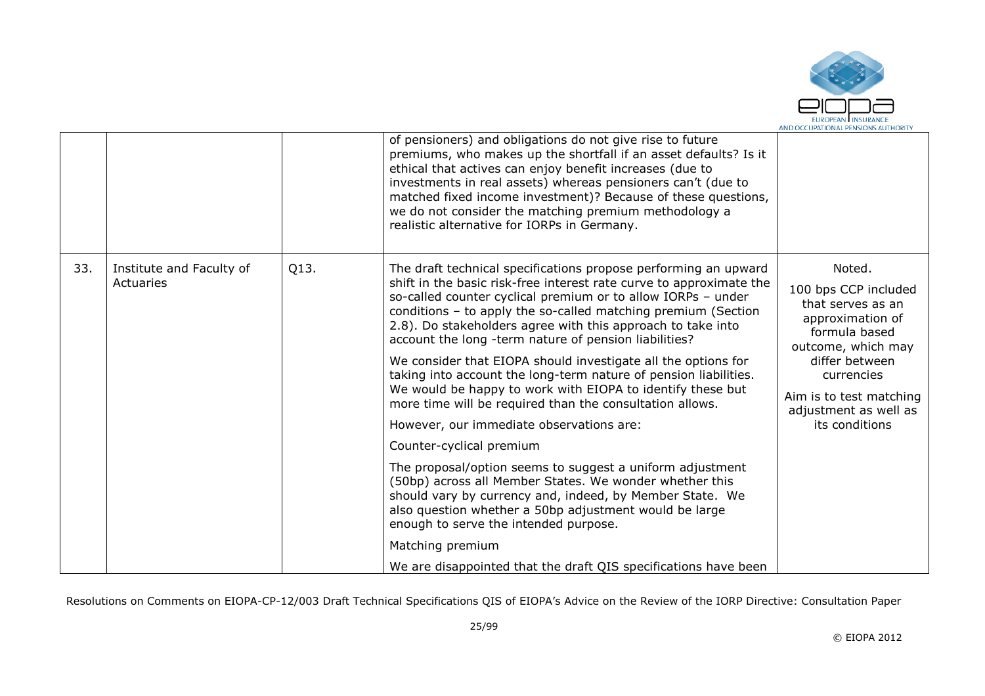

|     |                                       |      | of pensioners) and obligations do not give rise to future<br>premiums, who makes up the shortfall if an asset defaults? Is it<br>ethical that actives can enjoy benefit increases (due to<br>investments in real assets) whereas pensioners can't (due to<br>matched fixed income investment)? Because of these questions,<br>we do not consider the matching premium methodology a<br>realistic alternative for IORPs in Germany.                                                                                                                                                                                                                                                                                                                                                                                                                                                                                                                                                                                                                                                                                   |                                                                                                                                                                                                                      |
|-----|---------------------------------------|------|----------------------------------------------------------------------------------------------------------------------------------------------------------------------------------------------------------------------------------------------------------------------------------------------------------------------------------------------------------------------------------------------------------------------------------------------------------------------------------------------------------------------------------------------------------------------------------------------------------------------------------------------------------------------------------------------------------------------------------------------------------------------------------------------------------------------------------------------------------------------------------------------------------------------------------------------------------------------------------------------------------------------------------------------------------------------------------------------------------------------|----------------------------------------------------------------------------------------------------------------------------------------------------------------------------------------------------------------------|
| 33. | Institute and Faculty of<br>Actuaries | Q13. | The draft technical specifications propose performing an upward<br>shift in the basic risk-free interest rate curve to approximate the<br>so-called counter cyclical premium or to allow IORPs - under<br>conditions - to apply the so-called matching premium (Section<br>2.8). Do stakeholders agree with this approach to take into<br>account the long -term nature of pension liabilities?<br>We consider that EIOPA should investigate all the options for<br>taking into account the long-term nature of pension liabilities.<br>We would be happy to work with EIOPA to identify these but<br>more time will be required than the consultation allows.<br>However, our immediate observations are:<br>Counter-cyclical premium<br>The proposal/option seems to suggest a uniform adjustment<br>(50bp) across all Member States. We wonder whether this<br>should vary by currency and, indeed, by Member State. We<br>also question whether a 50bp adjustment would be large<br>enough to serve the intended purpose.<br>Matching premium<br>We are disappointed that the draft QIS specifications have been | Noted.<br>100 bps CCP included<br>that serves as an<br>approximation of<br>formula based<br>outcome, which may<br>differ between<br>currencies<br>Aim is to test matching<br>adjustment as well as<br>its conditions |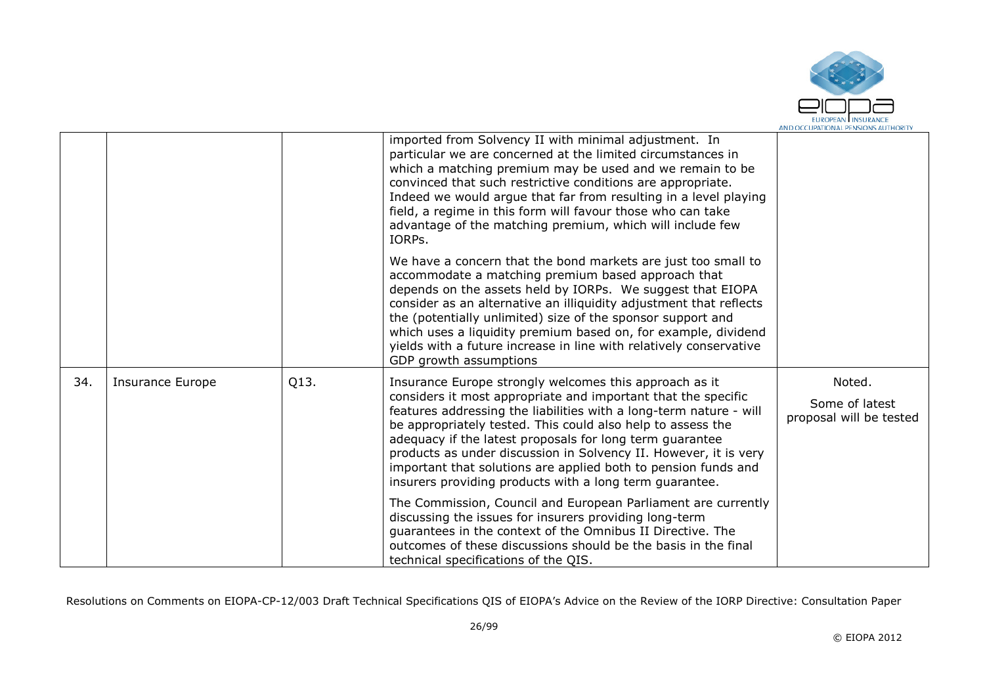

|     |                         |      | imported from Solvency II with minimal adjustment. In<br>particular we are concerned at the limited circumstances in<br>which a matching premium may be used and we remain to be<br>convinced that such restrictive conditions are appropriate.<br>Indeed we would argue that far from resulting in a level playing<br>field, a regime in this form will favour those who can take<br>advantage of the matching premium, which will include few<br>IORPS.                                                                 |                                                     |
|-----|-------------------------|------|---------------------------------------------------------------------------------------------------------------------------------------------------------------------------------------------------------------------------------------------------------------------------------------------------------------------------------------------------------------------------------------------------------------------------------------------------------------------------------------------------------------------------|-----------------------------------------------------|
|     |                         |      | We have a concern that the bond markets are just too small to<br>accommodate a matching premium based approach that<br>depends on the assets held by IORPs. We suggest that EIOPA<br>consider as an alternative an illiquidity adjustment that reflects<br>the (potentially unlimited) size of the sponsor support and<br>which uses a liquidity premium based on, for example, dividend<br>yields with a future increase in line with relatively conservative<br>GDP growth assumptions                                  |                                                     |
| 34. | <b>Insurance Europe</b> | Q13. | Insurance Europe strongly welcomes this approach as it<br>considers it most appropriate and important that the specific<br>features addressing the liabilities with a long-term nature - will<br>be appropriately tested. This could also help to assess the<br>adequacy if the latest proposals for long term guarantee<br>products as under discussion in Solvency II. However, it is very<br>important that solutions are applied both to pension funds and<br>insurers providing products with a long term guarantee. | Noted.<br>Some of latest<br>proposal will be tested |
|     |                         |      | The Commission, Council and European Parliament are currently<br>discussing the issues for insurers providing long-term<br>guarantees in the context of the Omnibus II Directive. The<br>outcomes of these discussions should be the basis in the final<br>technical specifications of the QIS.                                                                                                                                                                                                                           |                                                     |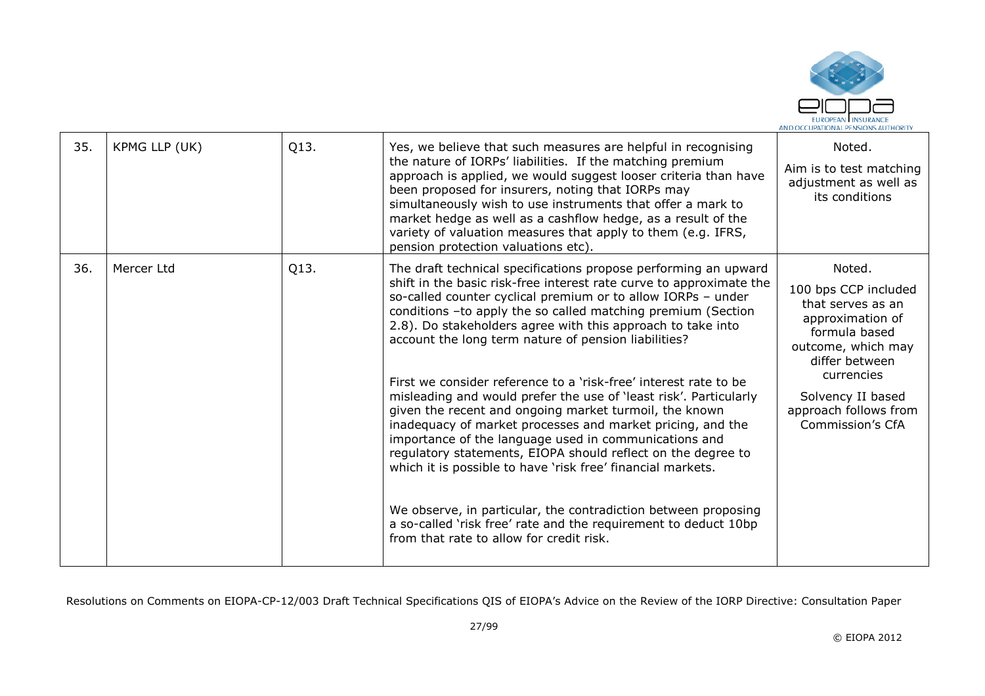

| 35. | KPMG LLP (UK) | Q13. | Yes, we believe that such measures are helpful in recognising<br>the nature of IORPs' liabilities. If the matching premium<br>approach is applied, we would suggest looser criteria than have<br>been proposed for insurers, noting that IORPs may<br>simultaneously wish to use instruments that offer a mark to<br>market hedge as well as a cashflow hedge, as a result of the<br>variety of valuation measures that apply to them (e.g. IFRS,<br>pension protection valuations etc).                                                                                                                                                                                                                                                                                                                                                                                                                                                                                                                                                | Noted.<br>Aim is to test matching<br>adjustment as well as<br>its conditions                                                                                                                                     |
|-----|---------------|------|-----------------------------------------------------------------------------------------------------------------------------------------------------------------------------------------------------------------------------------------------------------------------------------------------------------------------------------------------------------------------------------------------------------------------------------------------------------------------------------------------------------------------------------------------------------------------------------------------------------------------------------------------------------------------------------------------------------------------------------------------------------------------------------------------------------------------------------------------------------------------------------------------------------------------------------------------------------------------------------------------------------------------------------------|------------------------------------------------------------------------------------------------------------------------------------------------------------------------------------------------------------------|
| 36. | Mercer Ltd    | Q13. | The draft technical specifications propose performing an upward<br>shift in the basic risk-free interest rate curve to approximate the<br>so-called counter cyclical premium or to allow IORPs - under<br>conditions -to apply the so called matching premium (Section<br>2.8). Do stakeholders agree with this approach to take into<br>account the long term nature of pension liabilities?<br>First we consider reference to a 'risk-free' interest rate to be<br>misleading and would prefer the use of 'least risk'. Particularly<br>given the recent and ongoing market turmoil, the known<br>inadequacy of market processes and market pricing, and the<br>importance of the language used in communications and<br>regulatory statements, EIOPA should reflect on the degree to<br>which it is possible to have 'risk free' financial markets.<br>We observe, in particular, the contradiction between proposing<br>a so-called 'risk free' rate and the requirement to deduct 10bp<br>from that rate to allow for credit risk. | Noted.<br>100 bps CCP included<br>that serves as an<br>approximation of<br>formula based<br>outcome, which may<br>differ between<br>currencies<br>Solvency II based<br>approach follows from<br>Commission's CfA |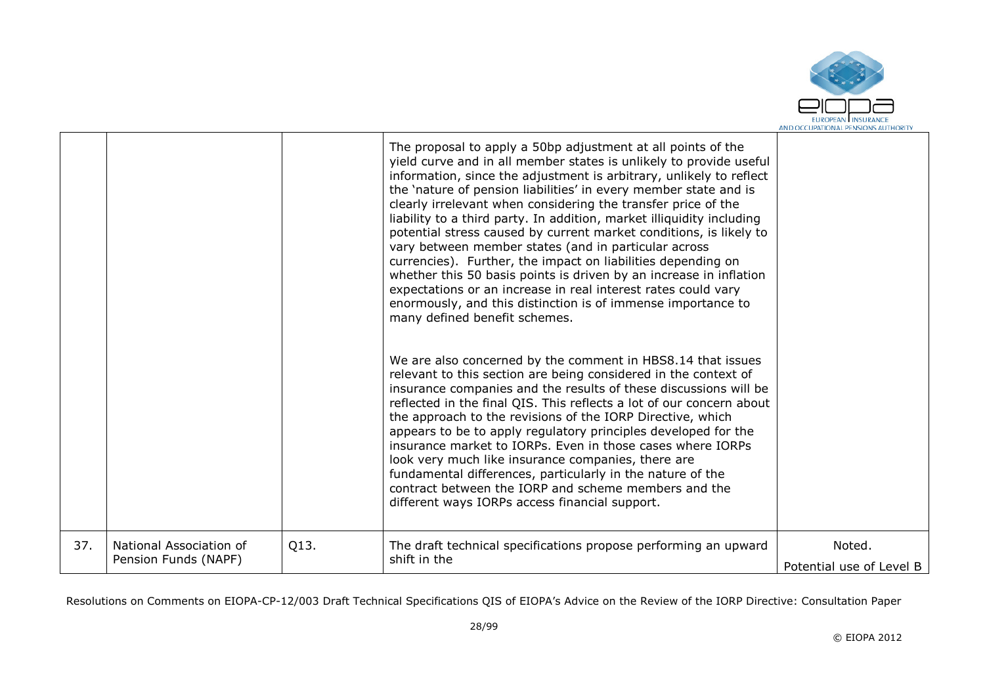

|     |                                                 |      | The proposal to apply a 50bp adjustment at all points of the<br>yield curve and in all member states is unlikely to provide useful<br>information, since the adjustment is arbitrary, unlikely to reflect<br>the 'nature of pension liabilities' in every member state and is<br>clearly irrelevant when considering the transfer price of the<br>liability to a third party. In addition, market illiquidity including<br>potential stress caused by current market conditions, is likely to<br>vary between member states (and in particular across<br>currencies). Further, the impact on liabilities depending on<br>whether this 50 basis points is driven by an increase in inflation<br>expectations or an increase in real interest rates could vary<br>enormously, and this distinction is of immense importance to<br>many defined benefit schemes. |                                    |
|-----|-------------------------------------------------|------|---------------------------------------------------------------------------------------------------------------------------------------------------------------------------------------------------------------------------------------------------------------------------------------------------------------------------------------------------------------------------------------------------------------------------------------------------------------------------------------------------------------------------------------------------------------------------------------------------------------------------------------------------------------------------------------------------------------------------------------------------------------------------------------------------------------------------------------------------------------|------------------------------------|
|     |                                                 |      | We are also concerned by the comment in HBS8.14 that issues<br>relevant to this section are being considered in the context of<br>insurance companies and the results of these discussions will be<br>reflected in the final QIS. This reflects a lot of our concern about<br>the approach to the revisions of the IORP Directive, which<br>appears to be to apply regulatory principles developed for the<br>insurance market to IORPs. Even in those cases where IORPs<br>look very much like insurance companies, there are<br>fundamental differences, particularly in the nature of the<br>contract between the IORP and scheme members and the<br>different ways IORPs access financial support.                                                                                                                                                        |                                    |
| 37. | National Association of<br>Pension Funds (NAPF) | Q13. | The draft technical specifications propose performing an upward<br>shift in the                                                                                                                                                                                                                                                                                                                                                                                                                                                                                                                                                                                                                                                                                                                                                                               | Noted.<br>Potential use of Level B |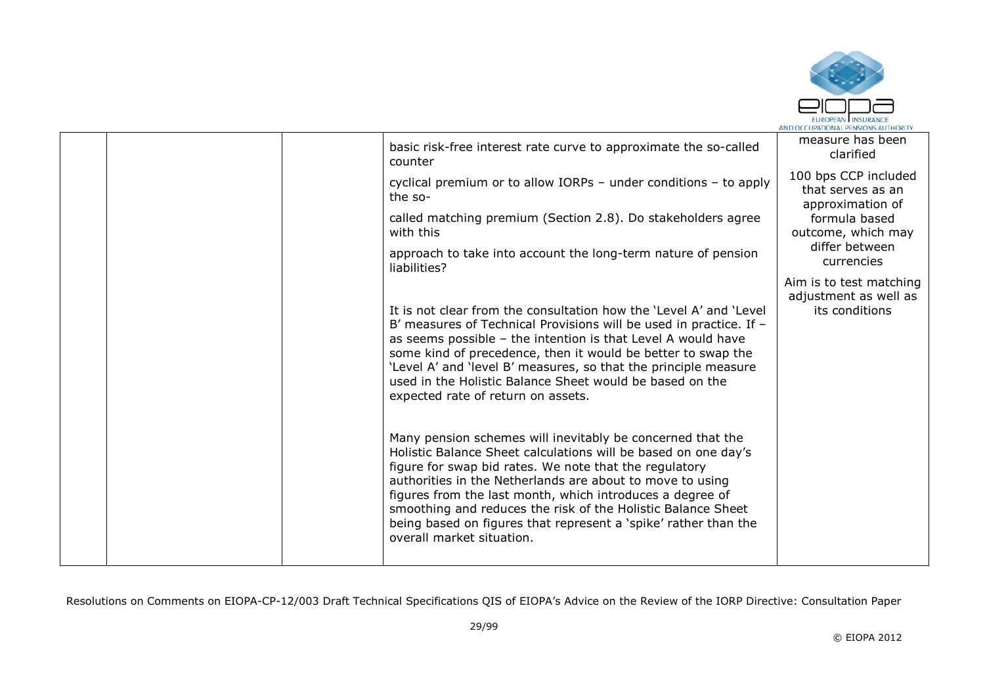

|  | basic risk-free interest rate curve to approximate the so-called<br>counter                                                                                                                                                                                                                                                                                                                                                                                                      | measure has been<br>clarified                                      |
|--|----------------------------------------------------------------------------------------------------------------------------------------------------------------------------------------------------------------------------------------------------------------------------------------------------------------------------------------------------------------------------------------------------------------------------------------------------------------------------------|--------------------------------------------------------------------|
|  | cyclical premium or to allow IORPs - under conditions - to apply<br>the so-                                                                                                                                                                                                                                                                                                                                                                                                      | 100 bps CCP included<br>that serves as an<br>approximation of      |
|  | called matching premium (Section 2.8). Do stakeholders agree<br>with this                                                                                                                                                                                                                                                                                                                                                                                                        | formula based<br>outcome, which may                                |
|  | approach to take into account the long-term nature of pension<br>liabilities?                                                                                                                                                                                                                                                                                                                                                                                                    | differ between<br>currencies                                       |
|  | It is not clear from the consultation how the 'Level A' and 'Level<br>B' measures of Technical Provisions will be used in practice. If -<br>as seems possible $-$ the intention is that Level A would have<br>some kind of precedence, then it would be better to swap the<br>'Level A' and 'level B' measures, so that the principle measure<br>used in the Holistic Balance Sheet would be based on the<br>expected rate of return on assets.                                  | Aim is to test matching<br>adjustment as well as<br>its conditions |
|  | Many pension schemes will inevitably be concerned that the<br>Holistic Balance Sheet calculations will be based on one day's<br>figure for swap bid rates. We note that the regulatory<br>authorities in the Netherlands are about to move to using<br>figures from the last month, which introduces a degree of<br>smoothing and reduces the risk of the Holistic Balance Sheet<br>being based on figures that represent a 'spike' rather than the<br>overall market situation. |                                                                    |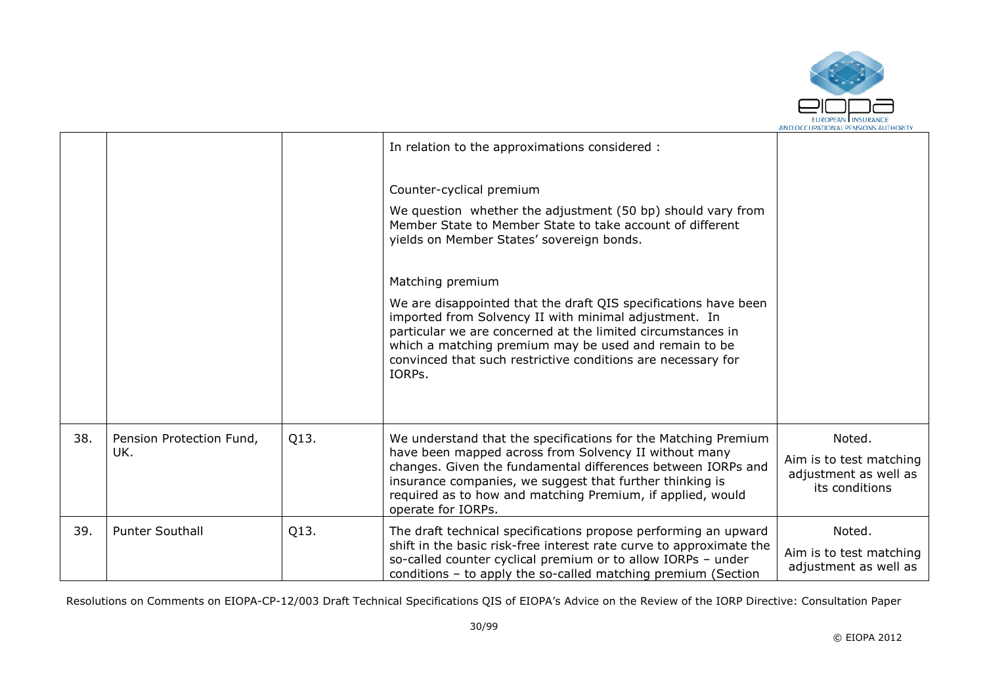

|     |                          |      | In relation to the approximations considered :                                                                                                                                                                                                                                                                             |                                                                    |
|-----|--------------------------|------|----------------------------------------------------------------------------------------------------------------------------------------------------------------------------------------------------------------------------------------------------------------------------------------------------------------------------|--------------------------------------------------------------------|
|     |                          |      | Counter-cyclical premium                                                                                                                                                                                                                                                                                                   |                                                                    |
|     |                          |      | We question whether the adjustment (50 bp) should vary from<br>Member State to Member State to take account of different<br>yields on Member States' sovereign bonds.                                                                                                                                                      |                                                                    |
|     |                          |      | Matching premium                                                                                                                                                                                                                                                                                                           |                                                                    |
|     |                          |      | We are disappointed that the draft QIS specifications have been<br>imported from Solvency II with minimal adjustment. In<br>particular we are concerned at the limited circumstances in<br>which a matching premium may be used and remain to be<br>convinced that such restrictive conditions are necessary for<br>IORPs. |                                                                    |
| 38. | Pension Protection Fund, | Q13. | We understand that the specifications for the Matching Premium                                                                                                                                                                                                                                                             | Noted.                                                             |
|     | UK.                      |      | have been mapped across from Solvency II without many<br>changes. Given the fundamental differences between IORPs and<br>insurance companies, we suggest that further thinking is<br>required as to how and matching Premium, if applied, would<br>operate for IORPs.                                                      | Aim is to test matching<br>adjustment as well as<br>its conditions |
| 39. | <b>Punter Southall</b>   | Q13. | The draft technical specifications propose performing an upward<br>shift in the basic risk-free interest rate curve to approximate the                                                                                                                                                                                     | Noted.                                                             |
|     |                          |      | so-called counter cyclical premium or to allow IORPs - under<br>conditions - to apply the so-called matching premium (Section                                                                                                                                                                                              | Aim is to test matching<br>adjustment as well as                   |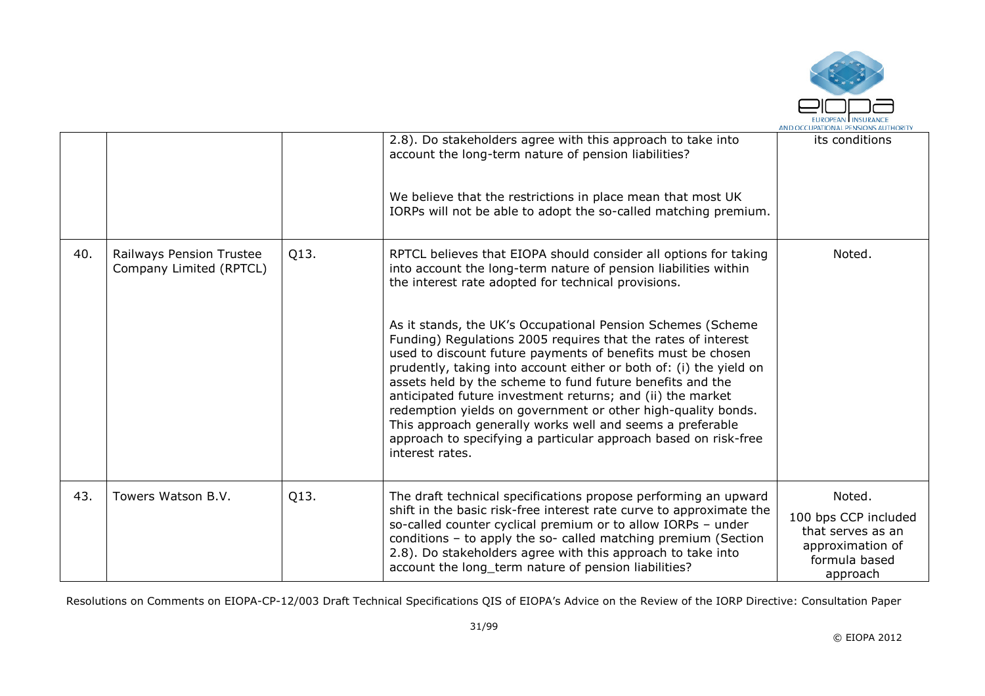

|     |                                                     |      | 2.8). Do stakeholders agree with this approach to take into<br>account the long-term nature of pension liabilities?                                                                                                                                                                                                                                                                                                                                                                                                                                                                                             | its conditions                                                                                       |
|-----|-----------------------------------------------------|------|-----------------------------------------------------------------------------------------------------------------------------------------------------------------------------------------------------------------------------------------------------------------------------------------------------------------------------------------------------------------------------------------------------------------------------------------------------------------------------------------------------------------------------------------------------------------------------------------------------------------|------------------------------------------------------------------------------------------------------|
|     |                                                     |      | We believe that the restrictions in place mean that most UK<br>IORPs will not be able to adopt the so-called matching premium.                                                                                                                                                                                                                                                                                                                                                                                                                                                                                  |                                                                                                      |
| 40. | Railways Pension Trustee<br>Company Limited (RPTCL) | Q13. | RPTCL believes that EIOPA should consider all options for taking<br>into account the long-term nature of pension liabilities within<br>the interest rate adopted for technical provisions.                                                                                                                                                                                                                                                                                                                                                                                                                      | Noted.                                                                                               |
|     |                                                     |      | As it stands, the UK's Occupational Pension Schemes (Scheme<br>Funding) Regulations 2005 requires that the rates of interest<br>used to discount future payments of benefits must be chosen<br>prudently, taking into account either or both of: (i) the yield on<br>assets held by the scheme to fund future benefits and the<br>anticipated future investment returns; and (ii) the market<br>redemption yields on government or other high-quality bonds.<br>This approach generally works well and seems a preferable<br>approach to specifying a particular approach based on risk-free<br>interest rates. |                                                                                                      |
| 43. | Towers Watson B.V.                                  | Q13. | The draft technical specifications propose performing an upward<br>shift in the basic risk-free interest rate curve to approximate the<br>so-called counter cyclical premium or to allow IORPs - under<br>conditions - to apply the so- called matching premium (Section<br>2.8). Do stakeholders agree with this approach to take into<br>account the long_term nature of pension liabilities?                                                                                                                                                                                                                 | Noted.<br>100 bps CCP included<br>that serves as an<br>approximation of<br>formula based<br>approach |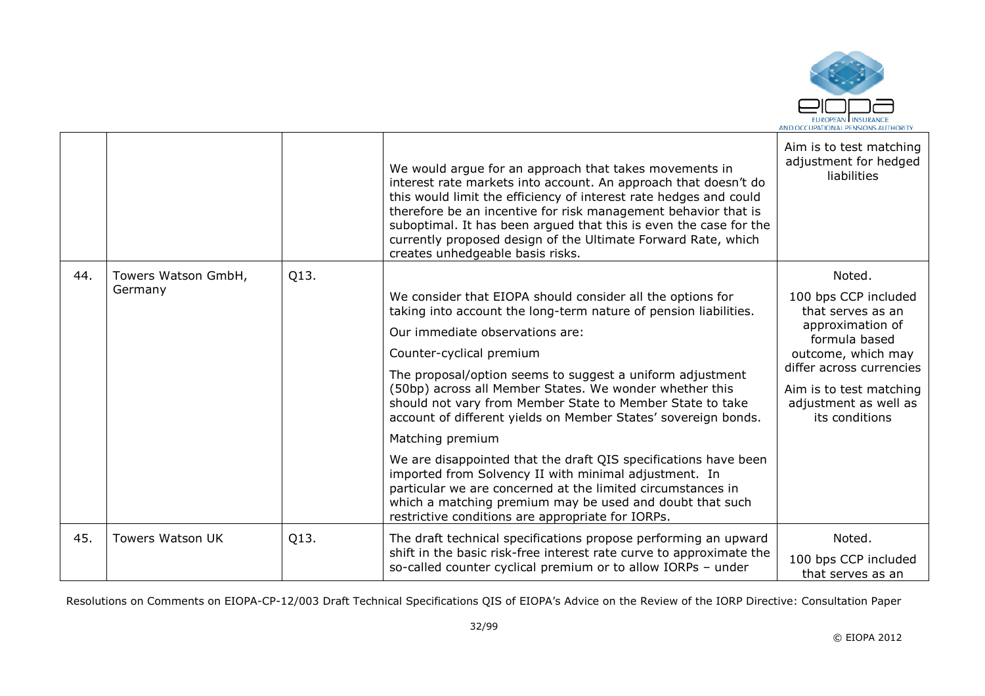

|     |                     |      | We would argue for an approach that takes movements in<br>interest rate markets into account. An approach that doesn't do<br>this would limit the efficiency of interest rate hedges and could<br>therefore be an incentive for risk management behavior that is<br>suboptimal. It has been argued that this is even the case for the<br>currently proposed design of the Ultimate Forward Rate, which<br>creates unhedgeable basis risks. | Aim is to test matching<br>adjustment for hedged<br>liabilities    |
|-----|---------------------|------|--------------------------------------------------------------------------------------------------------------------------------------------------------------------------------------------------------------------------------------------------------------------------------------------------------------------------------------------------------------------------------------------------------------------------------------------|--------------------------------------------------------------------|
| 44. | Towers Watson GmbH, | Q13. |                                                                                                                                                                                                                                                                                                                                                                                                                                            | Noted.                                                             |
|     | Germany             |      | We consider that EIOPA should consider all the options for<br>taking into account the long-term nature of pension liabilities.                                                                                                                                                                                                                                                                                                             | 100 bps CCP included<br>that serves as an                          |
|     |                     |      | Our immediate observations are:                                                                                                                                                                                                                                                                                                                                                                                                            | approximation of<br>formula based<br>outcome, which may            |
|     |                     |      | Counter-cyclical premium                                                                                                                                                                                                                                                                                                                                                                                                                   |                                                                    |
|     |                     |      | The proposal/option seems to suggest a uniform adjustment                                                                                                                                                                                                                                                                                                                                                                                  | differ across currencies                                           |
|     |                     |      | (50bp) across all Member States. We wonder whether this<br>should not vary from Member State to Member State to take<br>account of different yields on Member States' sovereign bonds.                                                                                                                                                                                                                                                     | Aim is to test matching<br>adjustment as well as<br>its conditions |
|     |                     |      | Matching premium                                                                                                                                                                                                                                                                                                                                                                                                                           |                                                                    |
|     |                     |      | We are disappointed that the draft QIS specifications have been<br>imported from Solvency II with minimal adjustment. In<br>particular we are concerned at the limited circumstances in<br>which a matching premium may be used and doubt that such<br>restrictive conditions are appropriate for IORPs.                                                                                                                                   |                                                                    |
| 45. | Towers Watson UK    | Q13. | The draft technical specifications propose performing an upward                                                                                                                                                                                                                                                                                                                                                                            | Noted.                                                             |
|     |                     |      | shift in the basic risk-free interest rate curve to approximate the<br>so-called counter cyclical premium or to allow IORPs - under                                                                                                                                                                                                                                                                                                        | 100 bps CCP included<br>that serves as an                          |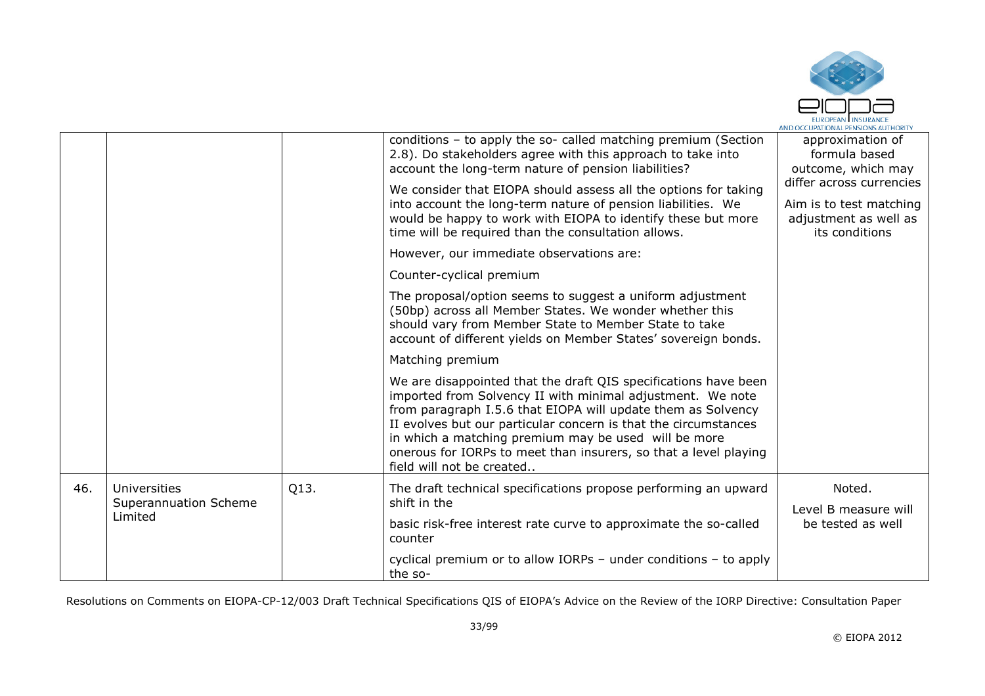

|         |                                       |      | conditions - to apply the so- called matching premium (Section<br>2.8). Do stakeholders agree with this approach to take into<br>account the long-term nature of pension liabilities?<br>We consider that EIOPA should assess all the options for taking<br>into account the long-term nature of pension liabilities. We<br>would be happy to work with EIOPA to identify these but more<br>time will be required than the consultation allows. | approximation of<br>formula based<br>outcome, which may<br>differ across currencies<br>Aim is to test matching<br>adjustment as well as<br>its conditions |
|---------|---------------------------------------|------|-------------------------------------------------------------------------------------------------------------------------------------------------------------------------------------------------------------------------------------------------------------------------------------------------------------------------------------------------------------------------------------------------------------------------------------------------|-----------------------------------------------------------------------------------------------------------------------------------------------------------|
|         |                                       |      | However, our immediate observations are:                                                                                                                                                                                                                                                                                                                                                                                                        |                                                                                                                                                           |
|         |                                       |      | Counter-cyclical premium                                                                                                                                                                                                                                                                                                                                                                                                                        |                                                                                                                                                           |
|         |                                       |      | The proposal/option seems to suggest a uniform adjustment<br>(50bp) across all Member States. We wonder whether this<br>should vary from Member State to Member State to take<br>account of different yields on Member States' sovereign bonds.                                                                                                                                                                                                 |                                                                                                                                                           |
|         |                                       |      | Matching premium                                                                                                                                                                                                                                                                                                                                                                                                                                |                                                                                                                                                           |
|         |                                       |      | We are disappointed that the draft QIS specifications have been<br>imported from Solvency II with minimal adjustment. We note<br>from paragraph I.5.6 that EIOPA will update them as Solvency<br>II evolves but our particular concern is that the circumstances<br>in which a matching premium may be used will be more<br>onerous for IORPs to meet than insurers, so that a level playing<br>field will not be created                       |                                                                                                                                                           |
| 46.     | Universities<br>Superannuation Scheme | Q13. | The draft technical specifications propose performing an upward<br>shift in the                                                                                                                                                                                                                                                                                                                                                                 | Noted.                                                                                                                                                    |
| Limited |                                       |      | basic risk-free interest rate curve to approximate the so-called<br>counter                                                                                                                                                                                                                                                                                                                                                                     | Level B measure will<br>be tested as well                                                                                                                 |
|         |                                       |      | cyclical premium or to allow IORPs $-$ under conditions $-$ to apply<br>the so-                                                                                                                                                                                                                                                                                                                                                                 |                                                                                                                                                           |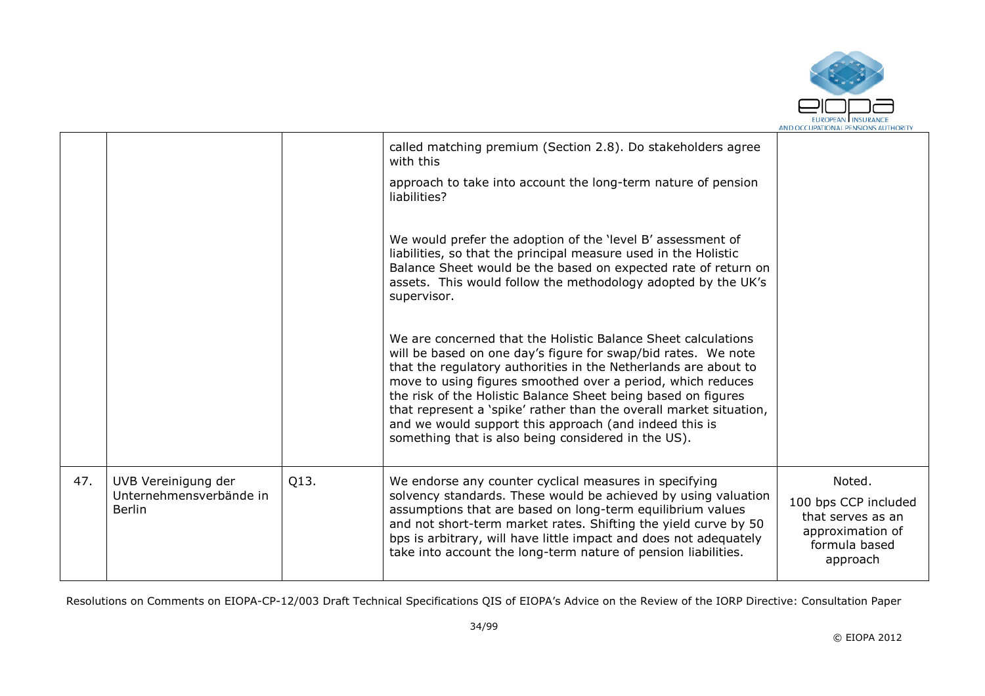

|     |                                                                 |      | called matching premium (Section 2.8). Do stakeholders agree<br>with this                                                                                                                                                                                                                                                                                                                                                                                                                                                |                                                                                                      |
|-----|-----------------------------------------------------------------|------|--------------------------------------------------------------------------------------------------------------------------------------------------------------------------------------------------------------------------------------------------------------------------------------------------------------------------------------------------------------------------------------------------------------------------------------------------------------------------------------------------------------------------|------------------------------------------------------------------------------------------------------|
|     |                                                                 |      | approach to take into account the long-term nature of pension<br>liabilities?                                                                                                                                                                                                                                                                                                                                                                                                                                            |                                                                                                      |
|     |                                                                 |      | We would prefer the adoption of the 'level B' assessment of<br>liabilities, so that the principal measure used in the Holistic<br>Balance Sheet would be the based on expected rate of return on<br>assets. This would follow the methodology adopted by the UK's<br>supervisor.                                                                                                                                                                                                                                         |                                                                                                      |
|     |                                                                 |      | We are concerned that the Holistic Balance Sheet calculations<br>will be based on one day's figure for swap/bid rates. We note<br>that the regulatory authorities in the Netherlands are about to<br>move to using figures smoothed over a period, which reduces<br>the risk of the Holistic Balance Sheet being based on figures<br>that represent a 'spike' rather than the overall market situation,<br>and we would support this approach (and indeed this is<br>something that is also being considered in the US). |                                                                                                      |
| 47. | UVB Vereinigung der<br>Unternehmensverbände in<br><b>Berlin</b> | Q13. | We endorse any counter cyclical measures in specifying<br>solvency standards. These would be achieved by using valuation<br>assumptions that are based on long-term equilibrium values<br>and not short-term market rates. Shifting the yield curve by 50<br>bps is arbitrary, will have little impact and does not adequately<br>take into account the long-term nature of pension liabilities.                                                                                                                         | Noted.<br>100 bps CCP included<br>that serves as an<br>approximation of<br>formula based<br>approach |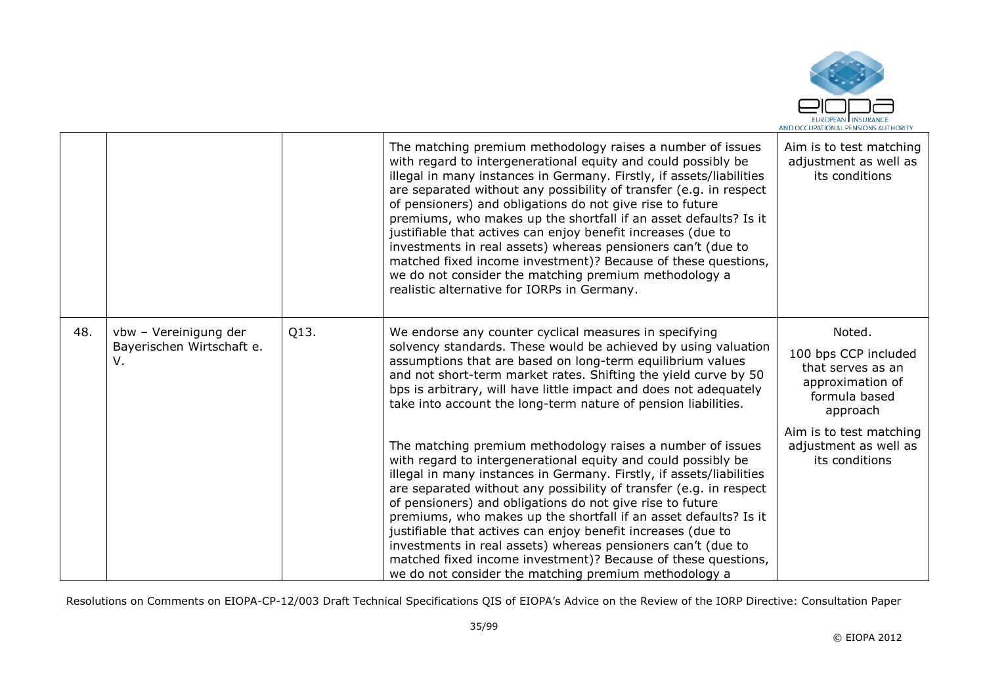

|     |                                                          |      | The matching premium methodology raises a number of issues<br>with regard to intergenerational equity and could possibly be<br>illegal in many instances in Germany. Firstly, if assets/liabilities<br>are separated without any possibility of transfer (e.g. in respect<br>of pensioners) and obligations do not give rise to future<br>premiums, who makes up the shortfall if an asset defaults? Is it<br>justifiable that actives can enjoy benefit increases (due to<br>investments in real assets) whereas pensioners can't (due to<br>matched fixed income investment)? Because of these questions,<br>we do not consider the matching premium methodology a<br>realistic alternative for IORPs in Germany. | Aim is to test matching<br>adjustment as well as<br>its conditions                                   |
|-----|----------------------------------------------------------|------|---------------------------------------------------------------------------------------------------------------------------------------------------------------------------------------------------------------------------------------------------------------------------------------------------------------------------------------------------------------------------------------------------------------------------------------------------------------------------------------------------------------------------------------------------------------------------------------------------------------------------------------------------------------------------------------------------------------------|------------------------------------------------------------------------------------------------------|
| 48. | vbw - Vereinigung der<br>Bayerischen Wirtschaft e.<br>v. | Q13. | We endorse any counter cyclical measures in specifying<br>solvency standards. These would be achieved by using valuation<br>assumptions that are based on long-term equilibrium values<br>and not short-term market rates. Shifting the yield curve by 50<br>bps is arbitrary, will have little impact and does not adequately<br>take into account the long-term nature of pension liabilities.                                                                                                                                                                                                                                                                                                                    | Noted.<br>100 bps CCP included<br>that serves as an<br>approximation of<br>formula based<br>approach |
|     |                                                          |      | The matching premium methodology raises a number of issues<br>with regard to intergenerational equity and could possibly be<br>illegal in many instances in Germany. Firstly, if assets/liabilities<br>are separated without any possibility of transfer (e.g. in respect)<br>of pensioners) and obligations do not give rise to future<br>premiums, who makes up the shortfall if an asset defaults? Is it<br>justifiable that actives can enjoy benefit increases (due to<br>investments in real assets) whereas pensioners can't (due to<br>matched fixed income investment)? Because of these questions,<br>we do not consider the matching premium methodology a                                               | Aim is to test matching<br>adjustment as well as<br>its conditions                                   |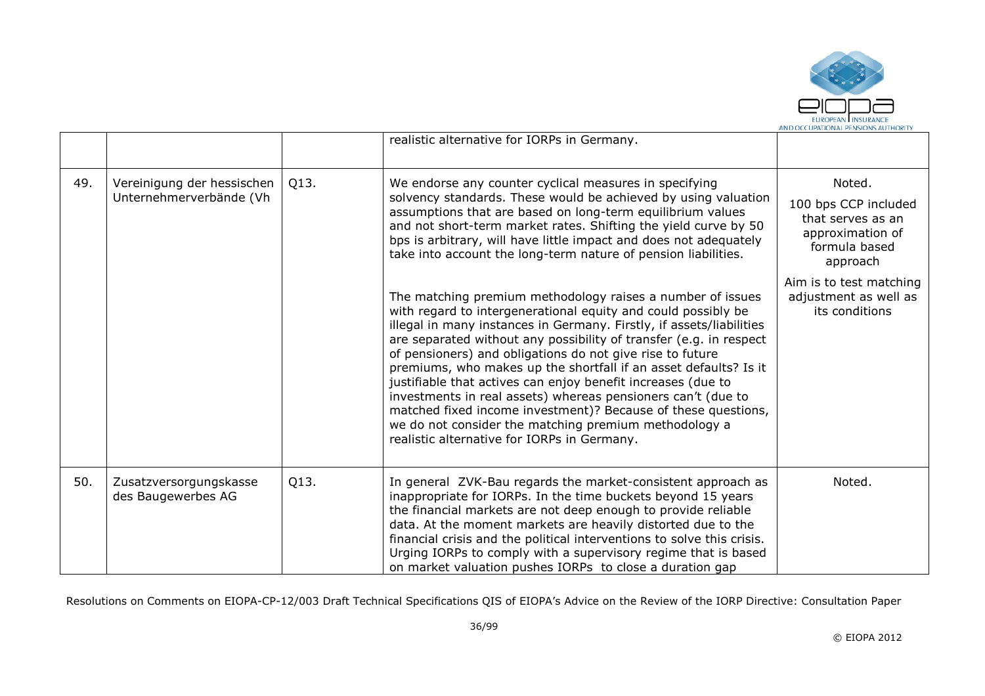

|     |                                                       |      | realistic alternative for IORPs in Germany.                                                                                                                                                                                                                                                                                                                                                                                                                                                                                                                                                                                                                                                                         |                                                                                                      |
|-----|-------------------------------------------------------|------|---------------------------------------------------------------------------------------------------------------------------------------------------------------------------------------------------------------------------------------------------------------------------------------------------------------------------------------------------------------------------------------------------------------------------------------------------------------------------------------------------------------------------------------------------------------------------------------------------------------------------------------------------------------------------------------------------------------------|------------------------------------------------------------------------------------------------------|
| 49. | Vereinigung der hessischen<br>Unternehmerverbände (Vh | Q13. | We endorse any counter cyclical measures in specifying<br>solvency standards. These would be achieved by using valuation<br>assumptions that are based on long-term equilibrium values<br>and not short-term market rates. Shifting the yield curve by 50<br>bps is arbitrary, will have little impact and does not adequately<br>take into account the long-term nature of pension liabilities.                                                                                                                                                                                                                                                                                                                    | Noted.<br>100 bps CCP included<br>that serves as an<br>approximation of<br>formula based<br>approach |
|     |                                                       |      | The matching premium methodology raises a number of issues<br>with regard to intergenerational equity and could possibly be<br>illegal in many instances in Germany. Firstly, if assets/liabilities<br>are separated without any possibility of transfer (e.g. in respect<br>of pensioners) and obligations do not give rise to future<br>premiums, who makes up the shortfall if an asset defaults? Is it<br>justifiable that actives can enjoy benefit increases (due to<br>investments in real assets) whereas pensioners can't (due to<br>matched fixed income investment)? Because of these questions,<br>we do not consider the matching premium methodology a<br>realistic alternative for IORPs in Germany. | Aim is to test matching<br>adjustment as well as<br>its conditions                                   |
| 50. | Zusatzversorgungskasse<br>des Baugewerbes AG          | Q13. | In general ZVK-Bau regards the market-consistent approach as<br>inappropriate for IORPs. In the time buckets beyond 15 years<br>the financial markets are not deep enough to provide reliable<br>data. At the moment markets are heavily distorted due to the<br>financial crisis and the political interventions to solve this crisis.<br>Urging IORPs to comply with a supervisory regime that is based<br>on market valuation pushes IORPs to close a duration gap                                                                                                                                                                                                                                               | Noted.                                                                                               |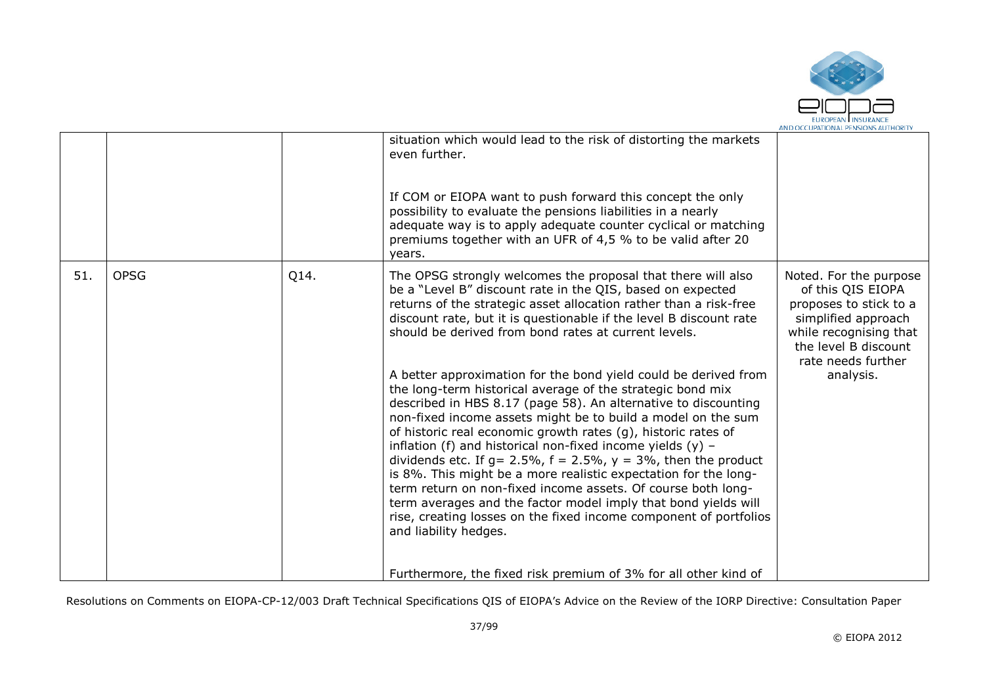

|                            | adequate way is to apply adequate counter cyclical or matching<br>premiums together with an UFR of 4,5 % to be valid after 20<br>years.                                                                                                                                                                                                                                                                                                                                                                                                                                                                                                                                                                                                                                                                                                                                                                                                                                                                                                                                                                                                                                               |                                                                                                                                                                                   |
|----------------------------|---------------------------------------------------------------------------------------------------------------------------------------------------------------------------------------------------------------------------------------------------------------------------------------------------------------------------------------------------------------------------------------------------------------------------------------------------------------------------------------------------------------------------------------------------------------------------------------------------------------------------------------------------------------------------------------------------------------------------------------------------------------------------------------------------------------------------------------------------------------------------------------------------------------------------------------------------------------------------------------------------------------------------------------------------------------------------------------------------------------------------------------------------------------------------------------|-----------------------------------------------------------------------------------------------------------------------------------------------------------------------------------|
| <b>OPSG</b><br>Q14.<br>51. | The OPSG strongly welcomes the proposal that there will also<br>be a "Level B" discount rate in the QIS, based on expected<br>returns of the strategic asset allocation rather than a risk-free<br>discount rate, but it is questionable if the level B discount rate<br>should be derived from bond rates at current levels.<br>A better approximation for the bond yield could be derived from<br>the long-term historical average of the strategic bond mix<br>described in HBS 8.17 (page 58). An alternative to discounting<br>non-fixed income assets might be to build a model on the sum<br>of historic real economic growth rates (g), historic rates of<br>inflation (f) and historical non-fixed income yields $(y)$ -<br>dividends etc. If $g = 2.5\%$ , $f = 2.5\%$ , $y = 3\%$ , then the product<br>is 8%. This might be a more realistic expectation for the long-<br>term return on non-fixed income assets. Of course both long-<br>term averages and the factor model imply that bond yields will<br>rise, creating losses on the fixed income component of portfolios<br>and liability hedges.<br>Furthermore, the fixed risk premium of 3% for all other kind of | Noted. For the purpose<br>of this QIS EIOPA<br>proposes to stick to a<br>simplified approach<br>while recognising that<br>the level B discount<br>rate needs further<br>analysis. |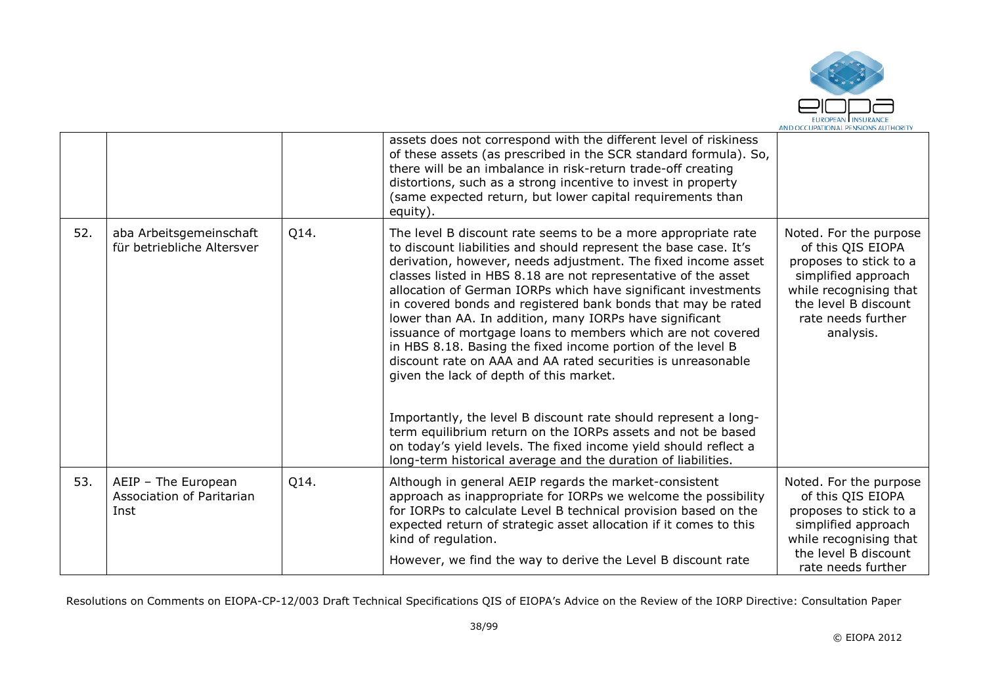

|     |                                                          |      | assets does not correspond with the different level of riskiness<br>of these assets (as prescribed in the SCR standard formula). So,<br>there will be an imbalance in risk-return trade-off creating<br>distortions, such as a strong incentive to invest in property<br>(same expected return, but lower capital requirements than<br>equity).                                                                                                                                                                                                                                                                                                                                                                                                                                                                                                                                                                                                                                   |                                                                                                                                                                                   |
|-----|----------------------------------------------------------|------|-----------------------------------------------------------------------------------------------------------------------------------------------------------------------------------------------------------------------------------------------------------------------------------------------------------------------------------------------------------------------------------------------------------------------------------------------------------------------------------------------------------------------------------------------------------------------------------------------------------------------------------------------------------------------------------------------------------------------------------------------------------------------------------------------------------------------------------------------------------------------------------------------------------------------------------------------------------------------------------|-----------------------------------------------------------------------------------------------------------------------------------------------------------------------------------|
| 52. | aba Arbeitsgemeinschaft<br>für betriebliche Altersver    | Q14. | The level B discount rate seems to be a more appropriate rate<br>to discount liabilities and should represent the base case. It's<br>derivation, however, needs adjustment. The fixed income asset<br>classes listed in HBS 8.18 are not representative of the asset<br>allocation of German IORPs which have significant investments<br>in covered bonds and registered bank bonds that may be rated<br>lower than AA. In addition, many IORPs have significant<br>issuance of mortgage loans to members which are not covered<br>in HBS 8.18. Basing the fixed income portion of the level B<br>discount rate on AAA and AA rated securities is unreasonable<br>given the lack of depth of this market.<br>Importantly, the level B discount rate should represent a long-<br>term equilibrium return on the IORPs assets and not be based<br>on today's yield levels. The fixed income yield should reflect a<br>long-term historical average and the duration of liabilities. | Noted. For the purpose<br>of this QIS EIOPA<br>proposes to stick to a<br>simplified approach<br>while recognising that<br>the level B discount<br>rate needs further<br>analysis. |
| 53. | AEIP - The European<br>Association of Paritarian<br>Inst | Q14. | Although in general AEIP regards the market-consistent<br>approach as inappropriate for IORPs we welcome the possibility<br>for IORPs to calculate Level B technical provision based on the<br>expected return of strategic asset allocation if it comes to this<br>kind of regulation.<br>However, we find the way to derive the Level B discount rate                                                                                                                                                                                                                                                                                                                                                                                                                                                                                                                                                                                                                           | Noted. For the purpose<br>of this QIS EIOPA<br>proposes to stick to a<br>simplified approach<br>while recognising that<br>the level B discount<br>rate needs further              |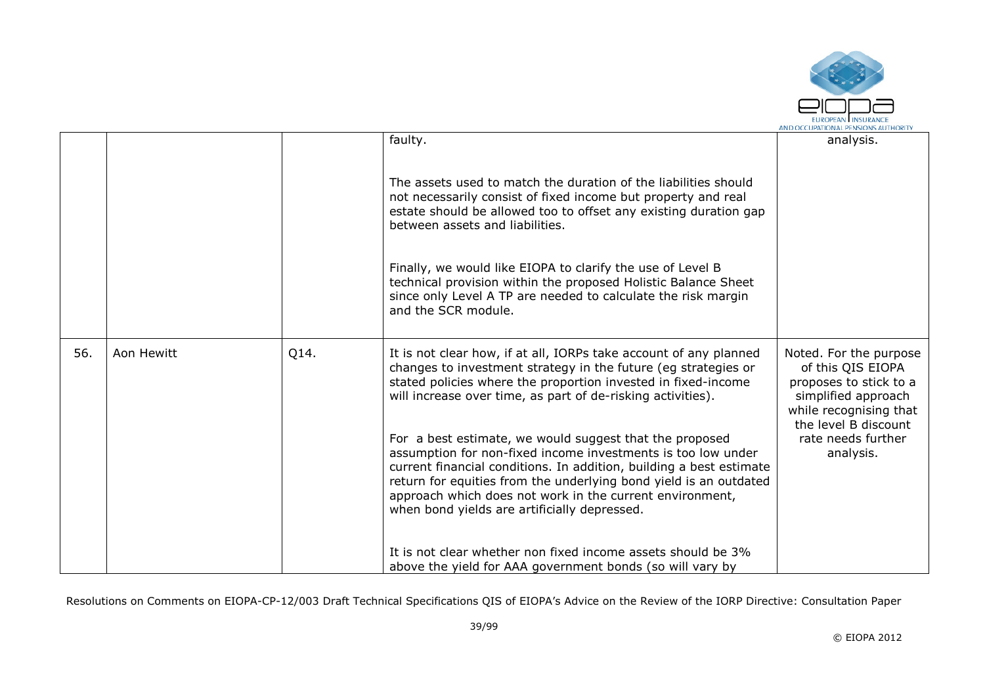

|     |            |      | faulty.                                                                                                                                                                                                                                                                                                                                                                         | analysis.                                                                                                                                      |
|-----|------------|------|---------------------------------------------------------------------------------------------------------------------------------------------------------------------------------------------------------------------------------------------------------------------------------------------------------------------------------------------------------------------------------|------------------------------------------------------------------------------------------------------------------------------------------------|
|     |            |      | The assets used to match the duration of the liabilities should<br>not necessarily consist of fixed income but property and real<br>estate should be allowed too to offset any existing duration gap<br>between assets and liabilities.<br>Finally, we would like EIOPA to clarify the use of Level B                                                                           |                                                                                                                                                |
|     |            |      | technical provision within the proposed Holistic Balance Sheet<br>since only Level A TP are needed to calculate the risk margin<br>and the SCR module.                                                                                                                                                                                                                          |                                                                                                                                                |
| 56. | Aon Hewitt | Q14. | It is not clear how, if at all, IORPs take account of any planned<br>changes to investment strategy in the future (eg strategies or<br>stated policies where the proportion invested in fixed-income<br>will increase over time, as part of de-risking activities).                                                                                                             | Noted. For the purpose<br>of this QIS EIOPA<br>proposes to stick to a<br>simplified approach<br>while recognising that<br>the level B discount |
|     |            |      | For a best estimate, we would suggest that the proposed<br>assumption for non-fixed income investments is too low under<br>current financial conditions. In addition, building a best estimate<br>return for equities from the underlying bond yield is an outdated<br>approach which does not work in the current environment,<br>when bond yields are artificially depressed. | rate needs further<br>analysis.                                                                                                                |
|     |            |      | It is not clear whether non fixed income assets should be 3%<br>above the yield for AAA government bonds (so will vary by                                                                                                                                                                                                                                                       |                                                                                                                                                |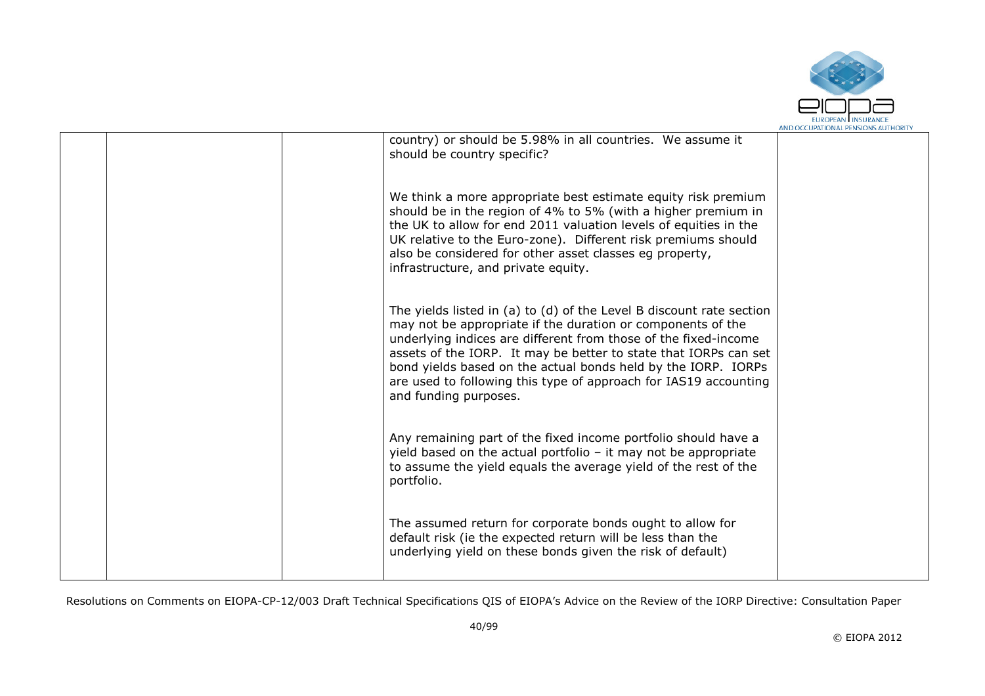

|  | country) or should be 5.98% in all countries. We assume it<br>should be country specific?                                                                                                                                                                                                                                                                                                                                                |  |
|--|------------------------------------------------------------------------------------------------------------------------------------------------------------------------------------------------------------------------------------------------------------------------------------------------------------------------------------------------------------------------------------------------------------------------------------------|--|
|  | We think a more appropriate best estimate equity risk premium<br>should be in the region of 4% to 5% (with a higher premium in<br>the UK to allow for end 2011 valuation levels of equities in the<br>UK relative to the Euro-zone). Different risk premiums should<br>also be considered for other asset classes eg property,<br>infrastructure, and private equity.                                                                    |  |
|  | The yields listed in (a) to (d) of the Level B discount rate section<br>may not be appropriate if the duration or components of the<br>underlying indices are different from those of the fixed-income<br>assets of the IORP. It may be better to state that IORPs can set<br>bond yields based on the actual bonds held by the IORP. IORPs<br>are used to following this type of approach for IAS19 accounting<br>and funding purposes. |  |
|  | Any remaining part of the fixed income portfolio should have a<br>yield based on the actual portfolio - it may not be appropriate<br>to assume the yield equals the average yield of the rest of the<br>portfolio.                                                                                                                                                                                                                       |  |
|  | The assumed return for corporate bonds ought to allow for<br>default risk (ie the expected return will be less than the<br>underlying yield on these bonds given the risk of default)                                                                                                                                                                                                                                                    |  |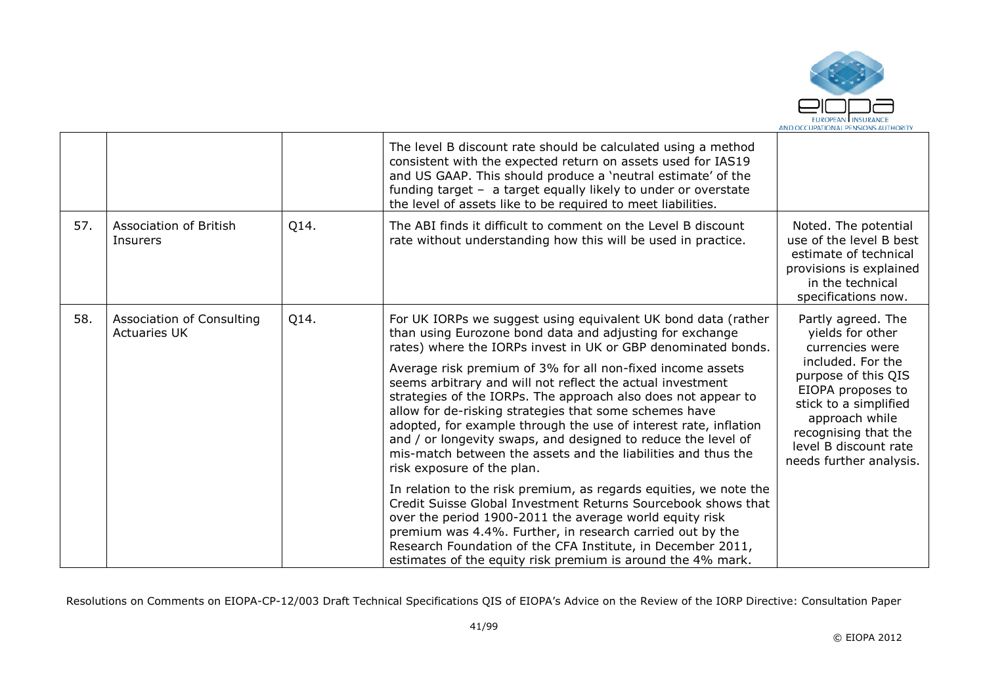

|     |                                                  |      | The level B discount rate should be calculated using a method<br>consistent with the expected return on assets used for IAS19<br>and US GAAP. This should produce a 'neutral estimate' of the<br>funding target - a target equally likely to under or overstate<br>the level of assets like to be required to meet liabilities.                                                                                                                                                                                                                                                                                                                                                                                                                                                                                                                                                                                                                                                                                                                                                   |                                                                                                                                                                                                                                                   |
|-----|--------------------------------------------------|------|-----------------------------------------------------------------------------------------------------------------------------------------------------------------------------------------------------------------------------------------------------------------------------------------------------------------------------------------------------------------------------------------------------------------------------------------------------------------------------------------------------------------------------------------------------------------------------------------------------------------------------------------------------------------------------------------------------------------------------------------------------------------------------------------------------------------------------------------------------------------------------------------------------------------------------------------------------------------------------------------------------------------------------------------------------------------------------------|---------------------------------------------------------------------------------------------------------------------------------------------------------------------------------------------------------------------------------------------------|
| 57. | Association of British<br>Insurers               | Q14. | The ABI finds it difficult to comment on the Level B discount<br>rate without understanding how this will be used in practice.                                                                                                                                                                                                                                                                                                                                                                                                                                                                                                                                                                                                                                                                                                                                                                                                                                                                                                                                                    | Noted. The potential<br>use of the level B best<br>estimate of technical<br>provisions is explained<br>in the technical<br>specifications now.                                                                                                    |
| 58. | Association of Consulting<br><b>Actuaries UK</b> | Q14. | For UK IORPs we suggest using equivalent UK bond data (rather<br>than using Eurozone bond data and adjusting for exchange<br>rates) where the IORPs invest in UK or GBP denominated bonds.<br>Average risk premium of 3% for all non-fixed income assets<br>seems arbitrary and will not reflect the actual investment<br>strategies of the IORPs. The approach also does not appear to<br>allow for de-risking strategies that some schemes have<br>adopted, for example through the use of interest rate, inflation<br>and / or longevity swaps, and designed to reduce the level of<br>mis-match between the assets and the liabilities and thus the<br>risk exposure of the plan.<br>In relation to the risk premium, as regards equities, we note the<br>Credit Suisse Global Investment Returns Sourcebook shows that<br>over the period 1900-2011 the average world equity risk<br>premium was 4.4%. Further, in research carried out by the<br>Research Foundation of the CFA Institute, in December 2011,<br>estimates of the equity risk premium is around the 4% mark. | Partly agreed. The<br>yields for other<br>currencies were<br>included. For the<br>purpose of this QIS<br>EIOPA proposes to<br>stick to a simplified<br>approach while<br>recognising that the<br>level B discount rate<br>needs further analysis. |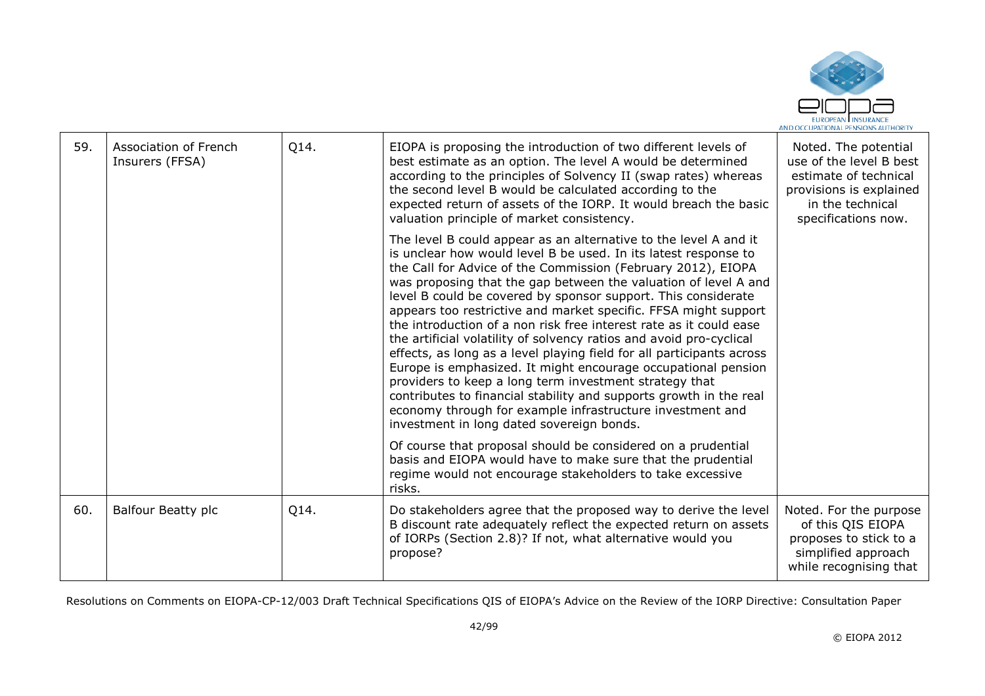

| 59. | Association of French<br>Insurers (FFSA) | Q14. | EIOPA is proposing the introduction of two different levels of<br>best estimate as an option. The level A would be determined<br>according to the principles of Solvency II (swap rates) whereas<br>the second level B would be calculated according to the<br>expected return of assets of the IORP. It would breach the basic<br>valuation principle of market consistency.                                                                                                                                                                                                                                                                                                                                                                                                                                                                                                                                                               | Noted. The potential<br>use of the level B best<br>estimate of technical<br>provisions is explained<br>in the technical<br>specifications now. |
|-----|------------------------------------------|------|---------------------------------------------------------------------------------------------------------------------------------------------------------------------------------------------------------------------------------------------------------------------------------------------------------------------------------------------------------------------------------------------------------------------------------------------------------------------------------------------------------------------------------------------------------------------------------------------------------------------------------------------------------------------------------------------------------------------------------------------------------------------------------------------------------------------------------------------------------------------------------------------------------------------------------------------|------------------------------------------------------------------------------------------------------------------------------------------------|
|     |                                          |      | The level B could appear as an alternative to the level A and it<br>is unclear how would level B be used. In its latest response to<br>the Call for Advice of the Commission (February 2012), EIOPA<br>was proposing that the gap between the valuation of level A and<br>level B could be covered by sponsor support. This considerate<br>appears too restrictive and market specific. FFSA might support<br>the introduction of a non risk free interest rate as it could ease<br>the artificial volatility of solvency ratios and avoid pro-cyclical<br>effects, as long as a level playing field for all participants across<br>Europe is emphasized. It might encourage occupational pension<br>providers to keep a long term investment strategy that<br>contributes to financial stability and supports growth in the real<br>economy through for example infrastructure investment and<br>investment in long dated sovereign bonds. |                                                                                                                                                |
|     |                                          |      | Of course that proposal should be considered on a prudential<br>basis and EIOPA would have to make sure that the prudential<br>regime would not encourage stakeholders to take excessive<br>risks.                                                                                                                                                                                                                                                                                                                                                                                                                                                                                                                                                                                                                                                                                                                                          |                                                                                                                                                |
| 60. | <b>Balfour Beatty plc</b>                | Q14. | Do stakeholders agree that the proposed way to derive the level<br>B discount rate adequately reflect the expected return on assets<br>of IORPs (Section 2.8)? If not, what alternative would you<br>propose?                                                                                                                                                                                                                                                                                                                                                                                                                                                                                                                                                                                                                                                                                                                               | Noted. For the purpose<br>of this QIS EIOPA<br>proposes to stick to a<br>simplified approach<br>while recognising that                         |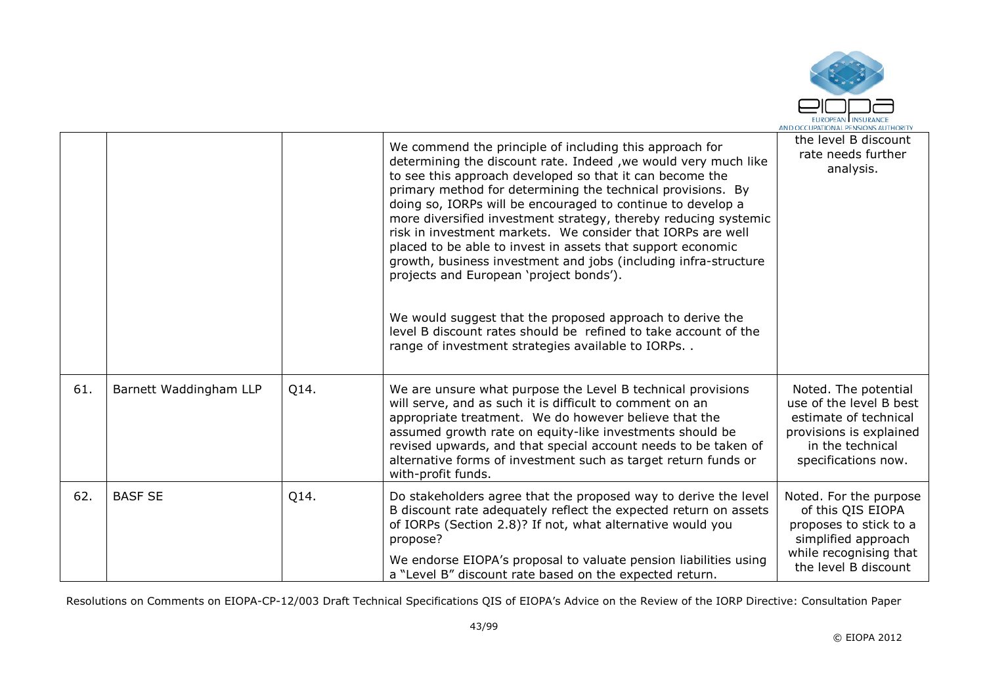

|     |                        |      | We commend the principle of including this approach for<br>determining the discount rate. Indeed, we would very much like<br>to see this approach developed so that it can become the<br>primary method for determining the technical provisions. By<br>doing so, IORPs will be encouraged to continue to develop a<br>more diversified investment strategy, thereby reducing systemic<br>risk in investment markets. We consider that IORPs are well<br>placed to be able to invest in assets that support economic<br>growth, business investment and jobs (including infra-structure<br>projects and European 'project bonds').<br>We would suggest that the proposed approach to derive the<br>level B discount rates should be refined to take account of the<br>range of investment strategies available to IORPs | the level B discount<br>rate needs further<br>analysis.                                                                                        |
|-----|------------------------|------|-------------------------------------------------------------------------------------------------------------------------------------------------------------------------------------------------------------------------------------------------------------------------------------------------------------------------------------------------------------------------------------------------------------------------------------------------------------------------------------------------------------------------------------------------------------------------------------------------------------------------------------------------------------------------------------------------------------------------------------------------------------------------------------------------------------------------|------------------------------------------------------------------------------------------------------------------------------------------------|
| 61. | Barnett Waddingham LLP | Q14. | We are unsure what purpose the Level B technical provisions<br>will serve, and as such it is difficult to comment on an<br>appropriate treatment. We do however believe that the<br>assumed growth rate on equity-like investments should be<br>revised upwards, and that special account needs to be taken of<br>alternative forms of investment such as target return funds or<br>with-profit funds.                                                                                                                                                                                                                                                                                                                                                                                                                  | Noted. The potential<br>use of the level B best<br>estimate of technical<br>provisions is explained<br>in the technical<br>specifications now. |
| 62. | <b>BASF SE</b>         | Q14. | Do stakeholders agree that the proposed way to derive the level<br>B discount rate adequately reflect the expected return on assets<br>of IORPs (Section 2.8)? If not, what alternative would you<br>propose?<br>We endorse EIOPA's proposal to valuate pension liabilities using<br>a "Level B" discount rate based on the expected return.                                                                                                                                                                                                                                                                                                                                                                                                                                                                            | Noted. For the purpose<br>of this QIS EIOPA<br>proposes to stick to a<br>simplified approach<br>while recognising that<br>the level B discount |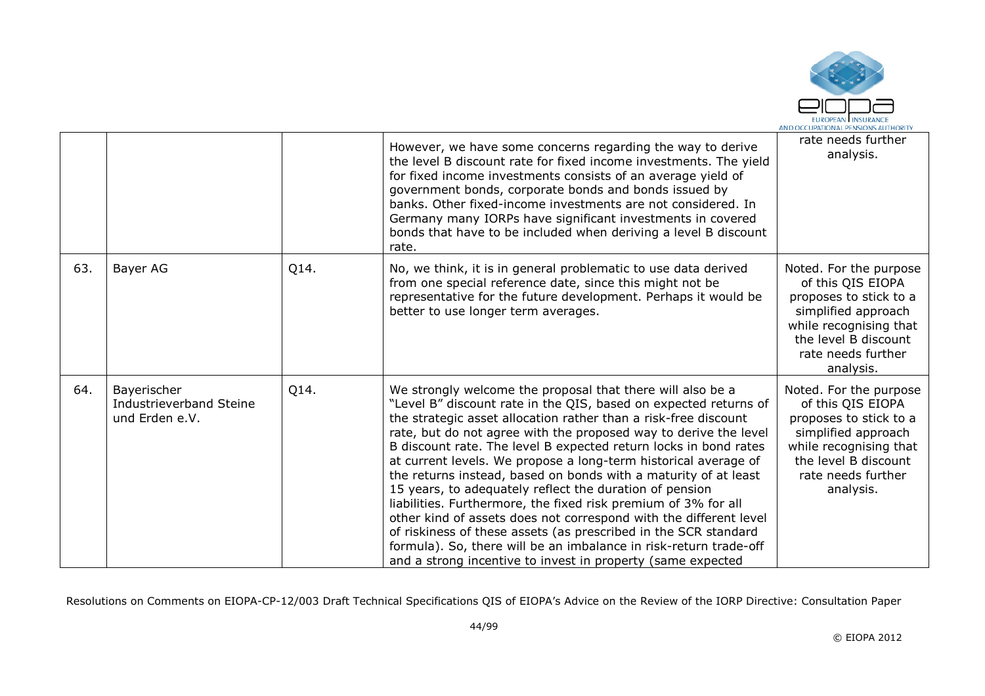

|     |                                                          |      | However, we have some concerns regarding the way to derive<br>the level B discount rate for fixed income investments. The yield<br>for fixed income investments consists of an average yield of<br>government bonds, corporate bonds and bonds issued by<br>banks. Other fixed-income investments are not considered. In<br>Germany many IORPs have significant investments in covered<br>bonds that have to be included when deriving a level B discount<br>rate.                                                                                                                                                                                                                                                                                                                                                                                                                       | rate needs further<br>analysis.                                                                                                                                                   |
|-----|----------------------------------------------------------|------|------------------------------------------------------------------------------------------------------------------------------------------------------------------------------------------------------------------------------------------------------------------------------------------------------------------------------------------------------------------------------------------------------------------------------------------------------------------------------------------------------------------------------------------------------------------------------------------------------------------------------------------------------------------------------------------------------------------------------------------------------------------------------------------------------------------------------------------------------------------------------------------|-----------------------------------------------------------------------------------------------------------------------------------------------------------------------------------|
| 63. | Bayer AG                                                 | Q14. | No, we think, it is in general problematic to use data derived<br>from one special reference date, since this might not be<br>representative for the future development. Perhaps it would be<br>better to use longer term averages.                                                                                                                                                                                                                                                                                                                                                                                                                                                                                                                                                                                                                                                      | Noted. For the purpose<br>of this QIS EIOPA<br>proposes to stick to a<br>simplified approach<br>while recognising that<br>the level B discount<br>rate needs further<br>analysis. |
| 64. | Bayerischer<br>Industrieverband Steine<br>und Erden e.V. | Q14. | We strongly welcome the proposal that there will also be a<br>"Level B" discount rate in the QIS, based on expected returns of<br>the strategic asset allocation rather than a risk-free discount<br>rate, but do not agree with the proposed way to derive the level<br>B discount rate. The level B expected return locks in bond rates<br>at current levels. We propose a long-term historical average of<br>the returns instead, based on bonds with a maturity of at least<br>15 years, to adequately reflect the duration of pension<br>liabilities. Furthermore, the fixed risk premium of 3% for all<br>other kind of assets does not correspond with the different level<br>of riskiness of these assets (as prescribed in the SCR standard<br>formula). So, there will be an imbalance in risk-return trade-off<br>and a strong incentive to invest in property (same expected | Noted. For the purpose<br>of this QIS EIOPA<br>proposes to stick to a<br>simplified approach<br>while recognising that<br>the level B discount<br>rate needs further<br>analysis. |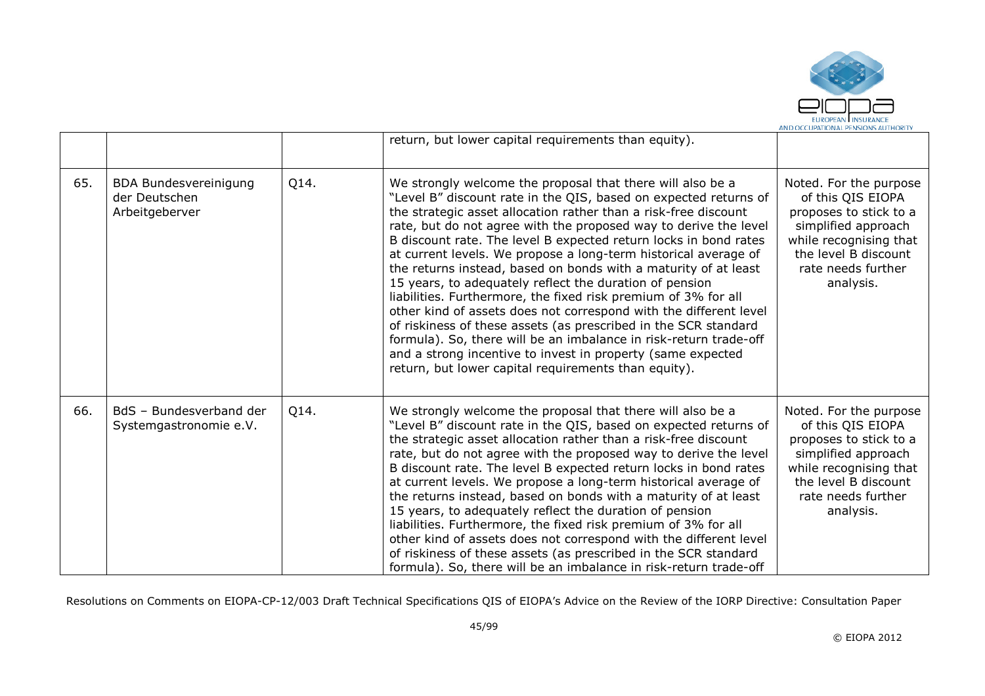

|     |                                                                 |      | return, but lower capital requirements than equity).                                                                                                                                                                                                                                                                                                                                                                                                                                                                                                                                                                                                                                                                                                                                                                                                                                                                                             |                                                                                                                                                                                   |
|-----|-----------------------------------------------------------------|------|--------------------------------------------------------------------------------------------------------------------------------------------------------------------------------------------------------------------------------------------------------------------------------------------------------------------------------------------------------------------------------------------------------------------------------------------------------------------------------------------------------------------------------------------------------------------------------------------------------------------------------------------------------------------------------------------------------------------------------------------------------------------------------------------------------------------------------------------------------------------------------------------------------------------------------------------------|-----------------------------------------------------------------------------------------------------------------------------------------------------------------------------------|
| 65. | <b>BDA Bundesvereinigung</b><br>der Deutschen<br>Arbeitgeberver | Q14. | We strongly welcome the proposal that there will also be a<br>"Level B" discount rate in the QIS, based on expected returns of<br>the strategic asset allocation rather than a risk-free discount<br>rate, but do not agree with the proposed way to derive the level<br>B discount rate. The level B expected return locks in bond rates<br>at current levels. We propose a long-term historical average of<br>the returns instead, based on bonds with a maturity of at least<br>15 years, to adequately reflect the duration of pension<br>liabilities. Furthermore, the fixed risk premium of 3% for all<br>other kind of assets does not correspond with the different level<br>of riskiness of these assets (as prescribed in the SCR standard<br>formula). So, there will be an imbalance in risk-return trade-off<br>and a strong incentive to invest in property (same expected<br>return, but lower capital requirements than equity). | Noted. For the purpose<br>of this QIS EIOPA<br>proposes to stick to a<br>simplified approach<br>while recognising that<br>the level B discount<br>rate needs further<br>analysis. |
| 66. | BdS - Bundesverband der<br>Systemgastronomie e.V.               | Q14. | We strongly welcome the proposal that there will also be a<br>"Level B" discount rate in the QIS, based on expected returns of<br>the strategic asset allocation rather than a risk-free discount<br>rate, but do not agree with the proposed way to derive the level<br>B discount rate. The level B expected return locks in bond rates<br>at current levels. We propose a long-term historical average of<br>the returns instead, based on bonds with a maturity of at least<br>15 years, to adequately reflect the duration of pension<br>liabilities. Furthermore, the fixed risk premium of 3% for all<br>other kind of assets does not correspond with the different level<br>of riskiness of these assets (as prescribed in the SCR standard<br>formula). So, there will be an imbalance in risk-return trade-off                                                                                                                        | Noted. For the purpose<br>of this QIS EIOPA<br>proposes to stick to a<br>simplified approach<br>while recognising that<br>the level B discount<br>rate needs further<br>analysis. |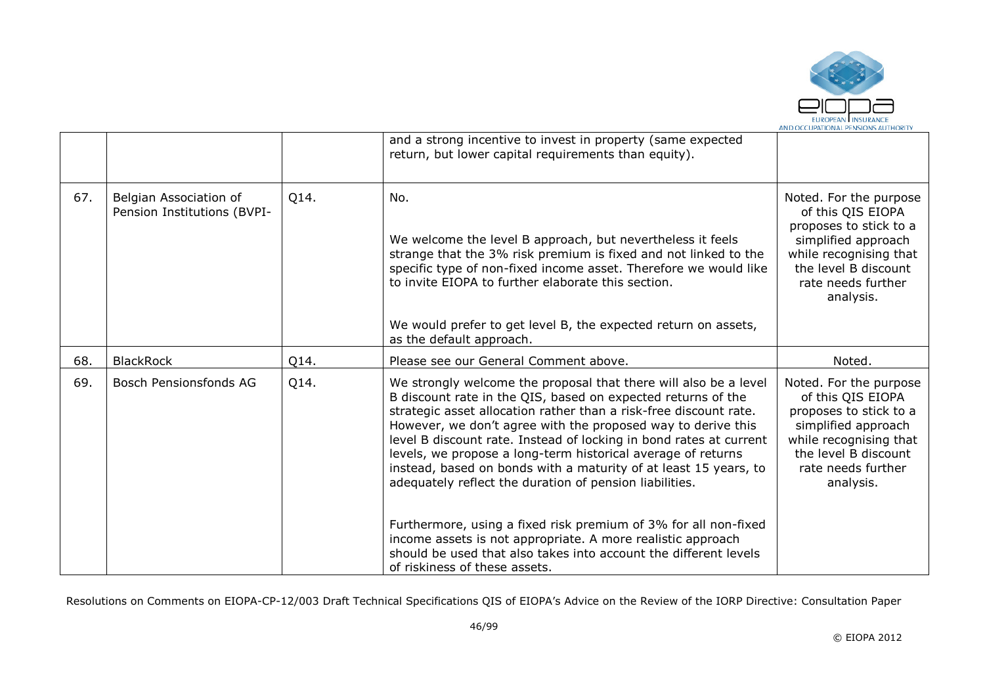

|     |                                                       |      | and a strong incentive to invest in property (same expected<br>return, but lower capital requirements than equity).                                                                                                                                                                                                                                                                                                                                                                                                                        |                                                                                                                                                                                   |
|-----|-------------------------------------------------------|------|--------------------------------------------------------------------------------------------------------------------------------------------------------------------------------------------------------------------------------------------------------------------------------------------------------------------------------------------------------------------------------------------------------------------------------------------------------------------------------------------------------------------------------------------|-----------------------------------------------------------------------------------------------------------------------------------------------------------------------------------|
| 67. | Belgian Association of<br>Pension Institutions (BVPI- | Q14. | No.<br>We welcome the level B approach, but nevertheless it feels<br>strange that the 3% risk premium is fixed and not linked to the<br>specific type of non-fixed income asset. Therefore we would like<br>to invite EIOPA to further elaborate this section.                                                                                                                                                                                                                                                                             | Noted. For the purpose<br>of this QIS EIOPA<br>proposes to stick to a<br>simplified approach<br>while recognising that<br>the level B discount<br>rate needs further<br>analysis. |
|     |                                                       |      | We would prefer to get level B, the expected return on assets,<br>as the default approach.                                                                                                                                                                                                                                                                                                                                                                                                                                                 |                                                                                                                                                                                   |
| 68. | <b>BlackRock</b>                                      | Q14. | Please see our General Comment above.                                                                                                                                                                                                                                                                                                                                                                                                                                                                                                      | Noted.                                                                                                                                                                            |
| 69. | Bosch Pensionsfonds AG                                | Q14. | We strongly welcome the proposal that there will also be a level<br>B discount rate in the QIS, based on expected returns of the<br>strategic asset allocation rather than a risk-free discount rate.<br>However, we don't agree with the proposed way to derive this<br>level B discount rate. Instead of locking in bond rates at current<br>levels, we propose a long-term historical average of returns<br>instead, based on bonds with a maturity of at least 15 years, to<br>adequately reflect the duration of pension liabilities. | Noted. For the purpose<br>of this QIS EIOPA<br>proposes to stick to a<br>simplified approach<br>while recognising that<br>the level B discount<br>rate needs further<br>analysis. |
|     |                                                       |      | Furthermore, using a fixed risk premium of 3% for all non-fixed<br>income assets is not appropriate. A more realistic approach<br>should be used that also takes into account the different levels<br>of riskiness of these assets.                                                                                                                                                                                                                                                                                                        |                                                                                                                                                                                   |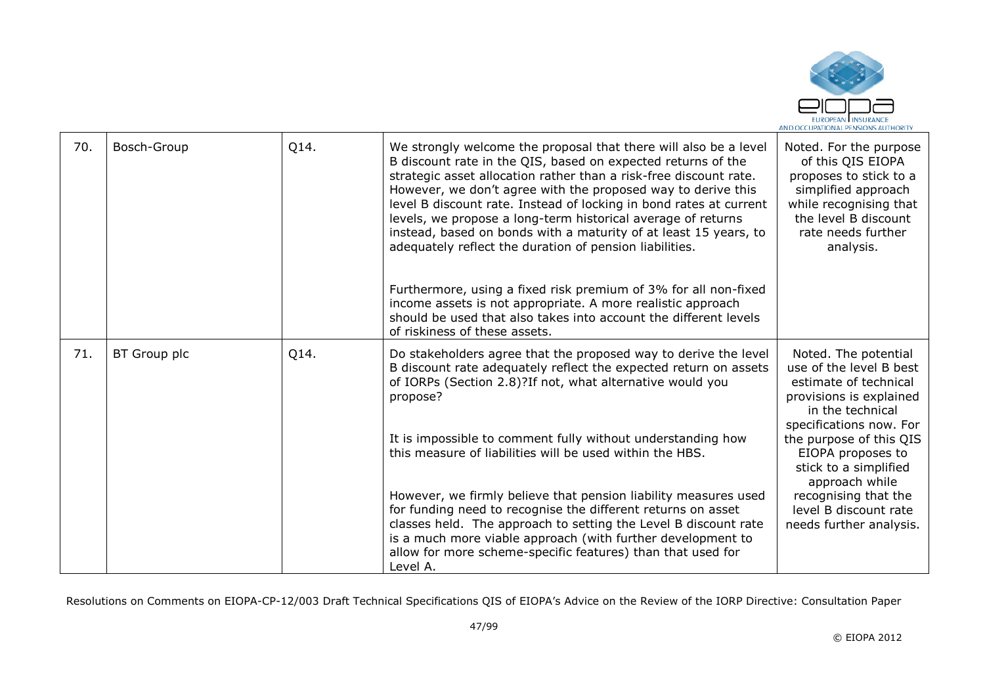

| 70. | Bosch-Group  | Q14. | We strongly welcome the proposal that there will also be a level<br>B discount rate in the QIS, based on expected returns of the<br>strategic asset allocation rather than a risk-free discount rate.<br>However, we don't agree with the proposed way to derive this<br>level B discount rate. Instead of locking in bond rates at current<br>levels, we propose a long-term historical average of returns<br>instead, based on bonds with a maturity of at least 15 years, to<br>adequately reflect the duration of pension liabilities. | Noted. For the purpose<br>of this QIS EIOPA<br>proposes to stick to a<br>simplified approach<br>while recognising that<br>the level B discount<br>rate needs further<br>analysis. |
|-----|--------------|------|--------------------------------------------------------------------------------------------------------------------------------------------------------------------------------------------------------------------------------------------------------------------------------------------------------------------------------------------------------------------------------------------------------------------------------------------------------------------------------------------------------------------------------------------|-----------------------------------------------------------------------------------------------------------------------------------------------------------------------------------|
|     |              |      | Furthermore, using a fixed risk premium of 3% for all non-fixed<br>income assets is not appropriate. A more realistic approach<br>should be used that also takes into account the different levels<br>of riskiness of these assets.                                                                                                                                                                                                                                                                                                        |                                                                                                                                                                                   |
| 71. | BT Group plc | Q14. | Do stakeholders agree that the proposed way to derive the level<br>B discount rate adequately reflect the expected return on assets<br>of IORPs (Section 2.8)?If not, what alternative would you<br>propose?                                                                                                                                                                                                                                                                                                                               | Noted. The potential<br>use of the level B best<br>estimate of technical<br>provisions is explained<br>in the technical<br>specifications now. For                                |
|     |              |      | It is impossible to comment fully without understanding how<br>this measure of liabilities will be used within the HBS.                                                                                                                                                                                                                                                                                                                                                                                                                    | the purpose of this QIS<br>EIOPA proposes to<br>stick to a simplified<br>approach while                                                                                           |
|     |              |      | However, we firmly believe that pension liability measures used<br>for funding need to recognise the different returns on asset<br>classes held. The approach to setting the Level B discount rate<br>is a much more viable approach (with further development to<br>allow for more scheme-specific features) than that used for<br>Level A.                                                                                                                                                                                               | recognising that the<br>level B discount rate<br>needs further analysis.                                                                                                          |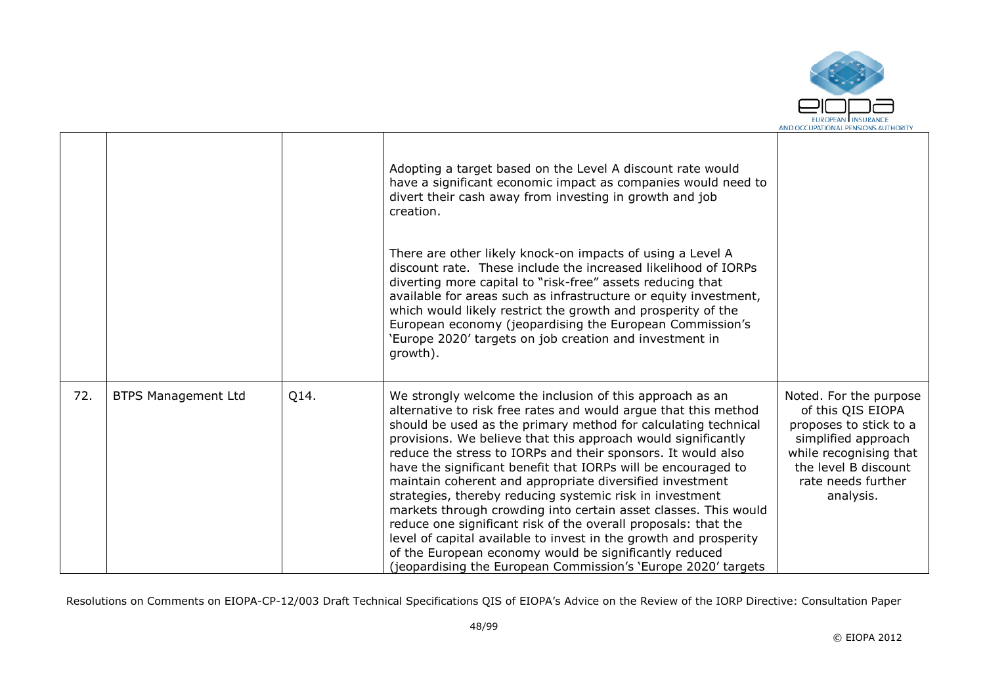

|     |                            |      | Adopting a target based on the Level A discount rate would<br>have a significant economic impact as companies would need to<br>divert their cash away from investing in growth and job<br>creation.<br>There are other likely knock-on impacts of using a Level A<br>discount rate. These include the increased likelihood of IORPs<br>diverting more capital to "risk-free" assets reducing that<br>available for areas such as infrastructure or equity investment,<br>which would likely restrict the growth and prosperity of the<br>European economy (jeopardising the European Commission's<br>'Europe 2020' targets on job creation and investment in<br>growth).                                                                                                                                                                                     |                                                                                                                                                                                   |
|-----|----------------------------|------|--------------------------------------------------------------------------------------------------------------------------------------------------------------------------------------------------------------------------------------------------------------------------------------------------------------------------------------------------------------------------------------------------------------------------------------------------------------------------------------------------------------------------------------------------------------------------------------------------------------------------------------------------------------------------------------------------------------------------------------------------------------------------------------------------------------------------------------------------------------|-----------------------------------------------------------------------------------------------------------------------------------------------------------------------------------|
| 72. | <b>BTPS Management Ltd</b> | Q14. | We strongly welcome the inclusion of this approach as an<br>alternative to risk free rates and would argue that this method<br>should be used as the primary method for calculating technical<br>provisions. We believe that this approach would significantly<br>reduce the stress to IORPs and their sponsors. It would also<br>have the significant benefit that IORPs will be encouraged to<br>maintain coherent and appropriate diversified investment<br>strategies, thereby reducing systemic risk in investment<br>markets through crowding into certain asset classes. This would<br>reduce one significant risk of the overall proposals: that the<br>level of capital available to invest in the growth and prosperity<br>of the European economy would be significantly reduced<br>(jeopardising the European Commission's 'Europe 2020' targets | Noted. For the purpose<br>of this QIS EIOPA<br>proposes to stick to a<br>simplified approach<br>while recognising that<br>the level B discount<br>rate needs further<br>analysis. |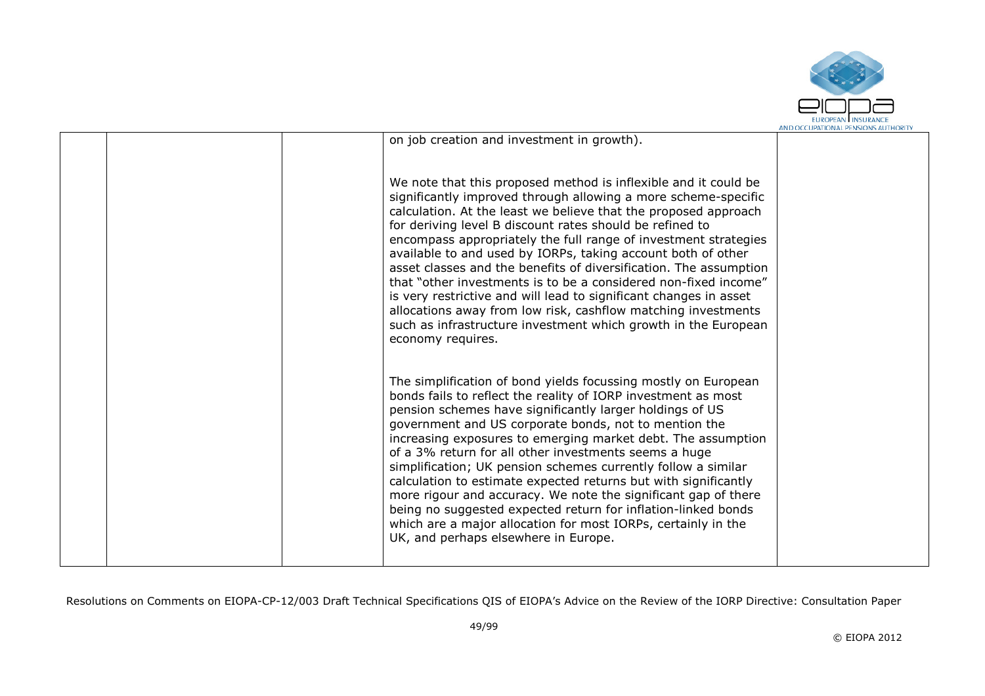

|                                                                                                                                                                                                                                                                                                                                                                                                                                                                                                                                                                                                                                                                                                                                                                          | AND OCCUPATIONAL FENSIONS AUTHONI |
|--------------------------------------------------------------------------------------------------------------------------------------------------------------------------------------------------------------------------------------------------------------------------------------------------------------------------------------------------------------------------------------------------------------------------------------------------------------------------------------------------------------------------------------------------------------------------------------------------------------------------------------------------------------------------------------------------------------------------------------------------------------------------|-----------------------------------|
| on job creation and investment in growth).                                                                                                                                                                                                                                                                                                                                                                                                                                                                                                                                                                                                                                                                                                                               |                                   |
| We note that this proposed method is inflexible and it could be<br>significantly improved through allowing a more scheme-specific<br>calculation. At the least we believe that the proposed approach<br>for deriving level B discount rates should be refined to<br>encompass appropriately the full range of investment strategies<br>available to and used by IORPs, taking account both of other<br>asset classes and the benefits of diversification. The assumption<br>that "other investments is to be a considered non-fixed income"<br>is very restrictive and will lead to significant changes in asset<br>allocations away from low risk, cashflow matching investments<br>such as infrastructure investment which growth in the European<br>economy requires. |                                   |
| The simplification of bond yields focussing mostly on European<br>bonds fails to reflect the reality of IORP investment as most<br>pension schemes have significantly larger holdings of US<br>government and US corporate bonds, not to mention the<br>increasing exposures to emerging market debt. The assumption<br>of a 3% return for all other investments seems a huge<br>simplification; UK pension schemes currently follow a similar<br>calculation to estimate expected returns but with significantly<br>more rigour and accuracy. We note the significant gap of there<br>being no suggested expected return for inflation-linked bonds<br>which are a major allocation for most IORPs, certainly in the<br>UK, and perhaps elsewhere in Europe.            |                                   |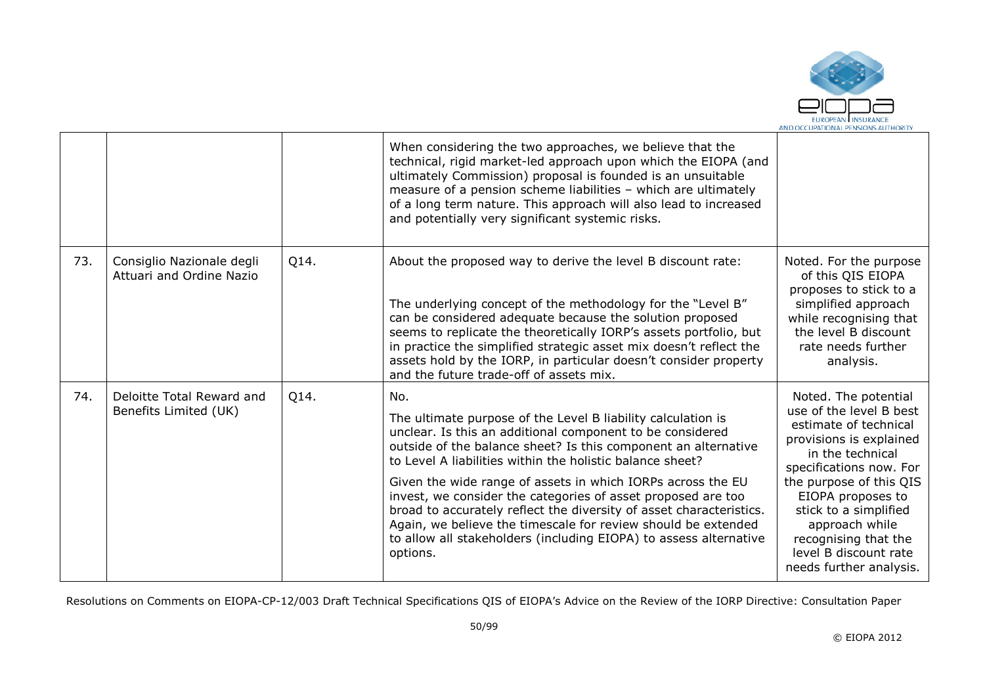

|     |                                                       |      | When considering the two approaches, we believe that the<br>technical, rigid market-led approach upon which the EIOPA (and<br>ultimately Commission) proposal is founded is an unsuitable<br>measure of a pension scheme liabilities - which are ultimately<br>of a long term nature. This approach will also lead to increased<br>and potentially very significant systemic risks.                                                                                                                                                                                                                                     |                                                                                                                                                                                                                                                                                                                           |
|-----|-------------------------------------------------------|------|-------------------------------------------------------------------------------------------------------------------------------------------------------------------------------------------------------------------------------------------------------------------------------------------------------------------------------------------------------------------------------------------------------------------------------------------------------------------------------------------------------------------------------------------------------------------------------------------------------------------------|---------------------------------------------------------------------------------------------------------------------------------------------------------------------------------------------------------------------------------------------------------------------------------------------------------------------------|
| 73. | Consiglio Nazionale degli<br>Attuari and Ordine Nazio | Q14. | About the proposed way to derive the level B discount rate:<br>The underlying concept of the methodology for the "Level B"<br>can be considered adequate because the solution proposed<br>seems to replicate the theoretically IORP's assets portfolio, but<br>in practice the simplified strategic asset mix doesn't reflect the<br>assets hold by the IORP, in particular doesn't consider property<br>and the future trade-off of assets mix.                                                                                                                                                                        | Noted. For the purpose<br>of this QIS EIOPA<br>proposes to stick to a<br>simplified approach<br>while recognising that<br>the level B discount<br>rate needs further<br>analysis.                                                                                                                                         |
| 74. | Deloitte Total Reward and<br>Benefits Limited (UK)    | Q14. | No.<br>The ultimate purpose of the Level B liability calculation is<br>unclear. Is this an additional component to be considered<br>outside of the balance sheet? Is this component an alternative<br>to Level A liabilities within the holistic balance sheet?<br>Given the wide range of assets in which IORPs across the EU<br>invest, we consider the categories of asset proposed are too<br>broad to accurately reflect the diversity of asset characteristics.<br>Again, we believe the timescale for review should be extended<br>to allow all stakeholders (including EIOPA) to assess alternative<br>options. | Noted. The potential<br>use of the level B best<br>estimate of technical<br>provisions is explained<br>in the technical<br>specifications now. For<br>the purpose of this QIS<br>EIOPA proposes to<br>stick to a simplified<br>approach while<br>recognising that the<br>level B discount rate<br>needs further analysis. |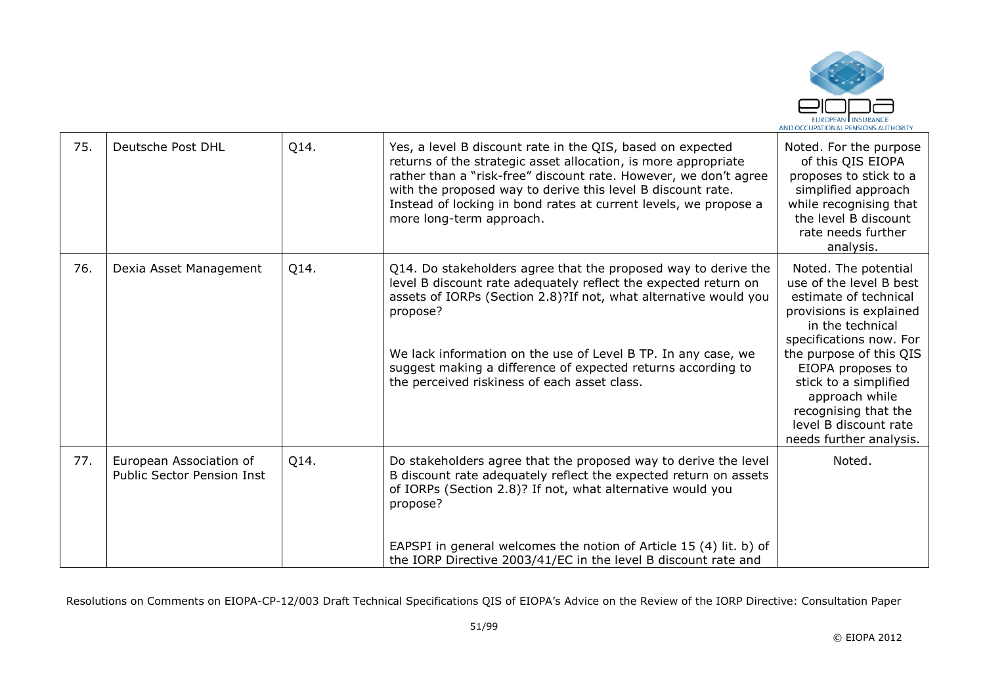

| 75. | Deutsche Post DHL                                            | Q14. | Yes, a level B discount rate in the QIS, based on expected<br>returns of the strategic asset allocation, is more appropriate<br>rather than a "risk-free" discount rate. However, we don't agree<br>with the proposed way to derive this level B discount rate.<br>Instead of locking in bond rates at current levels, we propose a<br>more long-term approach.                                     | Noted. For the purpose<br>of this QIS EIOPA<br>proposes to stick to a<br>simplified approach<br>while recognising that<br>the level B discount<br>rate needs further<br>analysis.                                                                                                                                         |
|-----|--------------------------------------------------------------|------|-----------------------------------------------------------------------------------------------------------------------------------------------------------------------------------------------------------------------------------------------------------------------------------------------------------------------------------------------------------------------------------------------------|---------------------------------------------------------------------------------------------------------------------------------------------------------------------------------------------------------------------------------------------------------------------------------------------------------------------------|
| 76. | Dexia Asset Management                                       | Q14. | Q14. Do stakeholders agree that the proposed way to derive the<br>level B discount rate adequately reflect the expected return on<br>assets of IORPs (Section 2.8)? If not, what alternative would you<br>propose?<br>We lack information on the use of Level B TP. In any case, we<br>suggest making a difference of expected returns according to<br>the perceived riskiness of each asset class. | Noted. The potential<br>use of the level B best<br>estimate of technical<br>provisions is explained<br>in the technical<br>specifications now. For<br>the purpose of this QIS<br>EIOPA proposes to<br>stick to a simplified<br>approach while<br>recognising that the<br>level B discount rate<br>needs further analysis. |
| 77. | European Association of<br><b>Public Sector Pension Inst</b> | Q14. | Do stakeholders agree that the proposed way to derive the level<br>B discount rate adequately reflect the expected return on assets<br>of IORPs (Section 2.8)? If not, what alternative would you<br>propose?<br>EAPSPI in general welcomes the notion of Article 15 (4) lit. b) of<br>the IORP Directive 2003/41/EC in the level B discount rate and                                               | Noted.                                                                                                                                                                                                                                                                                                                    |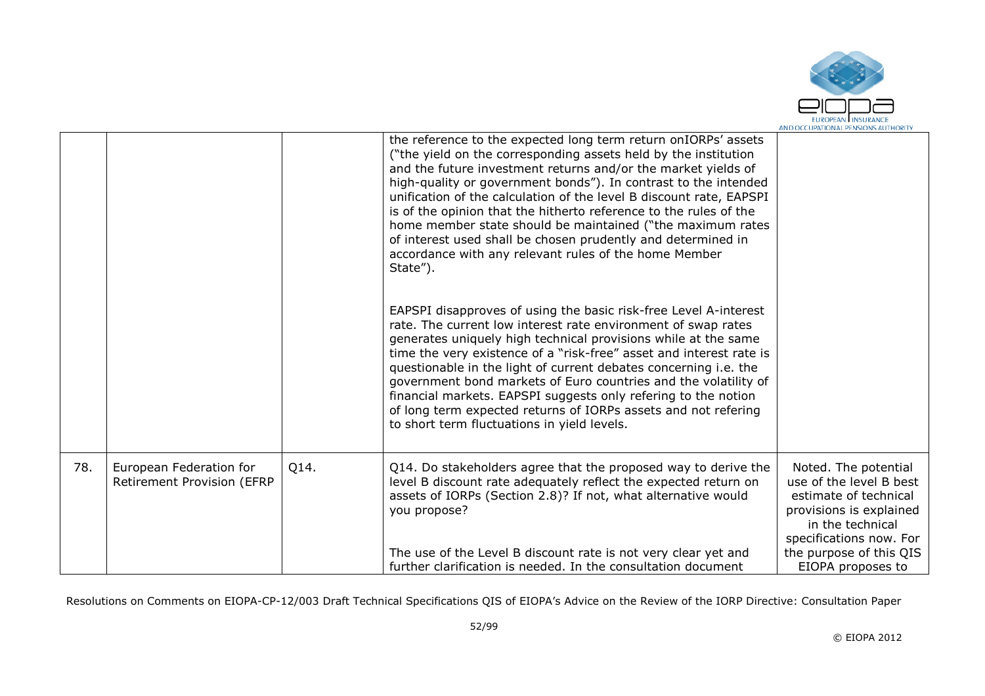

|     |                                                       |      | the reference to the expected long term return onIORPs' assets<br>("the yield on the corresponding assets held by the institution<br>and the future investment returns and/or the market yields of<br>high-quality or government bonds"). In contrast to the intended<br>unification of the calculation of the level B discount rate, EAPSPI<br>is of the opinion that the hitherto reference to the rules of the<br>home member state should be maintained ("the maximum rates<br>of interest used shall be chosen prudently and determined in<br>accordance with any relevant rules of the home Member<br>State").<br>EAPSPI disapproves of using the basic risk-free Level A-interest<br>rate. The current low interest rate environment of swap rates<br>generates uniquely high technical provisions while at the same<br>time the very existence of a "risk-free" asset and interest rate is<br>questionable in the light of current debates concerning i.e. the<br>government bond markets of Euro countries and the volatility of<br>financial markets. EAPSPI suggests only refering to the notion<br>of long term expected returns of IORPs assets and not refering<br>to short term fluctuations in yield levels. |                                                                                                                                                                                                    |
|-----|-------------------------------------------------------|------|------------------------------------------------------------------------------------------------------------------------------------------------------------------------------------------------------------------------------------------------------------------------------------------------------------------------------------------------------------------------------------------------------------------------------------------------------------------------------------------------------------------------------------------------------------------------------------------------------------------------------------------------------------------------------------------------------------------------------------------------------------------------------------------------------------------------------------------------------------------------------------------------------------------------------------------------------------------------------------------------------------------------------------------------------------------------------------------------------------------------------------------------------------------------------------------------------------------------------|----------------------------------------------------------------------------------------------------------------------------------------------------------------------------------------------------|
| 78. | European Federation for<br>Retirement Provision (EFRP | Q14. | Q14. Do stakeholders agree that the proposed way to derive the<br>level B discount rate adequately reflect the expected return on<br>assets of IORPs (Section 2.8)? If not, what alternative would<br>you propose?<br>The use of the Level B discount rate is not very clear yet and<br>further clarification is needed. In the consultation document                                                                                                                                                                                                                                                                                                                                                                                                                                                                                                                                                                                                                                                                                                                                                                                                                                                                        | Noted. The potential<br>use of the level B best<br>estimate of technical<br>provisions is explained<br>in the technical<br>specifications now. For<br>the purpose of this QIS<br>EIOPA proposes to |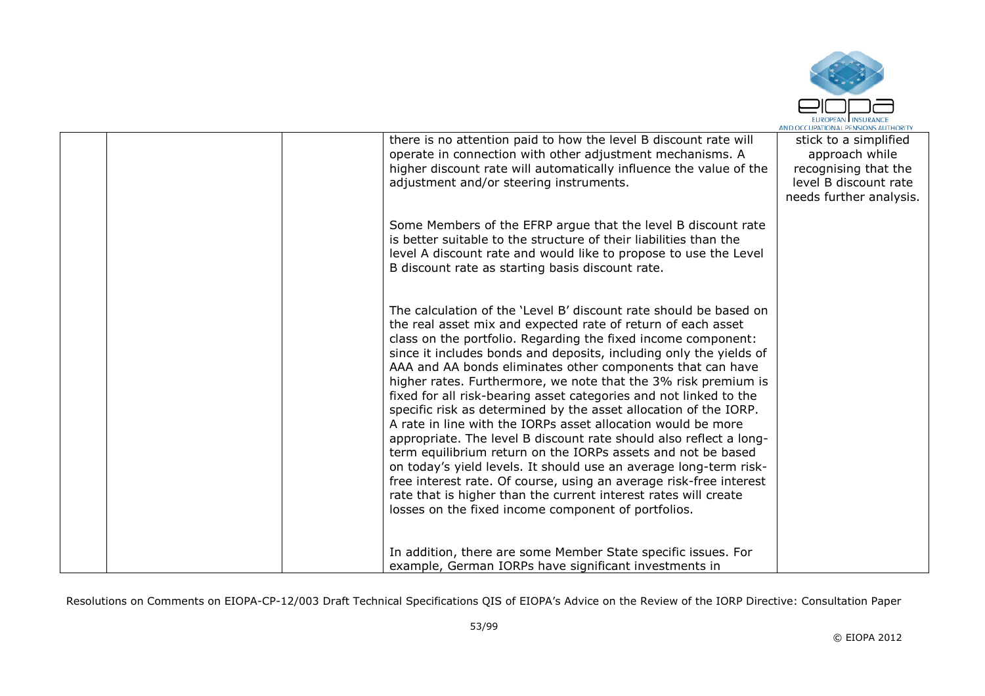

|  | there is no attention paid to how the level B discount rate will<br>operate in connection with other adjustment mechanisms. A<br>higher discount rate will automatically influence the value of the<br>adjustment and/or steering instruments.                                                                                                                                                                                                                                                                                                                                                                                                                                                                                                                                                                                                                                                                                                                                                                               | stick to a simplified<br>approach while<br>recognising that the<br>level B discount rate<br>needs further analysis. |
|--|------------------------------------------------------------------------------------------------------------------------------------------------------------------------------------------------------------------------------------------------------------------------------------------------------------------------------------------------------------------------------------------------------------------------------------------------------------------------------------------------------------------------------------------------------------------------------------------------------------------------------------------------------------------------------------------------------------------------------------------------------------------------------------------------------------------------------------------------------------------------------------------------------------------------------------------------------------------------------------------------------------------------------|---------------------------------------------------------------------------------------------------------------------|
|  | Some Members of the EFRP argue that the level B discount rate<br>is better suitable to the structure of their liabilities than the<br>level A discount rate and would like to propose to use the Level<br>B discount rate as starting basis discount rate.                                                                                                                                                                                                                                                                                                                                                                                                                                                                                                                                                                                                                                                                                                                                                                   |                                                                                                                     |
|  | The calculation of the 'Level B' discount rate should be based on<br>the real asset mix and expected rate of return of each asset<br>class on the portfolio. Regarding the fixed income component:<br>since it includes bonds and deposits, including only the yields of<br>AAA and AA bonds eliminates other components that can have<br>higher rates. Furthermore, we note that the 3% risk premium is<br>fixed for all risk-bearing asset categories and not linked to the<br>specific risk as determined by the asset allocation of the IORP.<br>A rate in line with the IORPs asset allocation would be more<br>appropriate. The level B discount rate should also reflect a long-<br>term equilibrium return on the IORPs assets and not be based<br>on today's yield levels. It should use an average long-term risk-<br>free interest rate. Of course, using an average risk-free interest<br>rate that is higher than the current interest rates will create<br>losses on the fixed income component of portfolios. |                                                                                                                     |
|  | In addition, there are some Member State specific issues. For<br>example, German IORPs have significant investments in                                                                                                                                                                                                                                                                                                                                                                                                                                                                                                                                                                                                                                                                                                                                                                                                                                                                                                       |                                                                                                                     |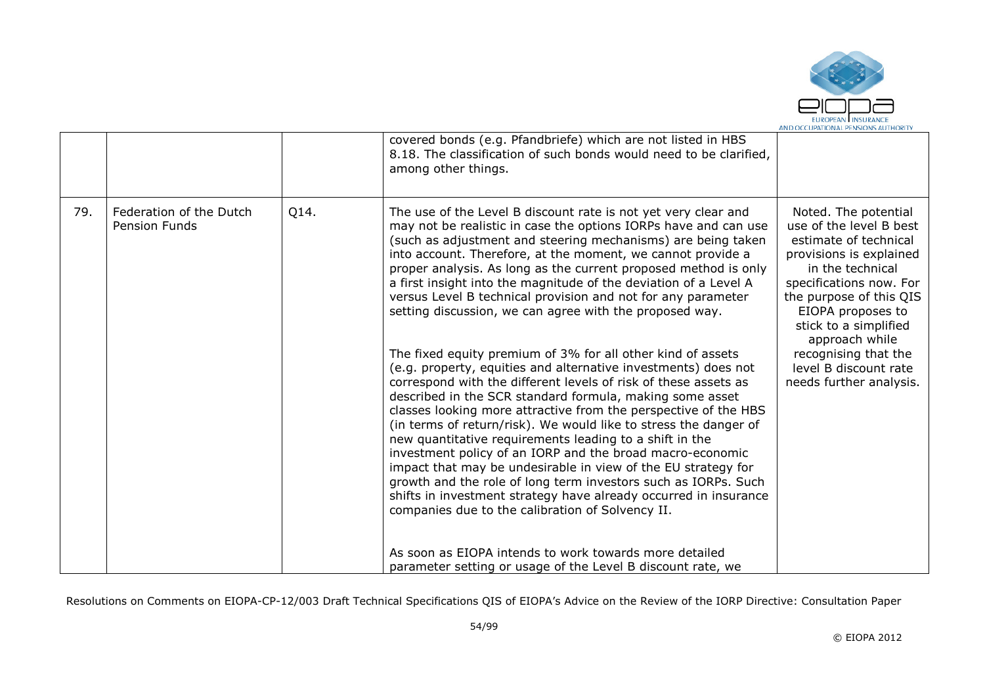

|     |                                                 |      | covered bonds (e.g. Pfandbriefe) which are not listed in HBS<br>8.18. The classification of such bonds would need to be clarified,<br>among other things.                                                                                                                                                                                                                                                                                                                                                                                                                                                                                                                                                                                                                              |                                                                                                                                                                                                                                               |
|-----|-------------------------------------------------|------|----------------------------------------------------------------------------------------------------------------------------------------------------------------------------------------------------------------------------------------------------------------------------------------------------------------------------------------------------------------------------------------------------------------------------------------------------------------------------------------------------------------------------------------------------------------------------------------------------------------------------------------------------------------------------------------------------------------------------------------------------------------------------------------|-----------------------------------------------------------------------------------------------------------------------------------------------------------------------------------------------------------------------------------------------|
| 79. | Federation of the Dutch<br><b>Pension Funds</b> | Q14. | The use of the Level B discount rate is not yet very clear and<br>may not be realistic in case the options IORPs have and can use<br>(such as adjustment and steering mechanisms) are being taken<br>into account. Therefore, at the moment, we cannot provide a<br>proper analysis. As long as the current proposed method is only<br>a first insight into the magnitude of the deviation of a Level A<br>versus Level B technical provision and not for any parameter<br>setting discussion, we can agree with the proposed way.                                                                                                                                                                                                                                                     | Noted. The potential<br>use of the level B best<br>estimate of technical<br>provisions is explained<br>in the technical<br>specifications now. For<br>the purpose of this QIS<br>EIOPA proposes to<br>stick to a simplified<br>approach while |
|     |                                                 |      | The fixed equity premium of 3% for all other kind of assets<br>(e.g. property, equities and alternative investments) does not<br>correspond with the different levels of risk of these assets as<br>described in the SCR standard formula, making some asset<br>classes looking more attractive from the perspective of the HBS<br>(in terms of return/risk). We would like to stress the danger of<br>new quantitative requirements leading to a shift in the<br>investment policy of an IORP and the broad macro-economic<br>impact that may be undesirable in view of the EU strategy for<br>growth and the role of long term investors such as IORPs. Such<br>shifts in investment strategy have already occurred in insurance<br>companies due to the calibration of Solvency II. | recognising that the<br>level B discount rate<br>needs further analysis.                                                                                                                                                                      |
|     |                                                 |      | As soon as EIOPA intends to work towards more detailed<br>parameter setting or usage of the Level B discount rate, we                                                                                                                                                                                                                                                                                                                                                                                                                                                                                                                                                                                                                                                                  |                                                                                                                                                                                                                                               |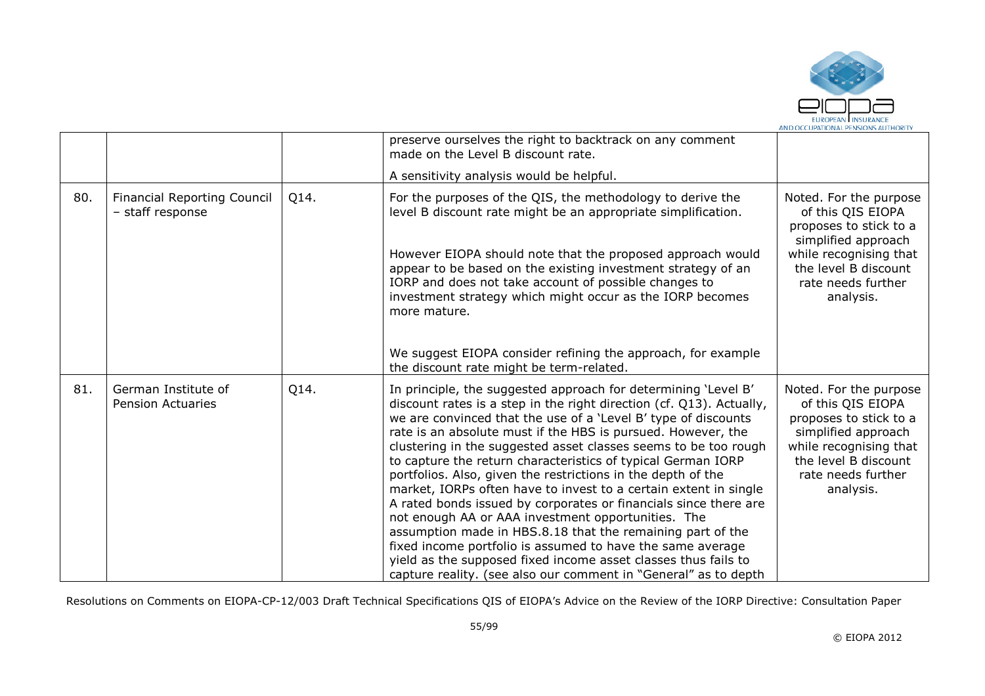

|     |                                                 |      | preserve ourselves the right to backtrack on any comment<br>made on the Level B discount rate.                                                                                                                                                                                                                                                                                                                                                                                                                                                                                                                                                                                                                                                                                                                                                                                                                                             |                                                                                                                                                                                   |
|-----|-------------------------------------------------|------|--------------------------------------------------------------------------------------------------------------------------------------------------------------------------------------------------------------------------------------------------------------------------------------------------------------------------------------------------------------------------------------------------------------------------------------------------------------------------------------------------------------------------------------------------------------------------------------------------------------------------------------------------------------------------------------------------------------------------------------------------------------------------------------------------------------------------------------------------------------------------------------------------------------------------------------------|-----------------------------------------------------------------------------------------------------------------------------------------------------------------------------------|
|     |                                                 |      | A sensitivity analysis would be helpful.                                                                                                                                                                                                                                                                                                                                                                                                                                                                                                                                                                                                                                                                                                                                                                                                                                                                                                   |                                                                                                                                                                                   |
| 80. | Financial Reporting Council<br>- staff response | Q14. | For the purposes of the QIS, the methodology to derive the<br>level B discount rate might be an appropriate simplification.<br>However EIOPA should note that the proposed approach would<br>appear to be based on the existing investment strategy of an<br>IORP and does not take account of possible changes to<br>investment strategy which might occur as the IORP becomes<br>more mature.                                                                                                                                                                                                                                                                                                                                                                                                                                                                                                                                            | Noted. For the purpose<br>of this QIS EIOPA<br>proposes to stick to a<br>simplified approach<br>while recognising that<br>the level B discount<br>rate needs further<br>analysis. |
|     |                                                 |      | We suggest EIOPA consider refining the approach, for example<br>the discount rate might be term-related.                                                                                                                                                                                                                                                                                                                                                                                                                                                                                                                                                                                                                                                                                                                                                                                                                                   |                                                                                                                                                                                   |
| 81. | German Institute of<br><b>Pension Actuaries</b> | Q14. | In principle, the suggested approach for determining 'Level B'<br>discount rates is a step in the right direction (cf. Q13). Actually,<br>we are convinced that the use of a 'Level B' type of discounts<br>rate is an absolute must if the HBS is pursued. However, the<br>clustering in the suggested asset classes seems to be too rough<br>to capture the return characteristics of typical German IORP<br>portfolios. Also, given the restrictions in the depth of the<br>market, IORPs often have to invest to a certain extent in single<br>A rated bonds issued by corporates or financials since there are<br>not enough AA or AAA investment opportunities. The<br>assumption made in HBS.8.18 that the remaining part of the<br>fixed income portfolio is assumed to have the same average<br>yield as the supposed fixed income asset classes thus fails to<br>capture reality. (see also our comment in "General" as to depth | Noted. For the purpose<br>of this QIS EIOPA<br>proposes to stick to a<br>simplified approach<br>while recognising that<br>the level B discount<br>rate needs further<br>analysis. |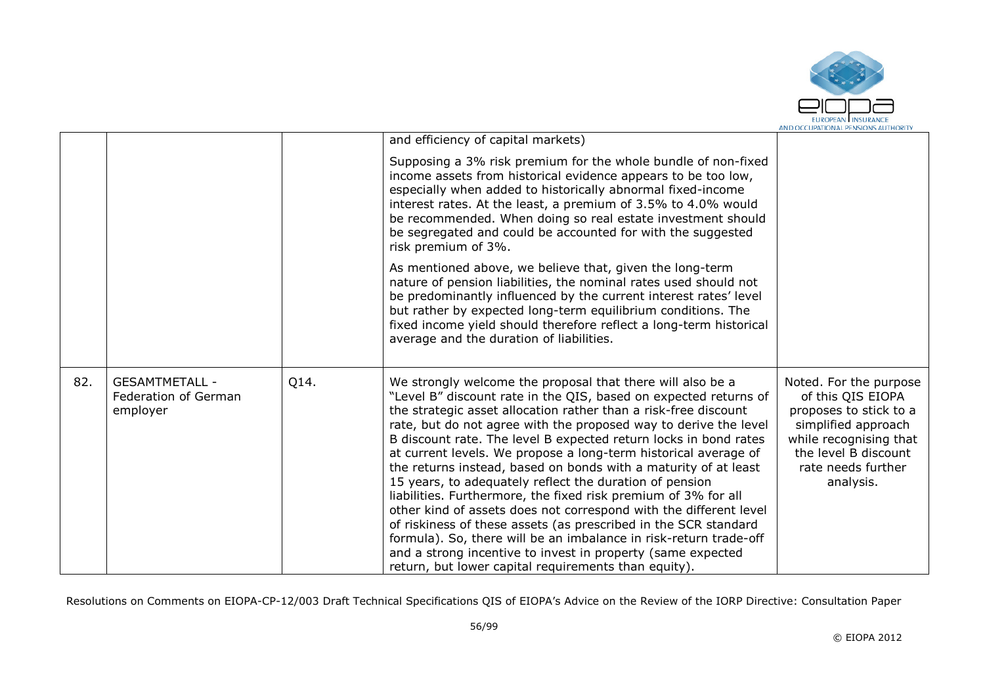

|     |                                                           |      | and efficiency of capital markets)                                                                                                                                                                                                                                                                                                                                                                                                                                                                                                                                                                                                                                                                                                                                                                                                                                                                                                               |                                                                                                                                                                                   |
|-----|-----------------------------------------------------------|------|--------------------------------------------------------------------------------------------------------------------------------------------------------------------------------------------------------------------------------------------------------------------------------------------------------------------------------------------------------------------------------------------------------------------------------------------------------------------------------------------------------------------------------------------------------------------------------------------------------------------------------------------------------------------------------------------------------------------------------------------------------------------------------------------------------------------------------------------------------------------------------------------------------------------------------------------------|-----------------------------------------------------------------------------------------------------------------------------------------------------------------------------------|
|     |                                                           |      | Supposing a 3% risk premium for the whole bundle of non-fixed<br>income assets from historical evidence appears to be too low,<br>especially when added to historically abnormal fixed-income<br>interest rates. At the least, a premium of 3.5% to 4.0% would<br>be recommended. When doing so real estate investment should<br>be segregated and could be accounted for with the suggested<br>risk premium of 3%.                                                                                                                                                                                                                                                                                                                                                                                                                                                                                                                              |                                                                                                                                                                                   |
|     |                                                           |      | As mentioned above, we believe that, given the long-term<br>nature of pension liabilities, the nominal rates used should not<br>be predominantly influenced by the current interest rates' level<br>but rather by expected long-term equilibrium conditions. The<br>fixed income yield should therefore reflect a long-term historical<br>average and the duration of liabilities.                                                                                                                                                                                                                                                                                                                                                                                                                                                                                                                                                               |                                                                                                                                                                                   |
| 82. | <b>GESAMTMETALL -</b><br>Federation of German<br>employer | Q14. | We strongly welcome the proposal that there will also be a<br>"Level B" discount rate in the QIS, based on expected returns of<br>the strategic asset allocation rather than a risk-free discount<br>rate, but do not agree with the proposed way to derive the level<br>B discount rate. The level B expected return locks in bond rates<br>at current levels. We propose a long-term historical average of<br>the returns instead, based on bonds with a maturity of at least<br>15 years, to adequately reflect the duration of pension<br>liabilities. Furthermore, the fixed risk premium of 3% for all<br>other kind of assets does not correspond with the different level<br>of riskiness of these assets (as prescribed in the SCR standard<br>formula). So, there will be an imbalance in risk-return trade-off<br>and a strong incentive to invest in property (same expected<br>return, but lower capital requirements than equity). | Noted. For the purpose<br>of this QIS EIOPA<br>proposes to stick to a<br>simplified approach<br>while recognising that<br>the level B discount<br>rate needs further<br>analysis. |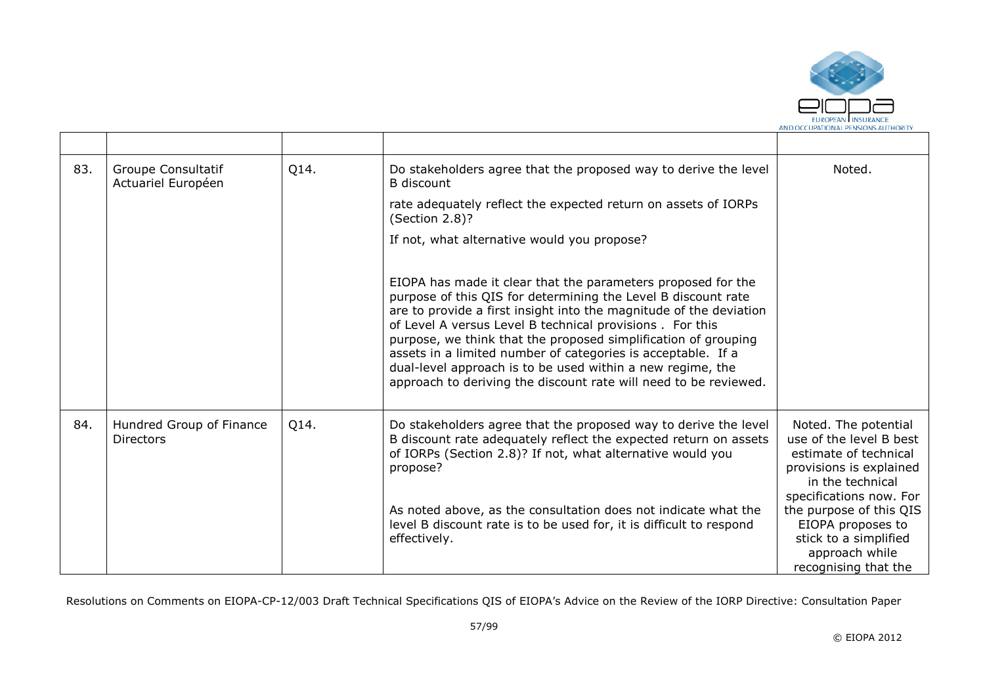

| 83. | Groupe Consultatif<br>Actuariel Européen     | Q14. | Do stakeholders agree that the proposed way to derive the level<br>B discount                                                                                                                                                                                                                                                                                                                                                                                                                                                        | Noted.                                                                                                                                             |
|-----|----------------------------------------------|------|--------------------------------------------------------------------------------------------------------------------------------------------------------------------------------------------------------------------------------------------------------------------------------------------------------------------------------------------------------------------------------------------------------------------------------------------------------------------------------------------------------------------------------------|----------------------------------------------------------------------------------------------------------------------------------------------------|
|     |                                              |      | rate adequately reflect the expected return on assets of IORPs<br>(Section 2.8)?                                                                                                                                                                                                                                                                                                                                                                                                                                                     |                                                                                                                                                    |
|     |                                              |      | If not, what alternative would you propose?                                                                                                                                                                                                                                                                                                                                                                                                                                                                                          |                                                                                                                                                    |
|     |                                              |      | EIOPA has made it clear that the parameters proposed for the<br>purpose of this QIS for determining the Level B discount rate<br>are to provide a first insight into the magnitude of the deviation<br>of Level A versus Level B technical provisions . For this<br>purpose, we think that the proposed simplification of grouping<br>assets in a limited number of categories is acceptable. If a<br>dual-level approach is to be used within a new regime, the<br>approach to deriving the discount rate will need to be reviewed. |                                                                                                                                                    |
| 84. | Hundred Group of Finance<br><b>Directors</b> | Q14. | Do stakeholders agree that the proposed way to derive the level<br>B discount rate adequately reflect the expected return on assets<br>of IORPs (Section 2.8)? If not, what alternative would you<br>propose?                                                                                                                                                                                                                                                                                                                        | Noted. The potential<br>use of the level B best<br>estimate of technical<br>provisions is explained<br>in the technical<br>specifications now. For |
|     |                                              |      | As noted above, as the consultation does not indicate what the<br>level B discount rate is to be used for, it is difficult to respond<br>effectively.                                                                                                                                                                                                                                                                                                                                                                                | the purpose of this QIS<br>EIOPA proposes to<br>stick to a simplified<br>approach while<br>recognising that the                                    |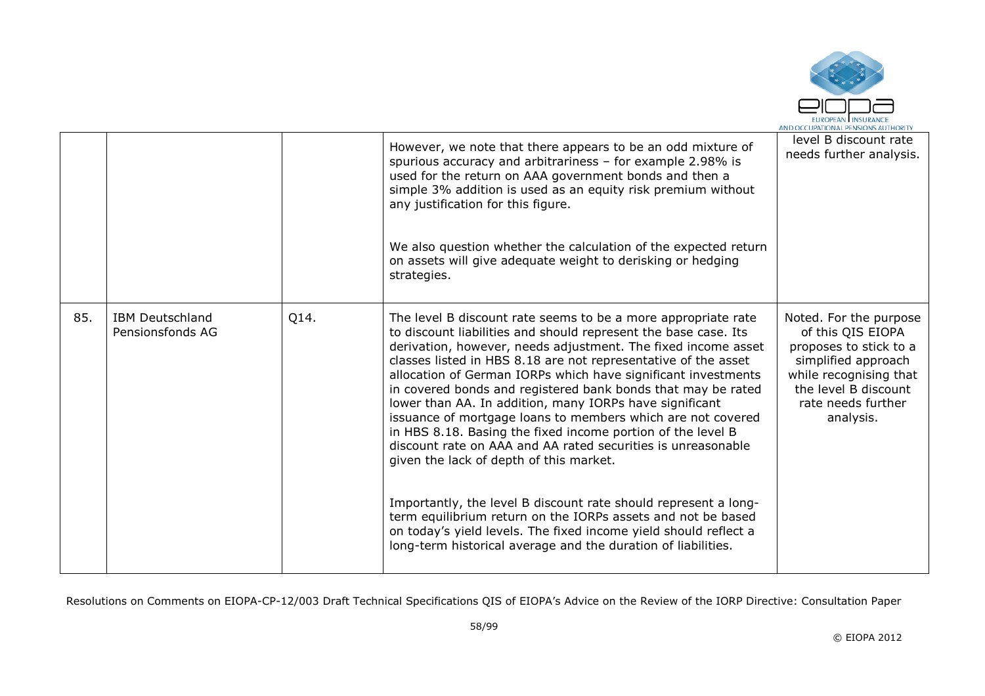

|     |                                            |      | However, we note that there appears to be an odd mixture of<br>spurious accuracy and arbitrariness - for example 2.98% is<br>used for the return on AAA government bonds and then a<br>simple 3% addition is used as an equity risk premium without<br>any justification for this figure.<br>We also question whether the calculation of the expected return<br>on assets will give adequate weight to derisking or hedging<br>strategies.                                                                                                                                                                                                                                                                                                                                                                                                                                                                                                                                       | level B discount rate<br>needs further analysis.                                                                                                                                  |
|-----|--------------------------------------------|------|----------------------------------------------------------------------------------------------------------------------------------------------------------------------------------------------------------------------------------------------------------------------------------------------------------------------------------------------------------------------------------------------------------------------------------------------------------------------------------------------------------------------------------------------------------------------------------------------------------------------------------------------------------------------------------------------------------------------------------------------------------------------------------------------------------------------------------------------------------------------------------------------------------------------------------------------------------------------------------|-----------------------------------------------------------------------------------------------------------------------------------------------------------------------------------|
| 85. | <b>IBM Deutschland</b><br>Pensionsfonds AG | Q14. | The level B discount rate seems to be a more appropriate rate<br>to discount liabilities and should represent the base case. Its<br>derivation, however, needs adjustment. The fixed income asset<br>classes listed in HBS 8.18 are not representative of the asset<br>allocation of German IORPs which have significant investments<br>in covered bonds and registered bank bonds that may be rated<br>lower than AA. In addition, many IORPs have significant<br>issuance of mortgage loans to members which are not covered<br>in HBS 8.18. Basing the fixed income portion of the level B<br>discount rate on AAA and AA rated securities is unreasonable<br>given the lack of depth of this market.<br>Importantly, the level B discount rate should represent a long-<br>term equilibrium return on the IORPs assets and not be based<br>on today's yield levels. The fixed income yield should reflect a<br>long-term historical average and the duration of liabilities. | Noted. For the purpose<br>of this QIS EIOPA<br>proposes to stick to a<br>simplified approach<br>while recognising that<br>the level B discount<br>rate needs further<br>analysis. |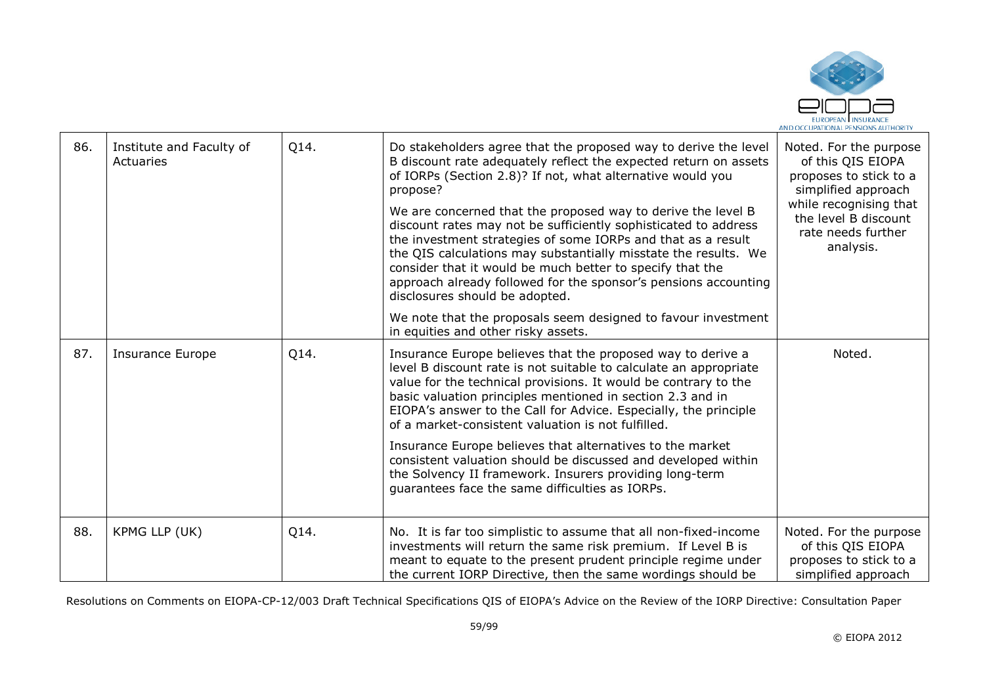

| 86. | Institute and Faculty of<br>Actuaries | Q14. | Do stakeholders agree that the proposed way to derive the level<br>B discount rate adequately reflect the expected return on assets<br>of IORPs (Section 2.8)? If not, what alternative would you<br>propose?<br>We are concerned that the proposed way to derive the level B<br>discount rates may not be sufficiently sophisticated to address<br>the investment strategies of some IORPs and that as a result<br>the QIS calculations may substantially misstate the results. We<br>consider that it would be much better to specify that the<br>approach already followed for the sponsor's pensions accounting                     | Noted. For the purpose<br>of this QIS EIOPA<br>proposes to stick to a<br>simplified approach<br>while recognising that<br>the level B discount<br>rate needs further<br>analysis. |
|-----|---------------------------------------|------|-----------------------------------------------------------------------------------------------------------------------------------------------------------------------------------------------------------------------------------------------------------------------------------------------------------------------------------------------------------------------------------------------------------------------------------------------------------------------------------------------------------------------------------------------------------------------------------------------------------------------------------------|-----------------------------------------------------------------------------------------------------------------------------------------------------------------------------------|
|     |                                       |      | disclosures should be adopted.<br>We note that the proposals seem designed to favour investment<br>in equities and other risky assets.                                                                                                                                                                                                                                                                                                                                                                                                                                                                                                  |                                                                                                                                                                                   |
| 87. | <b>Insurance Europe</b>               | Q14. | Insurance Europe believes that the proposed way to derive a<br>level B discount rate is not suitable to calculate an appropriate<br>value for the technical provisions. It would be contrary to the<br>basic valuation principles mentioned in section 2.3 and in<br>EIOPA's answer to the Call for Advice. Especially, the principle<br>of a market-consistent valuation is not fulfilled.<br>Insurance Europe believes that alternatives to the market<br>consistent valuation should be discussed and developed within<br>the Solvency II framework. Insurers providing long-term<br>guarantees face the same difficulties as IORPs. | Noted.                                                                                                                                                                            |
| 88. | KPMG LLP (UK)                         | Q14. | No. It is far too simplistic to assume that all non-fixed-income<br>investments will return the same risk premium. If Level B is<br>meant to equate to the present prudent principle regime under<br>the current IORP Directive, then the same wordings should be                                                                                                                                                                                                                                                                                                                                                                       | Noted. For the purpose<br>of this QIS EIOPA<br>proposes to stick to a<br>simplified approach                                                                                      |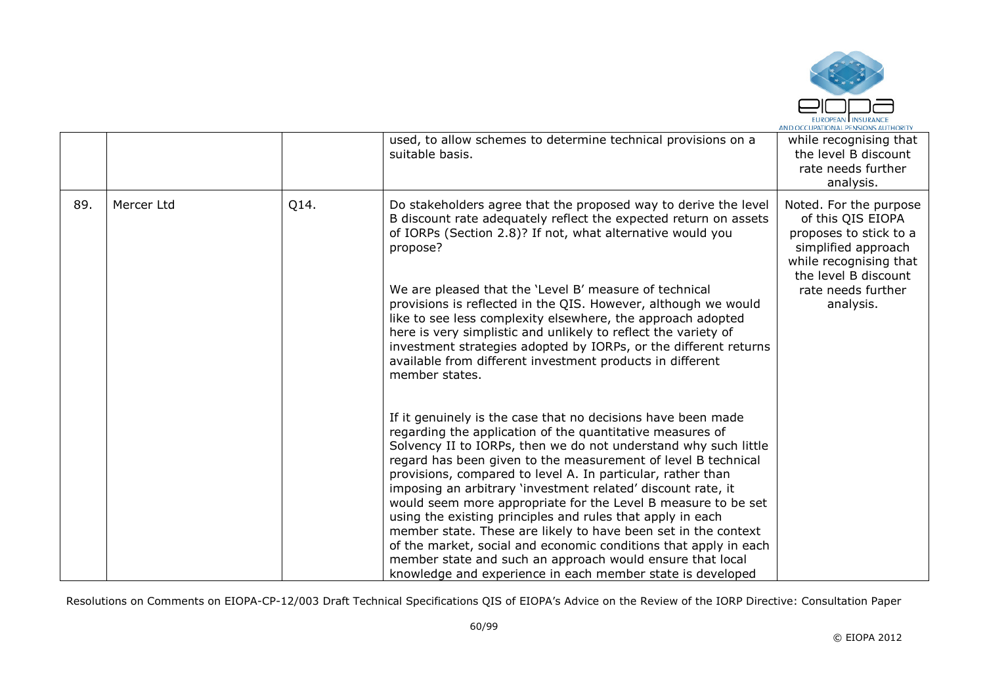

|     |            |      | used, to allow schemes to determine technical provisions on a<br>suitable basis.                                                                                                                                                                                                                                                                                                                                                                                                                                                                                                                                                                                                                                                                                                             | while recognising that<br>the level B discount<br>rate needs further<br>analysis.                                                              |
|-----|------------|------|----------------------------------------------------------------------------------------------------------------------------------------------------------------------------------------------------------------------------------------------------------------------------------------------------------------------------------------------------------------------------------------------------------------------------------------------------------------------------------------------------------------------------------------------------------------------------------------------------------------------------------------------------------------------------------------------------------------------------------------------------------------------------------------------|------------------------------------------------------------------------------------------------------------------------------------------------|
| 89. | Mercer Ltd | Q14. | Do stakeholders agree that the proposed way to derive the level<br>B discount rate adequately reflect the expected return on assets<br>of IORPs (Section 2.8)? If not, what alternative would you<br>propose?                                                                                                                                                                                                                                                                                                                                                                                                                                                                                                                                                                                | Noted. For the purpose<br>of this QIS EIOPA<br>proposes to stick to a<br>simplified approach<br>while recognising that<br>the level B discount |
|     |            |      | We are pleased that the 'Level B' measure of technical<br>provisions is reflected in the QIS. However, although we would<br>like to see less complexity elsewhere, the approach adopted<br>here is very simplistic and unlikely to reflect the variety of<br>investment strategies adopted by IORPs, or the different returns<br>available from different investment products in different<br>member states.                                                                                                                                                                                                                                                                                                                                                                                 | rate needs further<br>analysis.                                                                                                                |
|     |            |      | If it genuinely is the case that no decisions have been made<br>regarding the application of the quantitative measures of<br>Solvency II to IORPs, then we do not understand why such little<br>regard has been given to the measurement of level B technical<br>provisions, compared to level A. In particular, rather than<br>imposing an arbitrary 'investment related' discount rate, it<br>would seem more appropriate for the Level B measure to be set<br>using the existing principles and rules that apply in each<br>member state. These are likely to have been set in the context<br>of the market, social and economic conditions that apply in each<br>member state and such an approach would ensure that local<br>knowledge and experience in each member state is developed |                                                                                                                                                |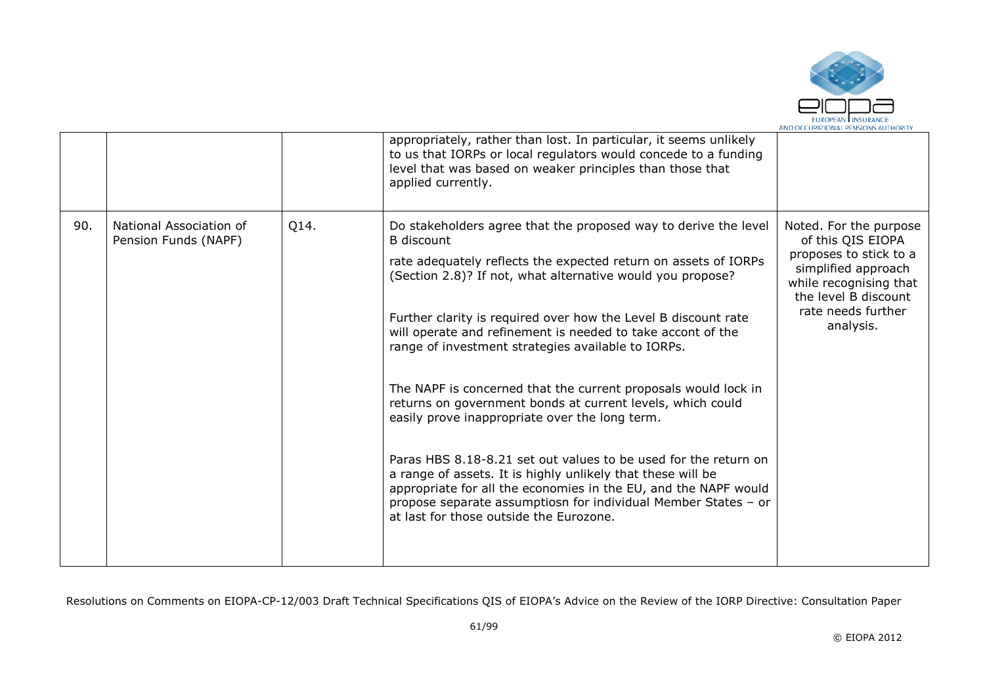

|     |                                                 |      | appropriately, rather than lost. In particular, it seems unlikely<br>to us that IORPs or local regulators would concede to a funding<br>level that was based on weaker principles than those that<br>applied currently.                                                                                                                                                                                                                                                                                                                                                                                                                                                                                                                                                                                                                                                                                          |                                                                                                                                                                                   |
|-----|-------------------------------------------------|------|------------------------------------------------------------------------------------------------------------------------------------------------------------------------------------------------------------------------------------------------------------------------------------------------------------------------------------------------------------------------------------------------------------------------------------------------------------------------------------------------------------------------------------------------------------------------------------------------------------------------------------------------------------------------------------------------------------------------------------------------------------------------------------------------------------------------------------------------------------------------------------------------------------------|-----------------------------------------------------------------------------------------------------------------------------------------------------------------------------------|
| 90. | National Association of<br>Pension Funds (NAPF) | Q14. | Do stakeholders agree that the proposed way to derive the level<br><b>B</b> discount<br>rate adequately reflects the expected return on assets of IORPs<br>(Section 2.8)? If not, what alternative would you propose?<br>Further clarity is required over how the Level B discount rate<br>will operate and refinement is needed to take accont of the<br>range of investment strategies available to IORPs.<br>The NAPF is concerned that the current proposals would lock in<br>returns on government bonds at current levels, which could<br>easily prove inappropriate over the long term.<br>Paras HBS 8.18-8.21 set out values to be used for the return on<br>a range of assets. It is highly unlikely that these will be<br>appropriate for all the economies in the EU, and the NAPF would<br>propose separate assumptiosn for individual Member States - or<br>at last for those outside the Eurozone. | Noted. For the purpose<br>of this QIS EIOPA<br>proposes to stick to a<br>simplified approach<br>while recognising that<br>the level B discount<br>rate needs further<br>analysis. |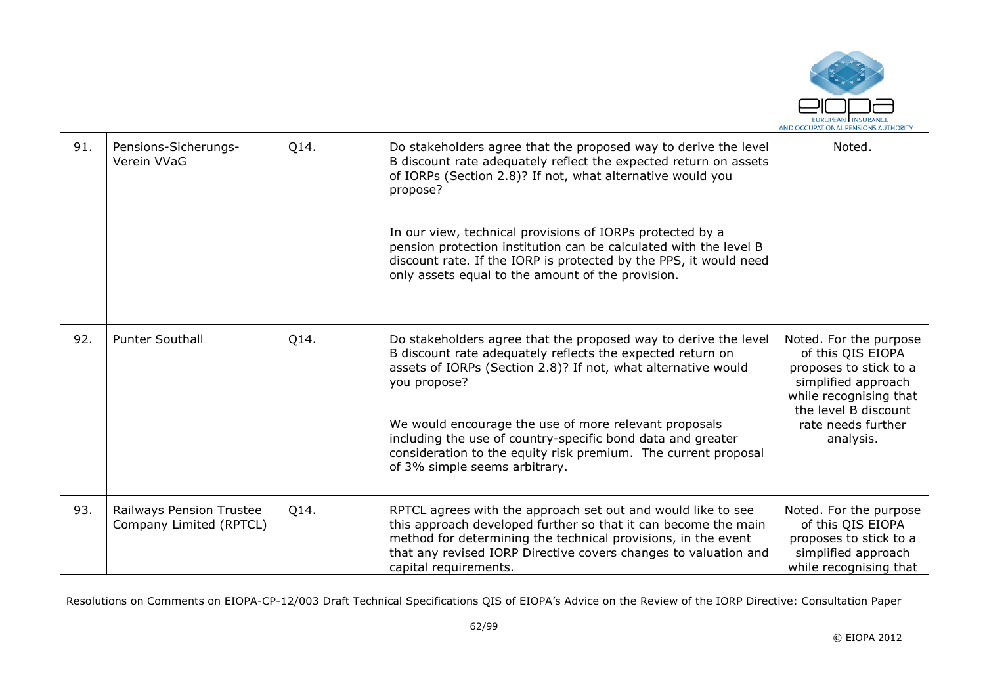

| 91. | Pensions-Sicherungs-<br>Verein VVaG                 | Q14. | Do stakeholders agree that the proposed way to derive the level<br>B discount rate adequately reflect the expected return on assets<br>of IORPs (Section 2.8)? If not, what alternative would you<br>propose?<br>In our view, technical provisions of IORPs protected by a<br>pension protection institution can be calculated with the level B<br>discount rate. If the IORP is protected by the PPS, it would need<br>only assets equal to the amount of the provision. | Noted.                                                                                                                                                                            |
|-----|-----------------------------------------------------|------|---------------------------------------------------------------------------------------------------------------------------------------------------------------------------------------------------------------------------------------------------------------------------------------------------------------------------------------------------------------------------------------------------------------------------------------------------------------------------|-----------------------------------------------------------------------------------------------------------------------------------------------------------------------------------|
| 92. | <b>Punter Southall</b>                              | Q14. | Do stakeholders agree that the proposed way to derive the level<br>B discount rate adequately reflects the expected return on<br>assets of IORPs (Section 2.8)? If not, what alternative would<br>you propose?<br>We would encourage the use of more relevant proposals<br>including the use of country-specific bond data and greater<br>consideration to the equity risk premium. The current proposal<br>of 3% simple seems arbitrary.                                 | Noted. For the purpose<br>of this QIS EIOPA<br>proposes to stick to a<br>simplified approach<br>while recognising that<br>the level B discount<br>rate needs further<br>analysis. |
| 93. | Railways Pension Trustee<br>Company Limited (RPTCL) | Q14. | RPTCL agrees with the approach set out and would like to see<br>this approach developed further so that it can become the main<br>method for determining the technical provisions, in the event<br>that any revised IORP Directive covers changes to valuation and<br>capital requirements.                                                                                                                                                                               | Noted. For the purpose<br>of this QIS EIOPA<br>proposes to stick to a<br>simplified approach<br>while recognising that                                                            |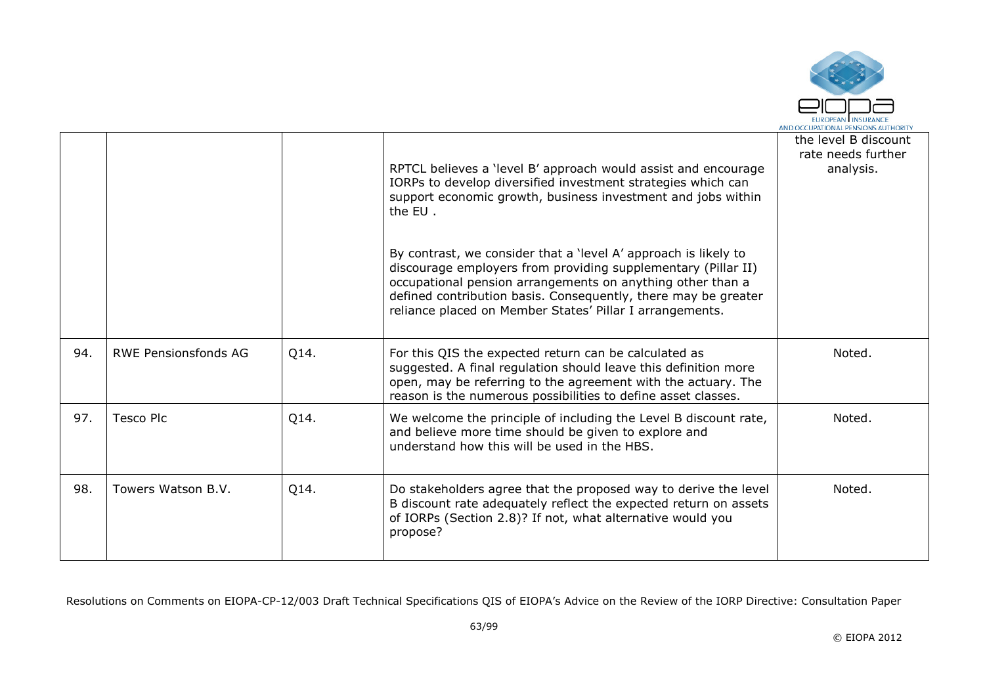

|     |                             |      | RPTCL believes a 'level B' approach would assist and encourage<br>IORPs to develop diversified investment strategies which can<br>support economic growth, business investment and jobs within<br>the EU.<br>By contrast, we consider that a 'level A' approach is likely to<br>discourage employers from providing supplementary (Pillar II)<br>occupational pension arrangements on anything other than a<br>defined contribution basis. Consequently, there may be greater<br>reliance placed on Member States' Pillar I arrangements. | the level B discount<br>rate needs further<br>analysis. |
|-----|-----------------------------|------|-------------------------------------------------------------------------------------------------------------------------------------------------------------------------------------------------------------------------------------------------------------------------------------------------------------------------------------------------------------------------------------------------------------------------------------------------------------------------------------------------------------------------------------------|---------------------------------------------------------|
| 94. | <b>RWE Pensionsfonds AG</b> | Q14. | For this QIS the expected return can be calculated as<br>suggested. A final regulation should leave this definition more<br>open, may be referring to the agreement with the actuary. The<br>reason is the numerous possibilities to define asset classes.                                                                                                                                                                                                                                                                                | Noted.                                                  |
| 97. | <b>Tesco Plc</b>            | Q14. | We welcome the principle of including the Level B discount rate,<br>and believe more time should be given to explore and<br>understand how this will be used in the HBS.                                                                                                                                                                                                                                                                                                                                                                  | Noted.                                                  |
| 98. | Towers Watson B.V.          | Q14. | Do stakeholders agree that the proposed way to derive the level<br>B discount rate adequately reflect the expected return on assets<br>of IORPs (Section 2.8)? If not, what alternative would you<br>propose?                                                                                                                                                                                                                                                                                                                             | Noted.                                                  |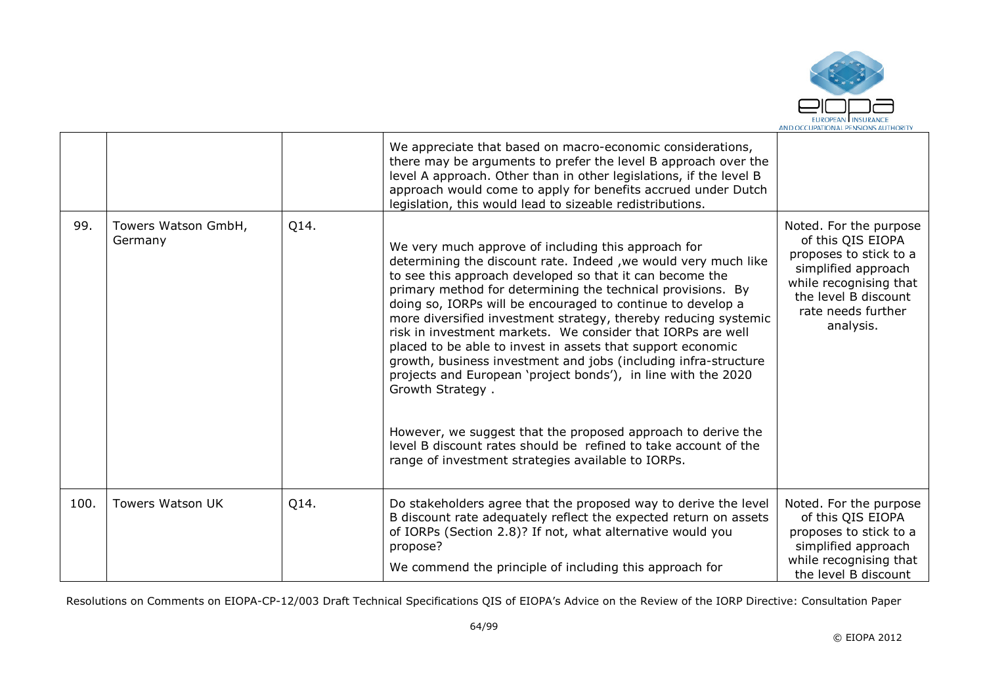

|      |                                |      | We appreciate that based on macro-economic considerations,<br>there may be arguments to prefer the level B approach over the<br>level A approach. Other than in other legislations, if the level B<br>approach would come to apply for benefits accrued under Dutch<br>legislation, this would lead to sizeable redistributions.                                                                                                                                                                                                                                                                                                                                                                                                                                                                                                                                  |                                                                                                                                                                                   |
|------|--------------------------------|------|-------------------------------------------------------------------------------------------------------------------------------------------------------------------------------------------------------------------------------------------------------------------------------------------------------------------------------------------------------------------------------------------------------------------------------------------------------------------------------------------------------------------------------------------------------------------------------------------------------------------------------------------------------------------------------------------------------------------------------------------------------------------------------------------------------------------------------------------------------------------|-----------------------------------------------------------------------------------------------------------------------------------------------------------------------------------|
| 99.  | Towers Watson GmbH,<br>Germany | Q14. | We very much approve of including this approach for<br>determining the discount rate. Indeed, we would very much like<br>to see this approach developed so that it can become the<br>primary method for determining the technical provisions. By<br>doing so, IORPs will be encouraged to continue to develop a<br>more diversified investment strategy, thereby reducing systemic<br>risk in investment markets. We consider that IORPs are well<br>placed to be able to invest in assets that support economic<br>growth, business investment and jobs (including infra-structure<br>projects and European 'project bonds'), in line with the 2020<br>Growth Strategy.<br>However, we suggest that the proposed approach to derive the<br>level B discount rates should be refined to take account of the<br>range of investment strategies available to IORPs. | Noted. For the purpose<br>of this QIS EIOPA<br>proposes to stick to a<br>simplified approach<br>while recognising that<br>the level B discount<br>rate needs further<br>analysis. |
| 100. | <b>Towers Watson UK</b>        | Q14. | Do stakeholders agree that the proposed way to derive the level<br>B discount rate adequately reflect the expected return on assets<br>of IORPs (Section 2.8)? If not, what alternative would you<br>propose?<br>We commend the principle of including this approach for                                                                                                                                                                                                                                                                                                                                                                                                                                                                                                                                                                                          | Noted. For the purpose<br>of this QIS EIOPA<br>proposes to stick to a<br>simplified approach<br>while recognising that<br>the level B discount                                    |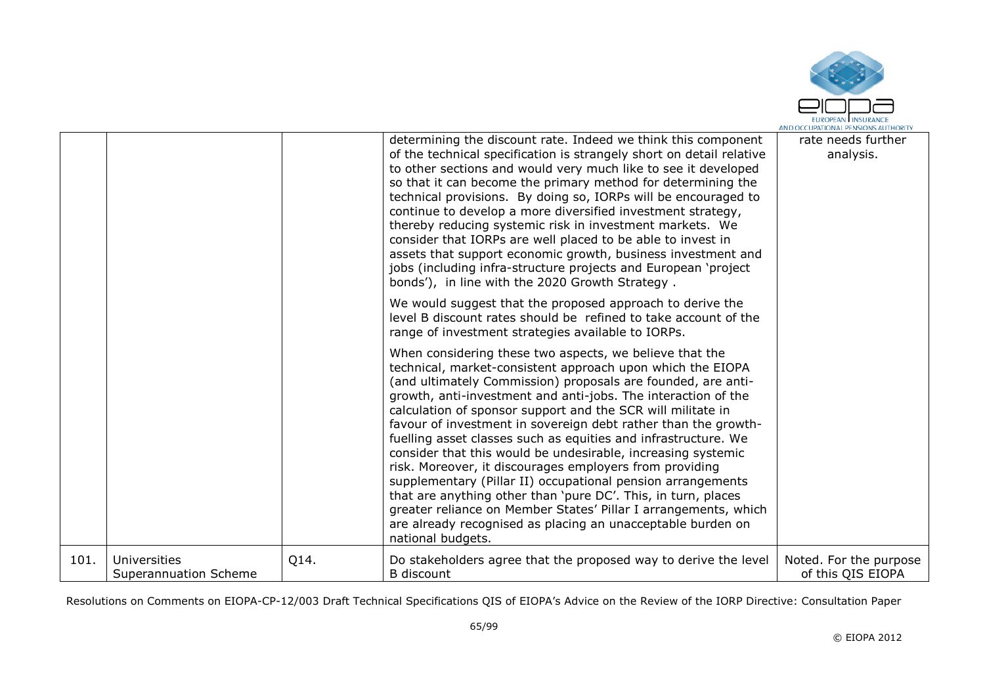

|      |                                              |      | determining the discount rate. Indeed we think this component                                                                                                                                                                                                                                                                                                                                                                                                                                                                                                                                                                                                                                                                                                                                                                                                               | rate needs further                          |
|------|----------------------------------------------|------|-----------------------------------------------------------------------------------------------------------------------------------------------------------------------------------------------------------------------------------------------------------------------------------------------------------------------------------------------------------------------------------------------------------------------------------------------------------------------------------------------------------------------------------------------------------------------------------------------------------------------------------------------------------------------------------------------------------------------------------------------------------------------------------------------------------------------------------------------------------------------------|---------------------------------------------|
|      |                                              |      | of the technical specification is strangely short on detail relative<br>to other sections and would very much like to see it developed<br>so that it can become the primary method for determining the<br>technical provisions. By doing so, IORPs will be encouraged to<br>continue to develop a more diversified investment strategy,<br>thereby reducing systemic risk in investment markets. We<br>consider that IORPs are well placed to be able to invest in<br>assets that support economic growth, business investment and<br>jobs (including infra-structure projects and European 'project<br>bonds'), in line with the 2020 Growth Strategy.                                                                                                                                                                                                                     | analysis.                                   |
|      |                                              |      | We would suggest that the proposed approach to derive the<br>level B discount rates should be refined to take account of the<br>range of investment strategies available to IORPs.                                                                                                                                                                                                                                                                                                                                                                                                                                                                                                                                                                                                                                                                                          |                                             |
|      |                                              |      | When considering these two aspects, we believe that the<br>technical, market-consistent approach upon which the EIOPA<br>(and ultimately Commission) proposals are founded, are anti-<br>growth, anti-investment and anti-jobs. The interaction of the<br>calculation of sponsor support and the SCR will militate in<br>favour of investment in sovereign debt rather than the growth-<br>fuelling asset classes such as equities and infrastructure. We<br>consider that this would be undesirable, increasing systemic<br>risk. Moreover, it discourages employers from providing<br>supplementary (Pillar II) occupational pension arrangements<br>that are anything other than 'pure DC'. This, in turn, places<br>greater reliance on Member States' Pillar I arrangements, which<br>are already recognised as placing an unacceptable burden on<br>national budgets. |                                             |
| 101. | <b>Universities</b><br>Superannuation Scheme | Q14. | Do stakeholders agree that the proposed way to derive the level<br><b>B</b> discount                                                                                                                                                                                                                                                                                                                                                                                                                                                                                                                                                                                                                                                                                                                                                                                        | Noted. For the purpose<br>of this QIS EIOPA |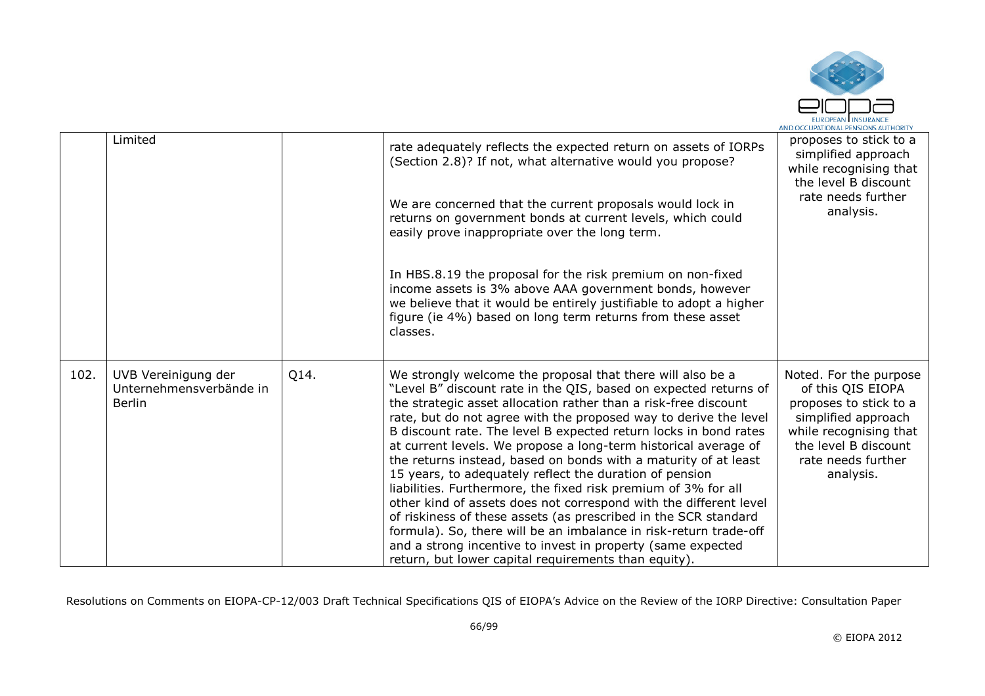

|      | Limited                                                         |      | rate adequately reflects the expected return on assets of IORPs<br>(Section 2.8)? If not, what alternative would you propose?                                                                                                                                                                                                                                                                                                                                                                                                                                                                                                                                                                                                                                                                                                                                                                                                                    | proposes to stick to a<br>simplified approach<br>while recognising that<br>the level B discount                                                                                   |
|------|-----------------------------------------------------------------|------|--------------------------------------------------------------------------------------------------------------------------------------------------------------------------------------------------------------------------------------------------------------------------------------------------------------------------------------------------------------------------------------------------------------------------------------------------------------------------------------------------------------------------------------------------------------------------------------------------------------------------------------------------------------------------------------------------------------------------------------------------------------------------------------------------------------------------------------------------------------------------------------------------------------------------------------------------|-----------------------------------------------------------------------------------------------------------------------------------------------------------------------------------|
|      |                                                                 |      | We are concerned that the current proposals would lock in<br>returns on government bonds at current levels, which could<br>easily prove inappropriate over the long term.                                                                                                                                                                                                                                                                                                                                                                                                                                                                                                                                                                                                                                                                                                                                                                        | rate needs further<br>analysis.                                                                                                                                                   |
|      |                                                                 |      | In HBS.8.19 the proposal for the risk premium on non-fixed<br>income assets is 3% above AAA government bonds, however<br>we believe that it would be entirely justifiable to adopt a higher<br>figure (ie 4%) based on long term returns from these asset<br>classes.                                                                                                                                                                                                                                                                                                                                                                                                                                                                                                                                                                                                                                                                            |                                                                                                                                                                                   |
| 102. | UVB Vereinigung der<br>Unternehmensverbände in<br><b>Berlin</b> | Q14. | We strongly welcome the proposal that there will also be a<br>"Level B" discount rate in the QIS, based on expected returns of<br>the strategic asset allocation rather than a risk-free discount<br>rate, but do not agree with the proposed way to derive the level<br>B discount rate. The level B expected return locks in bond rates<br>at current levels. We propose a long-term historical average of<br>the returns instead, based on bonds with a maturity of at least<br>15 years, to adequately reflect the duration of pension<br>liabilities. Furthermore, the fixed risk premium of 3% for all<br>other kind of assets does not correspond with the different level<br>of riskiness of these assets (as prescribed in the SCR standard<br>formula). So, there will be an imbalance in risk-return trade-off<br>and a strong incentive to invest in property (same expected<br>return, but lower capital requirements than equity). | Noted. For the purpose<br>of this QIS EIOPA<br>proposes to stick to a<br>simplified approach<br>while recognising that<br>the level B discount<br>rate needs further<br>analysis. |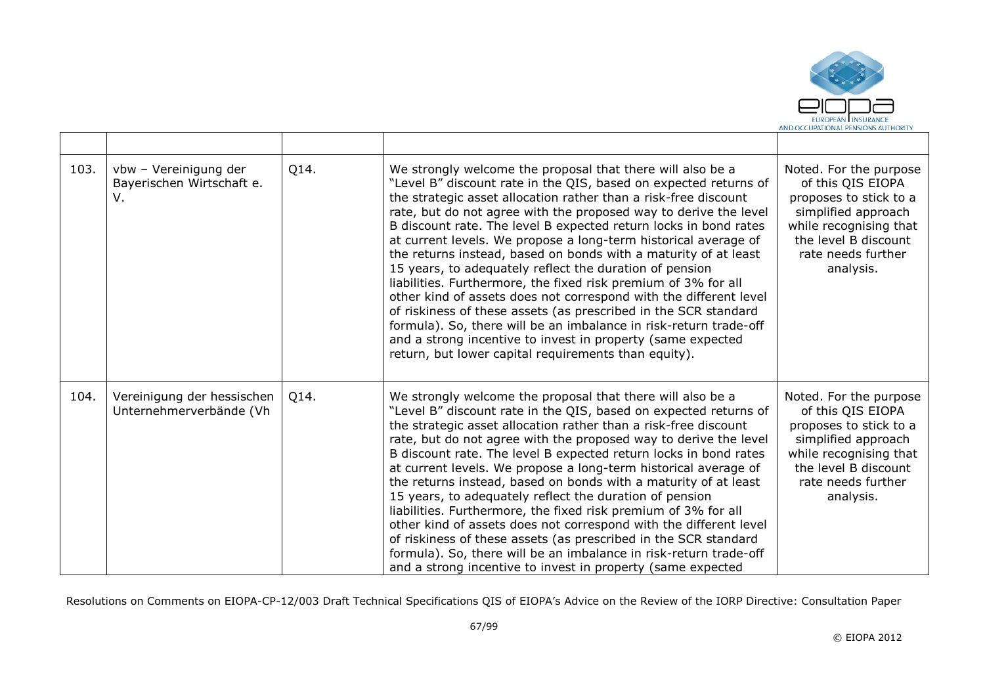

| 103. | vbw - Vereinigung der<br>Bayerischen Wirtschaft e.<br>V. | Q14. | We strongly welcome the proposal that there will also be a<br>"Level B" discount rate in the QIS, based on expected returns of<br>the strategic asset allocation rather than a risk-free discount<br>rate, but do not agree with the proposed way to derive the level<br>B discount rate. The level B expected return locks in bond rates<br>at current levels. We propose a long-term historical average of<br>the returns instead, based on bonds with a maturity of at least<br>15 years, to adequately reflect the duration of pension<br>liabilities. Furthermore, the fixed risk premium of 3% for all<br>other kind of assets does not correspond with the different level<br>of riskiness of these assets (as prescribed in the SCR standard<br>formula). So, there will be an imbalance in risk-return trade-off<br>and a strong incentive to invest in property (same expected<br>return, but lower capital requirements than equity). | Noted. For the purpose<br>of this QIS EIOPA<br>proposes to stick to a<br>simplified approach<br>while recognising that<br>the level B discount<br>rate needs further<br>analysis. |
|------|----------------------------------------------------------|------|--------------------------------------------------------------------------------------------------------------------------------------------------------------------------------------------------------------------------------------------------------------------------------------------------------------------------------------------------------------------------------------------------------------------------------------------------------------------------------------------------------------------------------------------------------------------------------------------------------------------------------------------------------------------------------------------------------------------------------------------------------------------------------------------------------------------------------------------------------------------------------------------------------------------------------------------------|-----------------------------------------------------------------------------------------------------------------------------------------------------------------------------------|
| 104. | Vereinigung der hessischen<br>Unternehmerverbände (Vh    | Q14. | We strongly welcome the proposal that there will also be a<br>"Level B" discount rate in the QIS, based on expected returns of<br>the strategic asset allocation rather than a risk-free discount<br>rate, but do not agree with the proposed way to derive the level<br>B discount rate. The level B expected return locks in bond rates<br>at current levels. We propose a long-term historical average of<br>the returns instead, based on bonds with a maturity of at least<br>15 years, to adequately reflect the duration of pension<br>liabilities. Furthermore, the fixed risk premium of 3% for all<br>other kind of assets does not correspond with the different level<br>of riskiness of these assets (as prescribed in the SCR standard<br>formula). So, there will be an imbalance in risk-return trade-off<br>and a strong incentive to invest in property (same expected                                                         | Noted. For the purpose<br>of this QIS EIOPA<br>proposes to stick to a<br>simplified approach<br>while recognising that<br>the level B discount<br>rate needs further<br>analysis. |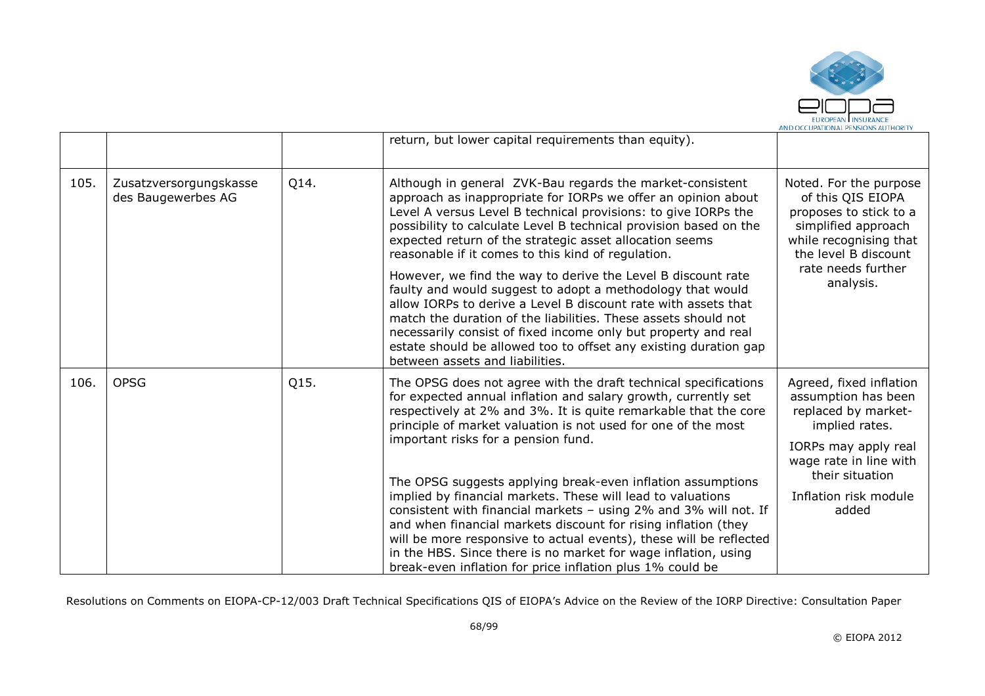

|      |                                              |      | return, but lower capital requirements than equity).                                                                                                                                                                                                                                                                                                                                                                                                                  |                                                                                                                                                |
|------|----------------------------------------------|------|-----------------------------------------------------------------------------------------------------------------------------------------------------------------------------------------------------------------------------------------------------------------------------------------------------------------------------------------------------------------------------------------------------------------------------------------------------------------------|------------------------------------------------------------------------------------------------------------------------------------------------|
| 105. | Zusatzversorgungskasse<br>des Baugewerbes AG | Q14. | Although in general ZVK-Bau regards the market-consistent<br>approach as inappropriate for IORPs we offer an opinion about<br>Level A versus Level B technical provisions: to give IORPs the<br>possibility to calculate Level B technical provision based on the<br>expected return of the strategic asset allocation seems<br>reasonable if it comes to this kind of regulation.                                                                                    | Noted. For the purpose<br>of this QIS EIOPA<br>proposes to stick to a<br>simplified approach<br>while recognising that<br>the level B discount |
|      |                                              |      | However, we find the way to derive the Level B discount rate<br>faulty and would suggest to adopt a methodology that would<br>allow IORPs to derive a Level B discount rate with assets that<br>match the duration of the liabilities. These assets should not<br>necessarily consist of fixed income only but property and real<br>estate should be allowed too to offset any existing duration gap<br>between assets and liabilities.                               | rate needs further<br>analysis.                                                                                                                |
| 106. | <b>OPSG</b>                                  | Q15. | The OPSG does not agree with the draft technical specifications<br>for expected annual inflation and salary growth, currently set<br>respectively at 2% and 3%. It is quite remarkable that the core<br>principle of market valuation is not used for one of the most<br>important risks for a pension fund.                                                                                                                                                          | Agreed, fixed inflation<br>assumption has been<br>replaced by market-<br>implied rates.<br>IORPs may apply real                                |
|      |                                              |      | The OPSG suggests applying break-even inflation assumptions<br>implied by financial markets. These will lead to valuations<br>consistent with financial markets - using 2% and 3% will not. If<br>and when financial markets discount for rising inflation (they<br>will be more responsive to actual events), these will be reflected<br>in the HBS. Since there is no market for wage inflation, using<br>break-even inflation for price inflation plus 1% could be | wage rate in line with<br>their situation<br>Inflation risk module<br>added                                                                    |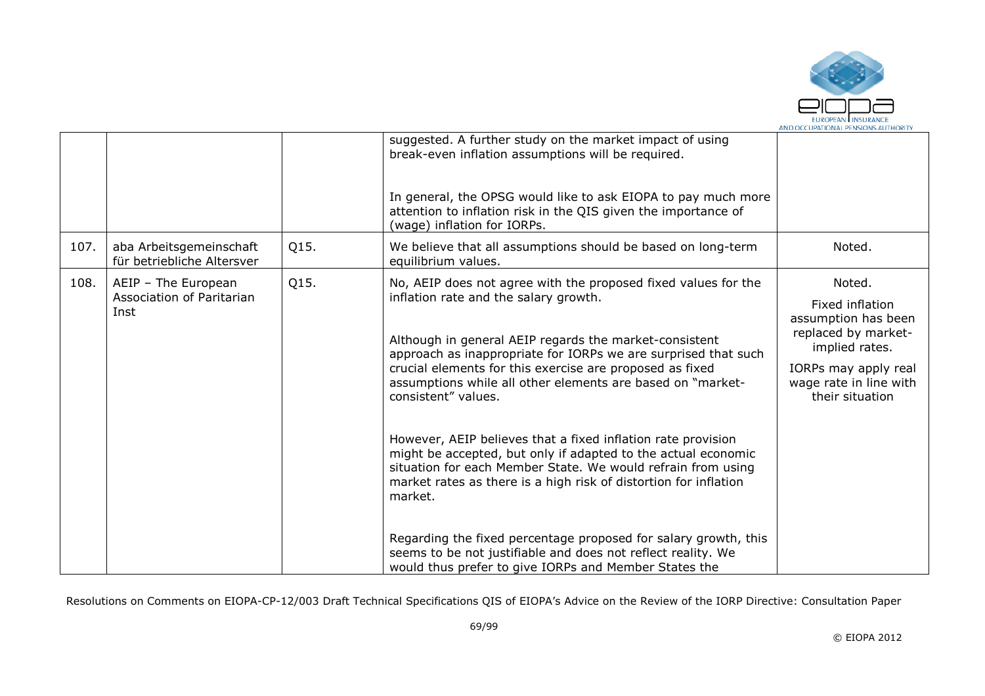

|      |                                                       |      | suggested. A further study on the market impact of using<br>break-even inflation assumptions will be required.<br>In general, the OPSG would like to ask EIOPA to pay much more<br>attention to inflation risk in the QIS given the importance of<br>(wage) inflation for IORPs. |                                                                                                                                                      |
|------|-------------------------------------------------------|------|----------------------------------------------------------------------------------------------------------------------------------------------------------------------------------------------------------------------------------------------------------------------------------|------------------------------------------------------------------------------------------------------------------------------------------------------|
| 107. | aba Arbeitsgemeinschaft<br>für betriebliche Altersver | Q15. | We believe that all assumptions should be based on long-term<br>equilibrium values.                                                                                                                                                                                              | Noted.                                                                                                                                               |
| 108. | AEIP - The European<br>Association of Paritarian      | Q15. | No, AEIP does not agree with the proposed fixed values for the<br>inflation rate and the salary growth.                                                                                                                                                                          | Noted.                                                                                                                                               |
|      | Inst                                                  |      | Although in general AEIP regards the market-consistent<br>approach as inappropriate for IORPs we are surprised that such<br>crucial elements for this exercise are proposed as fixed<br>assumptions while all other elements are based on "market-<br>consistent" values.        | Fixed inflation<br>assumption has been<br>replaced by market-<br>implied rates.<br>IORPs may apply real<br>wage rate in line with<br>their situation |
|      |                                                       |      | However, AEIP believes that a fixed inflation rate provision<br>might be accepted, but only if adapted to the actual economic<br>situation for each Member State. We would refrain from using<br>market rates as there is a high risk of distortion for inflation<br>market.     |                                                                                                                                                      |
|      |                                                       |      | Regarding the fixed percentage proposed for salary growth, this<br>seems to be not justifiable and does not reflect reality. We<br>would thus prefer to give IORPs and Member States the                                                                                         |                                                                                                                                                      |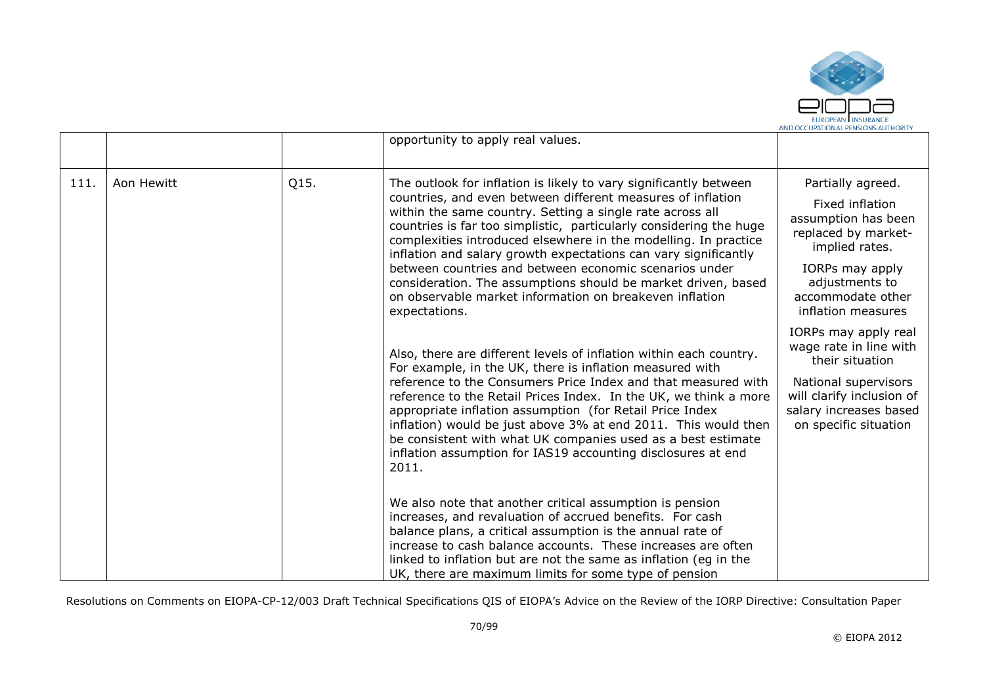

|     |            |      | opportunity to apply real values.                                                                                                                                                                                                                                                                                                                                                                                                                                                                                                                                                                                |                                                                                                                                                                                      |
|-----|------------|------|------------------------------------------------------------------------------------------------------------------------------------------------------------------------------------------------------------------------------------------------------------------------------------------------------------------------------------------------------------------------------------------------------------------------------------------------------------------------------------------------------------------------------------------------------------------------------------------------------------------|--------------------------------------------------------------------------------------------------------------------------------------------------------------------------------------|
| 111 | Aon Hewitt | Q15. | The outlook for inflation is likely to vary significantly between<br>countries, and even between different measures of inflation<br>within the same country. Setting a single rate across all<br>countries is far too simplistic, particularly considering the huge<br>complexities introduced elsewhere in the modelling. In practice<br>inflation and salary growth expectations can vary significantly<br>between countries and between economic scenarios under<br>consideration. The assumptions should be market driven, based<br>on observable market information on breakeven inflation<br>expectations. | Partially agreed.<br>Fixed inflation<br>assumption has been<br>replaced by market-<br>implied rates.<br>IORPs may apply<br>adjustments to<br>accommodate other<br>inflation measures |
|     |            |      | Also, there are different levels of inflation within each country.<br>For example, in the UK, there is inflation measured with<br>reference to the Consumers Price Index and that measured with<br>reference to the Retail Prices Index. In the UK, we think a more<br>appropriate inflation assumption (for Retail Price Index<br>inflation) would be just above 3% at end 2011. This would then<br>be consistent with what UK companies used as a best estimate<br>inflation assumption for IAS19 accounting disclosures at end<br>2011.                                                                       | IORPs may apply real<br>wage rate in line with<br>their situation<br>National supervisors<br>will clarify inclusion of<br>salary increases based<br>on specific situation            |
|     |            |      | We also note that another critical assumption is pension<br>increases, and revaluation of accrued benefits. For cash<br>balance plans, a critical assumption is the annual rate of<br>increase to cash balance accounts. These increases are often<br>linked to inflation but are not the same as inflation (eg in the<br>UK, there are maximum limits for some type of pension                                                                                                                                                                                                                                  |                                                                                                                                                                                      |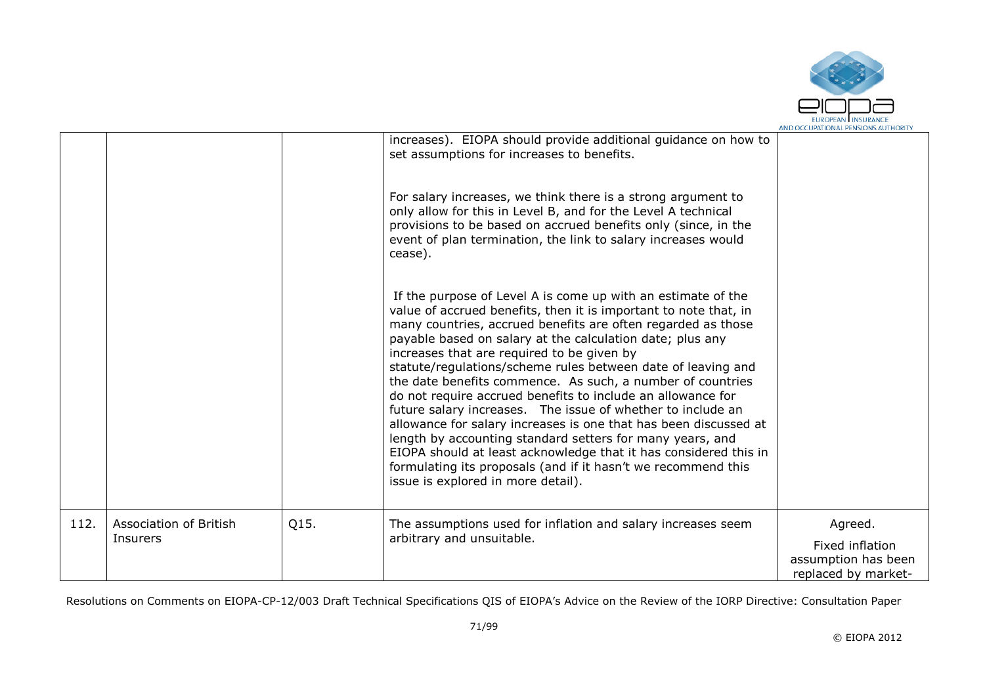

|      |                                           |      | increases). EIOPA should provide additional guidance on how to<br>set assumptions for increases to benefits.                                                                                                                                                                                                                                                                                                                                                                                                                                                                                                                                                                                                                                                                                                                                                                        |                                                                          |
|------|-------------------------------------------|------|-------------------------------------------------------------------------------------------------------------------------------------------------------------------------------------------------------------------------------------------------------------------------------------------------------------------------------------------------------------------------------------------------------------------------------------------------------------------------------------------------------------------------------------------------------------------------------------------------------------------------------------------------------------------------------------------------------------------------------------------------------------------------------------------------------------------------------------------------------------------------------------|--------------------------------------------------------------------------|
|      |                                           |      | For salary increases, we think there is a strong argument to<br>only allow for this in Level B, and for the Level A technical<br>provisions to be based on accrued benefits only (since, in the<br>event of plan termination, the link to salary increases would<br>cease).                                                                                                                                                                                                                                                                                                                                                                                                                                                                                                                                                                                                         |                                                                          |
|      |                                           |      | If the purpose of Level A is come up with an estimate of the<br>value of accrued benefits, then it is important to note that, in<br>many countries, accrued benefits are often regarded as those<br>payable based on salary at the calculation date; plus any<br>increases that are required to be given by<br>statute/regulations/scheme rules between date of leaving and<br>the date benefits commence. As such, a number of countries<br>do not require accrued benefits to include an allowance for<br>future salary increases. The issue of whether to include an<br>allowance for salary increases is one that has been discussed at<br>length by accounting standard setters for many years, and<br>EIOPA should at least acknowledge that it has considered this in<br>formulating its proposals (and if it hasn't we recommend this<br>issue is explored in more detail). |                                                                          |
| 112. | <b>Association of British</b><br>Insurers | Q15. | The assumptions used for inflation and salary increases seem<br>arbitrary and unsuitable.                                                                                                                                                                                                                                                                                                                                                                                                                                                                                                                                                                                                                                                                                                                                                                                           | Agreed.<br>Fixed inflation<br>assumption has been<br>replaced by market- |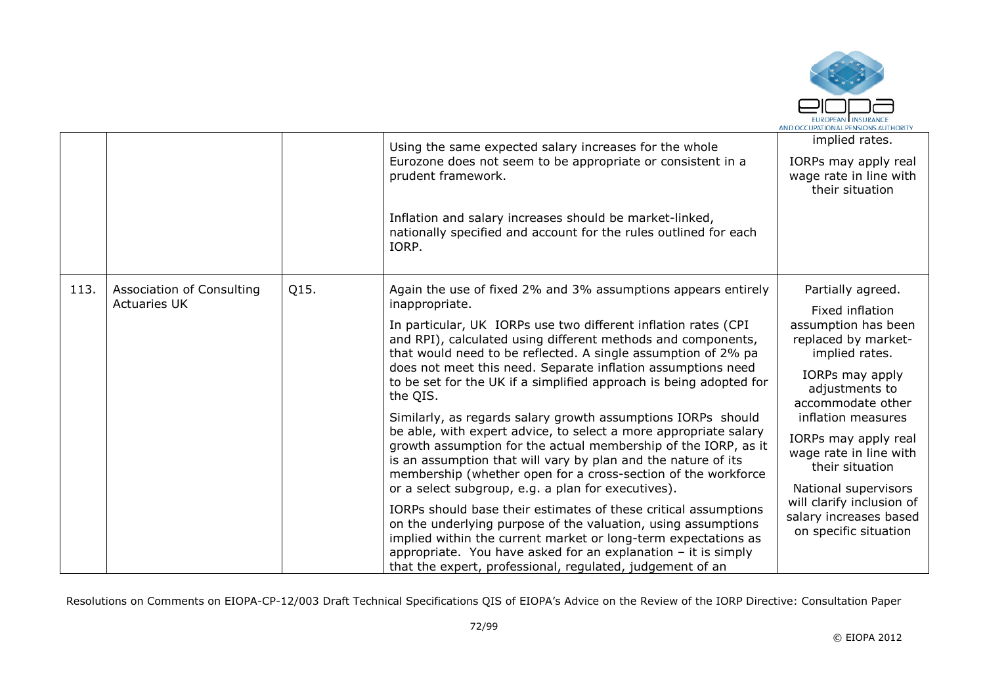

|      |                                                  |                                                                                                                                                                                                                                                                                                                                                                                            | Using the same expected salary increases for the whole<br>Eurozone does not seem to be appropriate or consistent in a<br>prudent framework.                                                                                                                                                                                                       | implied rates.<br>IORPs may apply real<br>wage rate in line with<br>their situation                                    |
|------|--------------------------------------------------|--------------------------------------------------------------------------------------------------------------------------------------------------------------------------------------------------------------------------------------------------------------------------------------------------------------------------------------------------------------------------------------------|---------------------------------------------------------------------------------------------------------------------------------------------------------------------------------------------------------------------------------------------------------------------------------------------------------------------------------------------------|------------------------------------------------------------------------------------------------------------------------|
|      |                                                  |                                                                                                                                                                                                                                                                                                                                                                                            | Inflation and salary increases should be market-linked,<br>nationally specified and account for the rules outlined for each<br>IORP.                                                                                                                                                                                                              |                                                                                                                        |
| 113. | Association of Consulting<br><b>Actuaries UK</b> | Q15.                                                                                                                                                                                                                                                                                                                                                                                       | Again the use of fixed 2% and 3% assumptions appears entirely<br>inappropriate.                                                                                                                                                                                                                                                                   | Partially agreed.<br>Fixed inflation                                                                                   |
|      |                                                  |                                                                                                                                                                                                                                                                                                                                                                                            | In particular, UK IORPs use two different inflation rates (CPI<br>and RPI), calculated using different methods and components,<br>that would need to be reflected. A single assumption of 2% pa<br>does not meet this need. Separate inflation assumptions need<br>to be set for the UK if a simplified approach is being adopted for<br>the QIS. | assumption has been<br>replaced by market-<br>implied rates.<br>IORPs may apply<br>adjustments to<br>accommodate other |
|      |                                                  | Similarly, as regards salary growth assumptions IORPs should<br>be able, with expert advice, to select a more appropriate salary<br>growth assumption for the actual membership of the IORP, as it<br>is an assumption that will vary by plan and the nature of its<br>membership (whether open for a cross-section of the workforce<br>or a select subgroup, e.g. a plan for executives). | inflation measures<br>IORPs may apply real<br>wage rate in line with<br>their situation<br>National supervisors                                                                                                                                                                                                                                   |                                                                                                                        |
|      |                                                  |                                                                                                                                                                                                                                                                                                                                                                                            | IORPs should base their estimates of these critical assumptions<br>on the underlying purpose of the valuation, using assumptions<br>implied within the current market or long-term expectations as<br>appropriate. You have asked for an explanation $-$ it is simply<br>that the expert, professional, regulated, judgement of an                | will clarify inclusion of<br>salary increases based<br>on specific situation                                           |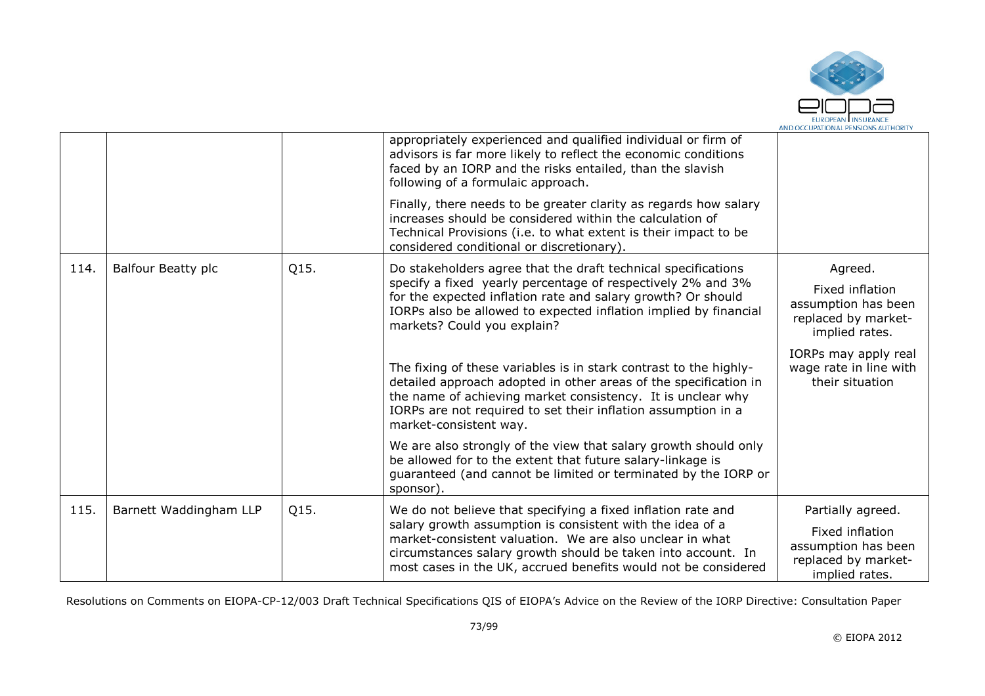

|      |                        |      | appropriately experienced and qualified individual or firm of<br>advisors is far more likely to reflect the economic conditions<br>faced by an IORP and the risks entailed, than the slavish<br>following of a formulaic approach.                                                              |                                                                                 |
|------|------------------------|------|-------------------------------------------------------------------------------------------------------------------------------------------------------------------------------------------------------------------------------------------------------------------------------------------------|---------------------------------------------------------------------------------|
|      |                        |      | Finally, there needs to be greater clarity as regards how salary<br>increases should be considered within the calculation of<br>Technical Provisions (i.e. to what extent is their impact to be<br>considered conditional or discretionary).                                                    |                                                                                 |
| 114. | Balfour Beatty plc     | Q15. | Do stakeholders agree that the draft technical specifications                                                                                                                                                                                                                                   | Agreed.                                                                         |
|      |                        |      | specify a fixed yearly percentage of respectively 2% and 3%<br>for the expected inflation rate and salary growth? Or should<br>IORPs also be allowed to expected inflation implied by financial<br>markets? Could you explain?                                                                  | Fixed inflation<br>assumption has been<br>replaced by market-<br>implied rates. |
|      |                        |      | The fixing of these variables is in stark contrast to the highly-<br>detailed approach adopted in other areas of the specification in<br>the name of achieving market consistency. It is unclear why<br>IORPs are not required to set their inflation assumption in a<br>market-consistent way. | IORPs may apply real<br>wage rate in line with<br>their situation               |
|      |                        |      | We are also strongly of the view that salary growth should only<br>be allowed for to the extent that future salary-linkage is<br>guaranteed (and cannot be limited or terminated by the IORP or<br>sponsor).                                                                                    |                                                                                 |
| 115. | Barnett Waddingham LLP | Q15. | We do not believe that specifying a fixed inflation rate and                                                                                                                                                                                                                                    | Partially agreed.                                                               |
|      |                        |      | salary growth assumption is consistent with the idea of a<br>market-consistent valuation. We are also unclear in what<br>circumstances salary growth should be taken into account. In<br>most cases in the UK, accrued benefits would not be considered                                         | Fixed inflation<br>assumption has been<br>replaced by market-<br>implied rates. |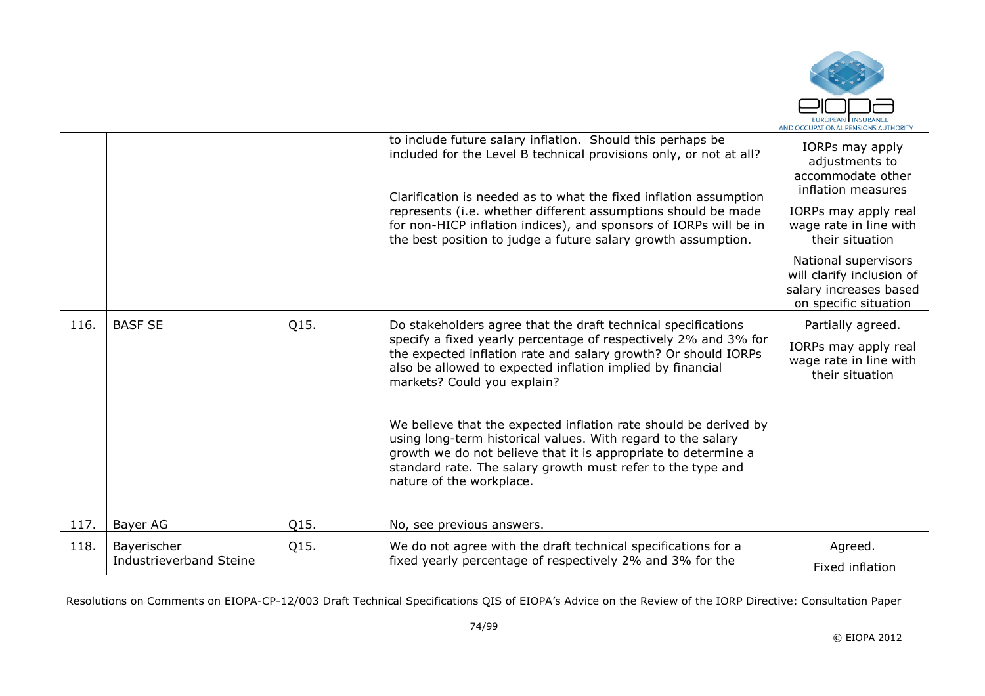

|      |                                        |      | to include future salary inflation. Should this perhaps be<br>included for the Level B technical provisions only, or not at all?<br>Clarification is needed as to what the fixed inflation assumption<br>represents (i.e. whether different assumptions should be made<br>for non-HICP inflation indices), and sponsors of IORPs will be in<br>the best position to judge a future salary growth assumption.                                                                                                                                                                                     | IORPs may apply<br>adjustments to<br>accommodate other<br>inflation measures<br>IORPs may apply real<br>wage rate in line with<br>their situation<br>National supervisors<br>will clarify inclusion of<br>salary increases based<br>on specific situation |
|------|----------------------------------------|------|--------------------------------------------------------------------------------------------------------------------------------------------------------------------------------------------------------------------------------------------------------------------------------------------------------------------------------------------------------------------------------------------------------------------------------------------------------------------------------------------------------------------------------------------------------------------------------------------------|-----------------------------------------------------------------------------------------------------------------------------------------------------------------------------------------------------------------------------------------------------------|
| 116. | <b>BASF SE</b>                         | Q15. | Do stakeholders agree that the draft technical specifications<br>specify a fixed yearly percentage of respectively 2% and 3% for<br>the expected inflation rate and salary growth? Or should IORPs<br>also be allowed to expected inflation implied by financial<br>markets? Could you explain?<br>We believe that the expected inflation rate should be derived by<br>using long-term historical values. With regard to the salary<br>growth we do not believe that it is appropriate to determine a<br>standard rate. The salary growth must refer to the type and<br>nature of the workplace. | Partially agreed.<br>IORPs may apply real<br>wage rate in line with<br>their situation                                                                                                                                                                    |
| 117. | Bayer AG                               | Q15. | No, see previous answers.                                                                                                                                                                                                                                                                                                                                                                                                                                                                                                                                                                        |                                                                                                                                                                                                                                                           |
| 118. | Bayerischer<br>Industrieverband Steine | Q15. | We do not agree with the draft technical specifications for a<br>fixed yearly percentage of respectively 2% and 3% for the                                                                                                                                                                                                                                                                                                                                                                                                                                                                       | Agreed.<br>Fixed inflation                                                                                                                                                                                                                                |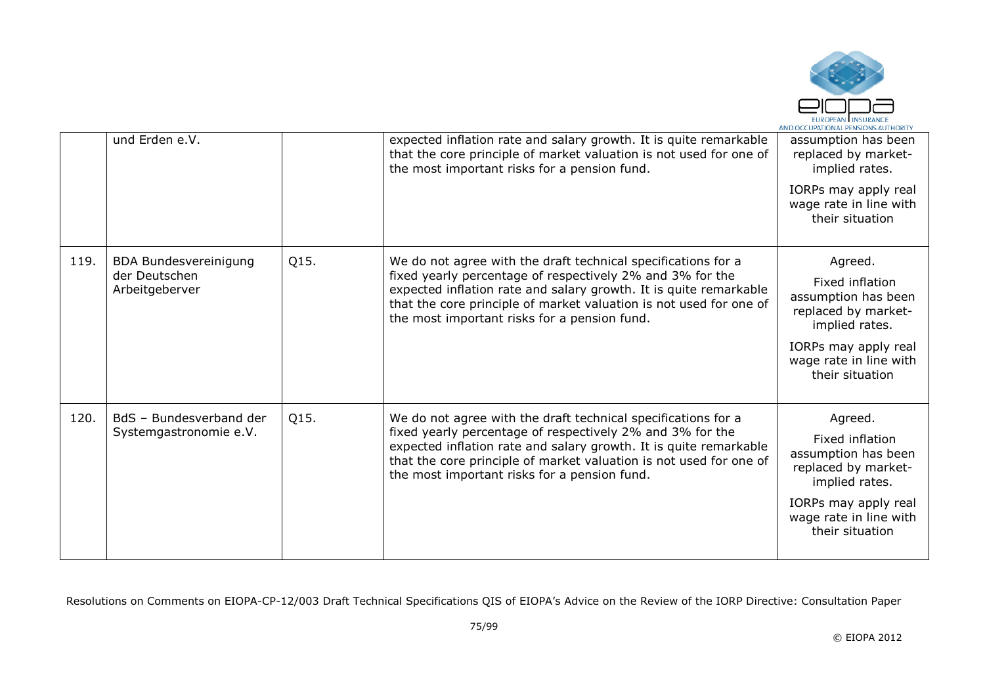

|      | und Erden e.V.                                                  |      | expected inflation rate and salary growth. It is quite remarkable<br>that the core principle of market valuation is not used for one of<br>the most important risks for a pension fund.                                                                                                                               | assumption has been<br>replaced by market-<br>implied rates.<br>IORPs may apply real<br>wage rate in line with<br>their situation                               |
|------|-----------------------------------------------------------------|------|-----------------------------------------------------------------------------------------------------------------------------------------------------------------------------------------------------------------------------------------------------------------------------------------------------------------------|-----------------------------------------------------------------------------------------------------------------------------------------------------------------|
| 119. | <b>BDA Bundesvereinigung</b><br>der Deutschen<br>Arbeitgeberver | Q15. | We do not agree with the draft technical specifications for a<br>fixed yearly percentage of respectively 2% and 3% for the<br>expected inflation rate and salary growth. It is quite remarkable<br>that the core principle of market valuation is not used for one of<br>the most important risks for a pension fund. | Agreed.<br>Fixed inflation<br>assumption has been<br>replaced by market-<br>implied rates.<br>IORPs may apply real<br>wage rate in line with<br>their situation |
| 120. | BdS - Bundesverband der<br>Systemgastronomie e.V.               | Q15. | We do not agree with the draft technical specifications for a<br>fixed yearly percentage of respectively 2% and 3% for the<br>expected inflation rate and salary growth. It is quite remarkable<br>that the core principle of market valuation is not used for one of<br>the most important risks for a pension fund. | Agreed.<br>Fixed inflation<br>assumption has been<br>replaced by market-<br>implied rates.<br>IORPs may apply real<br>wage rate in line with<br>their situation |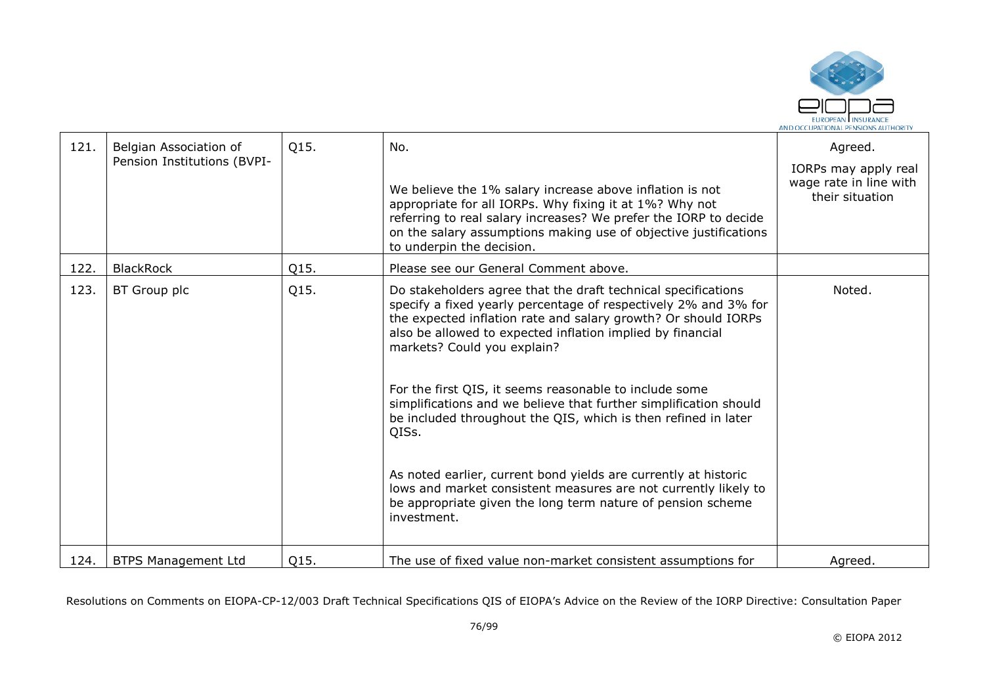

| 121. | Belgian Association of<br>Pension Institutions (BVPI- | Q15. | No.<br>We believe the 1% salary increase above inflation is not<br>appropriate for all IORPs. Why fixing it at 1%? Why not<br>referring to real salary increases? We prefer the IORP to decide<br>on the salary assumptions making use of objective justifications<br>to underpin the decision.                                                                                                                                                                                                                                                                                                                                                                                                                               | Agreed.<br>IORPs may apply real<br>wage rate in line with<br>their situation |
|------|-------------------------------------------------------|------|-------------------------------------------------------------------------------------------------------------------------------------------------------------------------------------------------------------------------------------------------------------------------------------------------------------------------------------------------------------------------------------------------------------------------------------------------------------------------------------------------------------------------------------------------------------------------------------------------------------------------------------------------------------------------------------------------------------------------------|------------------------------------------------------------------------------|
| 122. | <b>BlackRock</b>                                      | Q15. | Please see our General Comment above.                                                                                                                                                                                                                                                                                                                                                                                                                                                                                                                                                                                                                                                                                         |                                                                              |
| 123. | BT Group plc                                          | Q15. | Do stakeholders agree that the draft technical specifications<br>specify a fixed yearly percentage of respectively 2% and 3% for<br>the expected inflation rate and salary growth? Or should IORPs<br>also be allowed to expected inflation implied by financial<br>markets? Could you explain?<br>For the first QIS, it seems reasonable to include some<br>simplifications and we believe that further simplification should<br>be included throughout the QIS, which is then refined in later<br>QISs.<br>As noted earlier, current bond yields are currently at historic<br>lows and market consistent measures are not currently likely to<br>be appropriate given the long term nature of pension scheme<br>investment. | Noted.                                                                       |
| 124. | <b>BTPS Management Ltd</b>                            | Q15. | The use of fixed value non-market consistent assumptions for                                                                                                                                                                                                                                                                                                                                                                                                                                                                                                                                                                                                                                                                  | Agreed.                                                                      |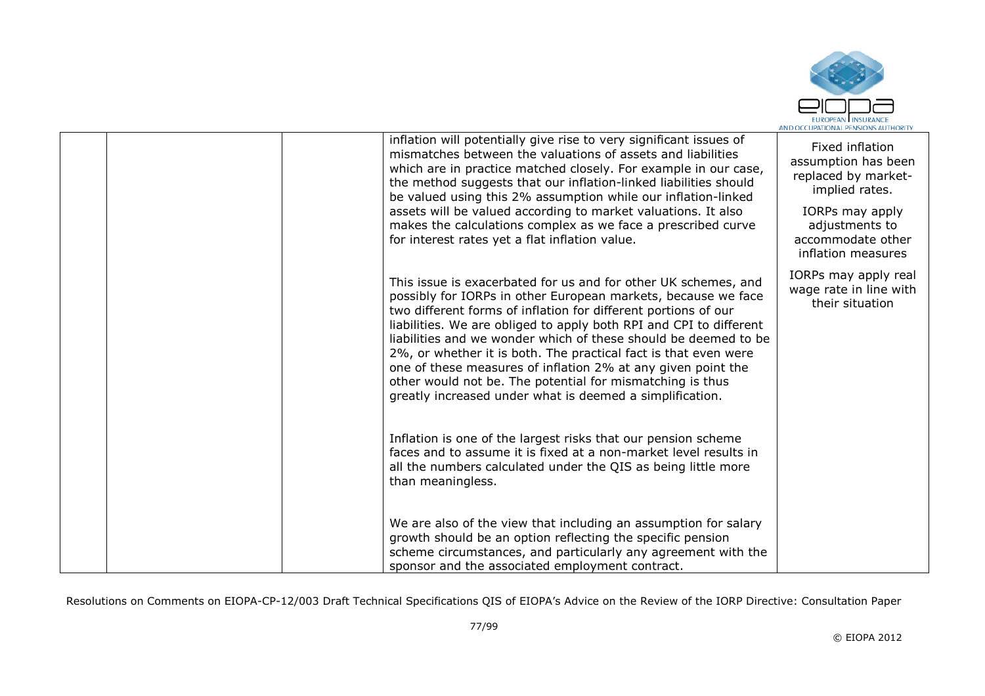

|  | inflation will potentially give rise to very significant issues of<br>mismatches between the valuations of assets and liabilities<br>which are in practice matched closely. For example in our case,<br>the method suggests that our inflation-linked liabilities should<br>be valued using this 2% assumption while our inflation-linked                                                                                                                                                                                                                                                              | Fixed inflation<br>assumption has been<br>replaced by market-<br>implied rates. |
|--|--------------------------------------------------------------------------------------------------------------------------------------------------------------------------------------------------------------------------------------------------------------------------------------------------------------------------------------------------------------------------------------------------------------------------------------------------------------------------------------------------------------------------------------------------------------------------------------------------------|---------------------------------------------------------------------------------|
|  | assets will be valued according to market valuations. It also<br>makes the calculations complex as we face a prescribed curve<br>for interest rates yet a flat inflation value.                                                                                                                                                                                                                                                                                                                                                                                                                        | IORPs may apply<br>adjustments to<br>accommodate other<br>inflation measures    |
|  | This issue is exacerbated for us and for other UK schemes, and<br>possibly for IORPs in other European markets, because we face<br>two different forms of inflation for different portions of our<br>liabilities. We are obliged to apply both RPI and CPI to different<br>liabilities and we wonder which of these should be deemed to be<br>2%, or whether it is both. The practical fact is that even were<br>one of these measures of inflation 2% at any given point the<br>other would not be. The potential for mismatching is thus<br>greatly increased under what is deemed a simplification. | IORPs may apply real<br>wage rate in line with<br>their situation               |
|  | Inflation is one of the largest risks that our pension scheme<br>faces and to assume it is fixed at a non-market level results in<br>all the numbers calculated under the QIS as being little more<br>than meaningless.                                                                                                                                                                                                                                                                                                                                                                                |                                                                                 |
|  | We are also of the view that including an assumption for salary<br>growth should be an option reflecting the specific pension<br>scheme circumstances, and particularly any agreement with the<br>sponsor and the associated employment contract.                                                                                                                                                                                                                                                                                                                                                      |                                                                                 |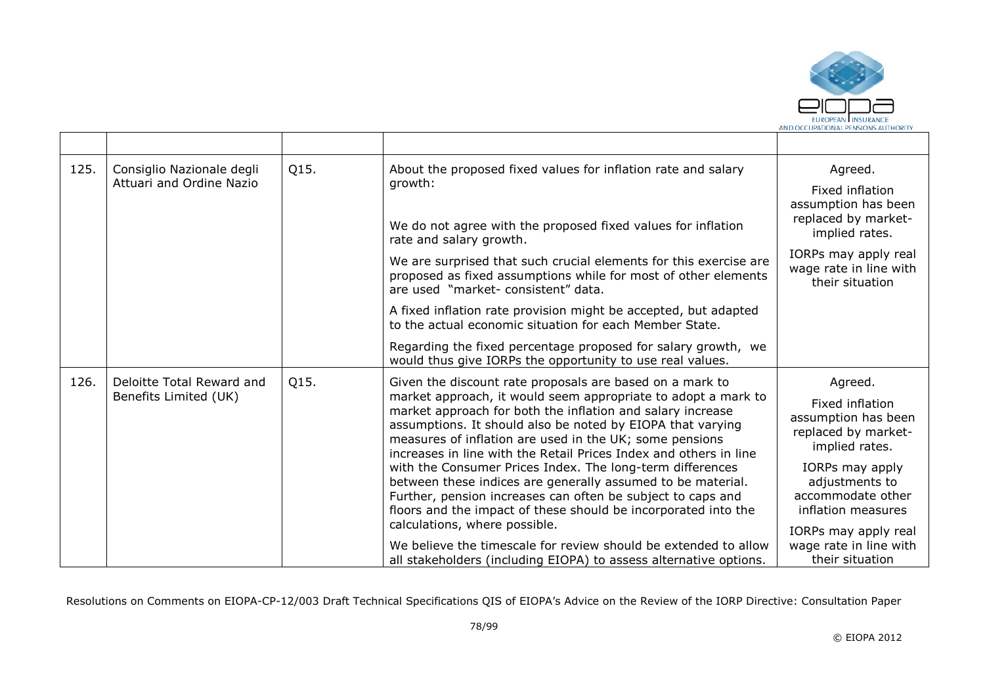

| 125. | Consiglio Nazionale degli<br>Attuari and Ordine Nazio | Q15. | About the proposed fixed values for inflation rate and salary<br>growth:                                                                                                                                                                                                                                                  | Agreed.<br>Fixed inflation                                                      |
|------|-------------------------------------------------------|------|---------------------------------------------------------------------------------------------------------------------------------------------------------------------------------------------------------------------------------------------------------------------------------------------------------------------------|---------------------------------------------------------------------------------|
|      |                                                       |      | We do not agree with the proposed fixed values for inflation<br>rate and salary growth.                                                                                                                                                                                                                                   | assumption has been<br>replaced by market-<br>implied rates.                    |
|      |                                                       |      | We are surprised that such crucial elements for this exercise are<br>proposed as fixed assumptions while for most of other elements<br>are used "market- consistent" data.                                                                                                                                                | IORPs may apply real<br>wage rate in line with<br>their situation               |
|      |                                                       |      | A fixed inflation rate provision might be accepted, but adapted<br>to the actual economic situation for each Member State.                                                                                                                                                                                                |                                                                                 |
|      |                                                       |      | Regarding the fixed percentage proposed for salary growth, we<br>would thus give IORPs the opportunity to use real values.                                                                                                                                                                                                |                                                                                 |
| 126. | Deloitte Total Reward and                             | Q15. | Given the discount rate proposals are based on a mark to                                                                                                                                                                                                                                                                  | Agreed.                                                                         |
|      | Benefits Limited (UK)                                 |      | market approach, it would seem appropriate to adopt a mark to<br>market approach for both the inflation and salary increase<br>assumptions. It should also be noted by EIOPA that varying<br>measures of inflation are used in the UK; some pensions<br>increases in line with the Retail Prices Index and others in line | Fixed inflation<br>assumption has been<br>replaced by market-<br>implied rates. |
|      |                                                       |      | with the Consumer Prices Index. The long-term differences<br>between these indices are generally assumed to be material.<br>Further, pension increases can often be subject to caps and<br>floors and the impact of these should be incorporated into the                                                                 | IORPs may apply<br>adjustments to<br>accommodate other<br>inflation measures    |
|      |                                                       |      | calculations, where possible.<br>We believe the timescale for review should be extended to allow<br>all stakeholders (including EIOPA) to assess alternative options.                                                                                                                                                     | IORPs may apply real<br>wage rate in line with<br>their situation               |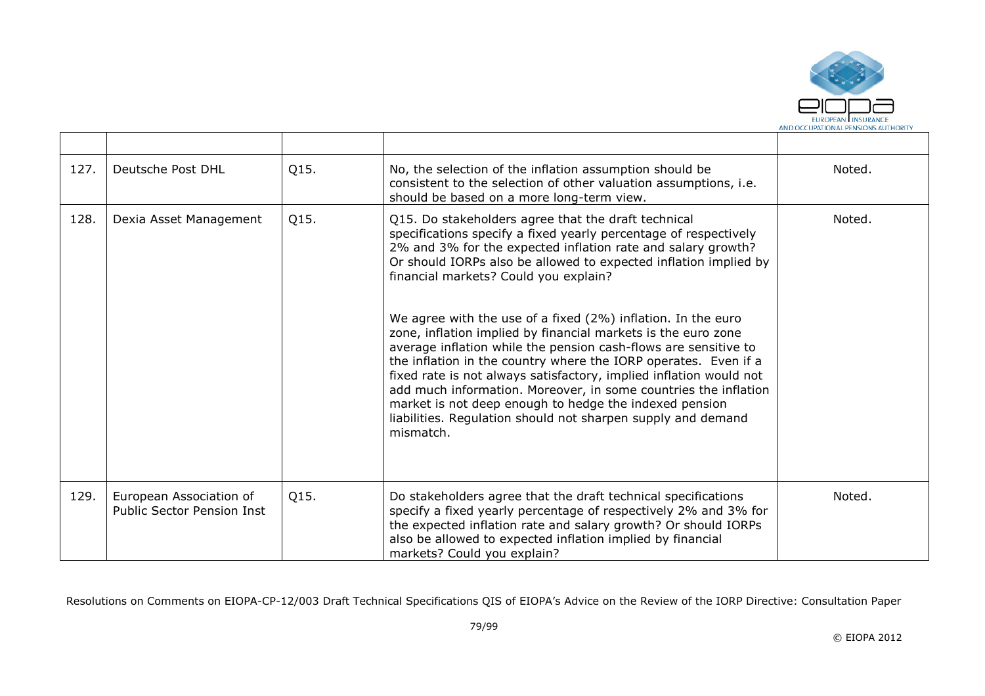

| 127. | Deutsche Post DHL                                            | Q15. | No, the selection of the inflation assumption should be<br>consistent to the selection of other valuation assumptions, i.e.<br>should be based on a more long-term view.                                                                                                                                                                                                                                                                                                                                                                                                                                                                                                                                                                                                                                                                                    | Noted. |
|------|--------------------------------------------------------------|------|-------------------------------------------------------------------------------------------------------------------------------------------------------------------------------------------------------------------------------------------------------------------------------------------------------------------------------------------------------------------------------------------------------------------------------------------------------------------------------------------------------------------------------------------------------------------------------------------------------------------------------------------------------------------------------------------------------------------------------------------------------------------------------------------------------------------------------------------------------------|--------|
| 128. | Dexia Asset Management                                       | Q15. | Q15. Do stakeholders agree that the draft technical<br>specifications specify a fixed yearly percentage of respectively<br>2% and 3% for the expected inflation rate and salary growth?<br>Or should IORPs also be allowed to expected inflation implied by<br>financial markets? Could you explain?<br>We agree with the use of a fixed (2%) inflation. In the euro<br>zone, inflation implied by financial markets is the euro zone<br>average inflation while the pension cash-flows are sensitive to<br>the inflation in the country where the IORP operates. Even if a<br>fixed rate is not always satisfactory, implied inflation would not<br>add much information. Moreover, in some countries the inflation<br>market is not deep enough to hedge the indexed pension<br>liabilities. Regulation should not sharpen supply and demand<br>mismatch. | Noted. |
| 129. | European Association of<br><b>Public Sector Pension Inst</b> | Q15. | Do stakeholders agree that the draft technical specifications<br>specify a fixed yearly percentage of respectively 2% and 3% for<br>the expected inflation rate and salary growth? Or should IORPs<br>also be allowed to expected inflation implied by financial<br>markets? Could you explain?                                                                                                                                                                                                                                                                                                                                                                                                                                                                                                                                                             | Noted. |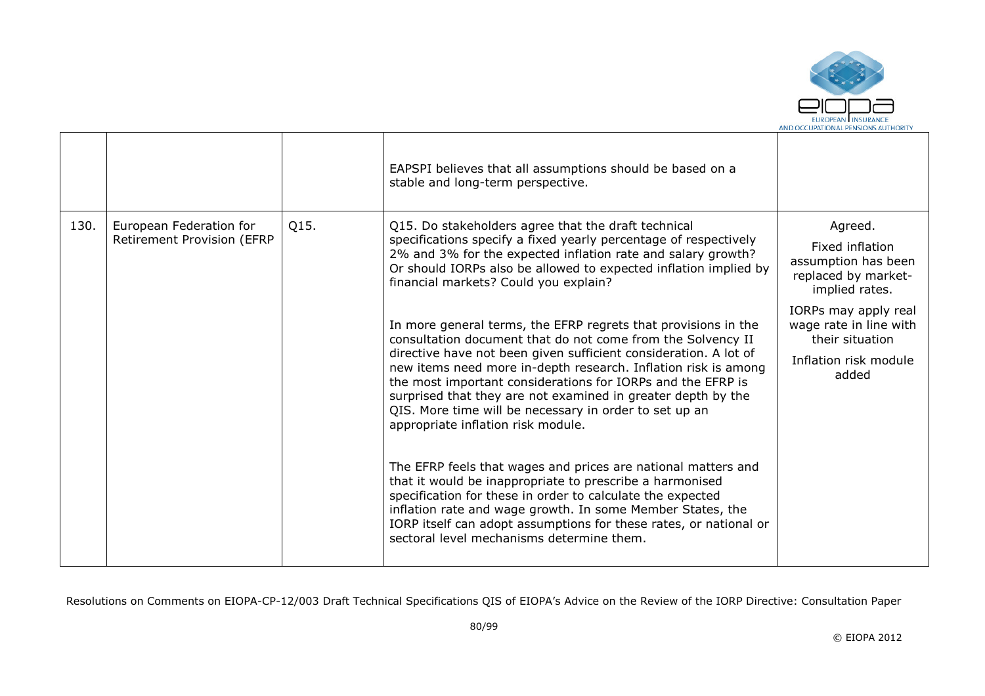

|      |                                                       |      | EAPSPI believes that all assumptions should be based on a<br>stable and long-term perspective.                                                                                                                                                                                                                                                                                                                                                                                                                                                                                                                                                                                                                                                                                                                                                                                                                                                                                                                                                                                                                                                                                        |                                                                                                                                                                                                   |
|------|-------------------------------------------------------|------|---------------------------------------------------------------------------------------------------------------------------------------------------------------------------------------------------------------------------------------------------------------------------------------------------------------------------------------------------------------------------------------------------------------------------------------------------------------------------------------------------------------------------------------------------------------------------------------------------------------------------------------------------------------------------------------------------------------------------------------------------------------------------------------------------------------------------------------------------------------------------------------------------------------------------------------------------------------------------------------------------------------------------------------------------------------------------------------------------------------------------------------------------------------------------------------|---------------------------------------------------------------------------------------------------------------------------------------------------------------------------------------------------|
| 130. | European Federation for<br>Retirement Provision (EFRP | Q15. | Q15. Do stakeholders agree that the draft technical<br>specifications specify a fixed yearly percentage of respectively<br>2% and 3% for the expected inflation rate and salary growth?<br>Or should IORPs also be allowed to expected inflation implied by<br>financial markets? Could you explain?<br>In more general terms, the EFRP regrets that provisions in the<br>consultation document that do not come from the Solvency II<br>directive have not been given sufficient consideration. A lot of<br>new items need more in-depth research. Inflation risk is among<br>the most important considerations for IORPs and the EFRP is<br>surprised that they are not examined in greater depth by the<br>QIS. More time will be necessary in order to set up an<br>appropriate inflation risk module.<br>The EFRP feels that wages and prices are national matters and<br>that it would be inappropriate to prescribe a harmonised<br>specification for these in order to calculate the expected<br>inflation rate and wage growth. In some Member States, the<br>IORP itself can adopt assumptions for these rates, or national or<br>sectoral level mechanisms determine them. | Agreed.<br>Fixed inflation<br>assumption has been<br>replaced by market-<br>implied rates.<br>IORPs may apply real<br>wage rate in line with<br>their situation<br>Inflation risk module<br>added |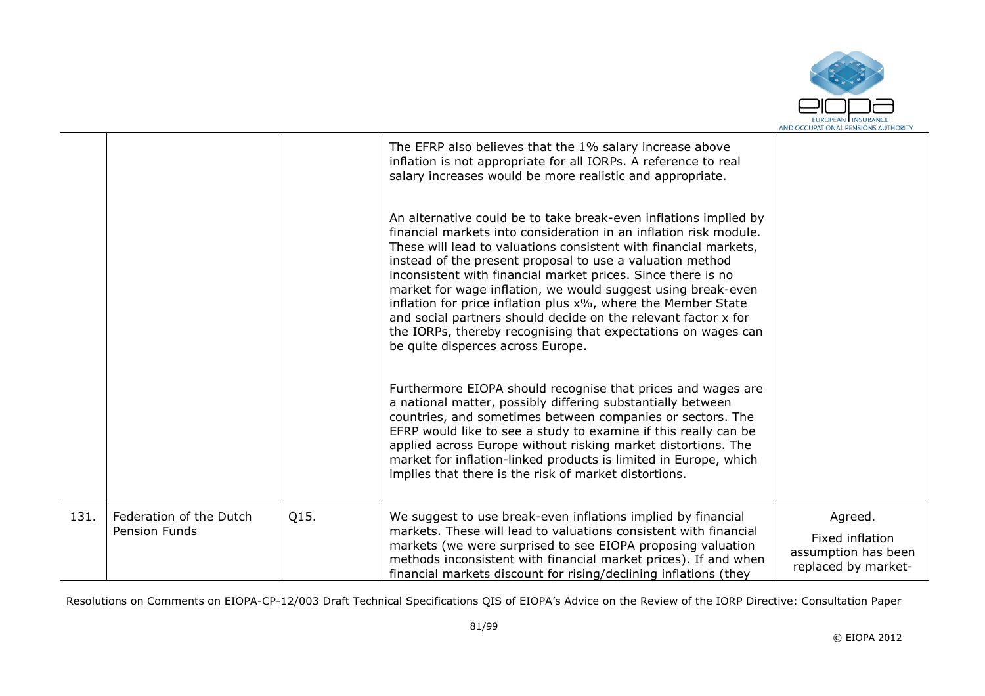

|      |                                                 |      | The EFRP also believes that the 1% salary increase above<br>inflation is not appropriate for all IORPs. A reference to real<br>salary increases would be more realistic and appropriate.                                                                                                                                                                                                                                                                                                                                                                                                                                                        |                                                                          |
|------|-------------------------------------------------|------|-------------------------------------------------------------------------------------------------------------------------------------------------------------------------------------------------------------------------------------------------------------------------------------------------------------------------------------------------------------------------------------------------------------------------------------------------------------------------------------------------------------------------------------------------------------------------------------------------------------------------------------------------|--------------------------------------------------------------------------|
|      |                                                 |      | An alternative could be to take break-even inflations implied by<br>financial markets into consideration in an inflation risk module.<br>These will lead to valuations consistent with financial markets,<br>instead of the present proposal to use a valuation method<br>inconsistent with financial market prices. Since there is no<br>market for wage inflation, we would suggest using break-even<br>inflation for price inflation plus x%, where the Member State<br>and social partners should decide on the relevant factor x for<br>the IORPs, thereby recognising that expectations on wages can<br>be quite disperces across Europe. |                                                                          |
|      |                                                 |      | Furthermore EIOPA should recognise that prices and wages are<br>a national matter, possibly differing substantially between<br>countries, and sometimes between companies or sectors. The<br>EFRP would like to see a study to examine if this really can be<br>applied across Europe without risking market distortions. The<br>market for inflation-linked products is limited in Europe, which<br>implies that there is the risk of market distortions.                                                                                                                                                                                      |                                                                          |
| 131. | Federation of the Dutch<br><b>Pension Funds</b> | Q15. | We suggest to use break-even inflations implied by financial<br>markets. These will lead to valuations consistent with financial<br>markets (we were surprised to see EIOPA proposing valuation<br>methods inconsistent with financial market prices). If and when<br>financial markets discount for rising/declining inflations (they                                                                                                                                                                                                                                                                                                          | Agreed.<br>Fixed inflation<br>assumption has been<br>replaced by market- |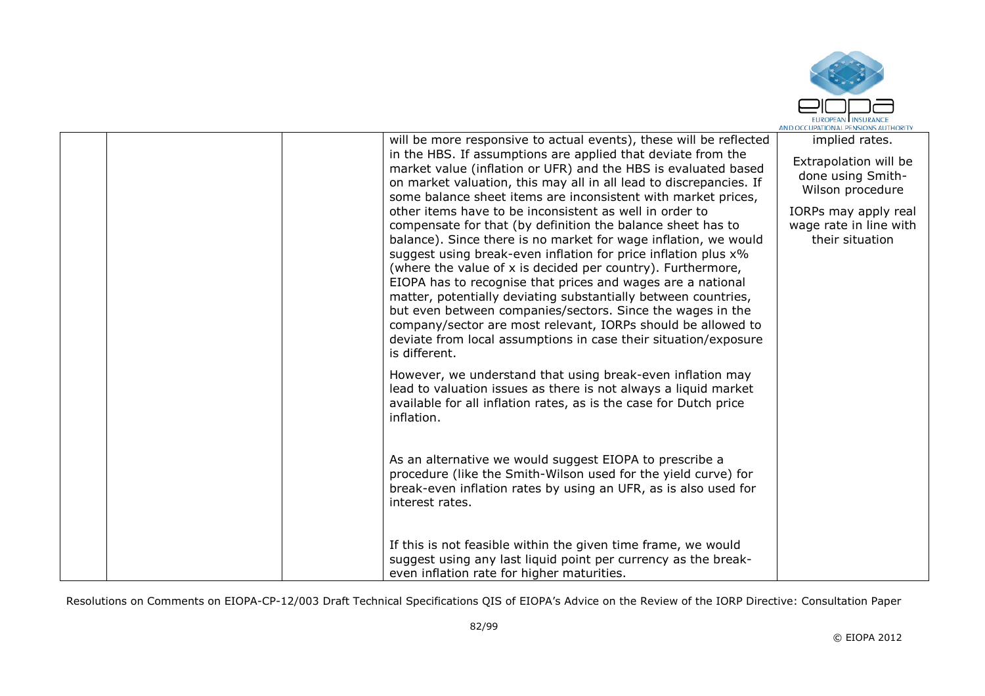

|  | will be more responsive to actual events), these will be reflected<br>in the HBS. If assumptions are applied that deviate from the<br>market value (inflation or UFR) and the HBS is evaluated based<br>on market valuation, this may all in all lead to discrepancies. If<br>some balance sheet items are inconsistent with market prices,<br>other items have to be inconsistent as well in order to<br>compensate for that (by definition the balance sheet has to<br>balance). Since there is no market for wage inflation, we would<br>suggest using break-even inflation for price inflation plus x%<br>(where the value of x is decided per country). Furthermore,<br>EIOPA has to recognise that prices and wages are a national<br>matter, potentially deviating substantially between countries,<br>but even between companies/sectors. Since the wages in the<br>company/sector are most relevant, IORPs should be allowed to<br>deviate from local assumptions in case their situation/exposure<br>is different.<br>However, we understand that using break-even inflation may | implied rates.<br>Extrapolation will be<br>done using Smith-<br>Wilson procedure<br>IORPs may apply real<br>wage rate in line with<br>their situation |
|--|--------------------------------------------------------------------------------------------------------------------------------------------------------------------------------------------------------------------------------------------------------------------------------------------------------------------------------------------------------------------------------------------------------------------------------------------------------------------------------------------------------------------------------------------------------------------------------------------------------------------------------------------------------------------------------------------------------------------------------------------------------------------------------------------------------------------------------------------------------------------------------------------------------------------------------------------------------------------------------------------------------------------------------------------------------------------------------------------|-------------------------------------------------------------------------------------------------------------------------------------------------------|
|  | lead to valuation issues as there is not always a liquid market<br>available for all inflation rates, as is the case for Dutch price<br>inflation.<br>As an alternative we would suggest EIOPA to prescribe a<br>procedure (like the Smith-Wilson used for the yield curve) for<br>break-even inflation rates by using an UFR, as is also used for<br>interest rates.<br>If this is not feasible within the given time frame, we would                                                                                                                                                                                                                                                                                                                                                                                                                                                                                                                                                                                                                                                     |                                                                                                                                                       |
|  | suggest using any last liquid point per currency as the break-<br>even inflation rate for higher maturities.                                                                                                                                                                                                                                                                                                                                                                                                                                                                                                                                                                                                                                                                                                                                                                                                                                                                                                                                                                               |                                                                                                                                                       |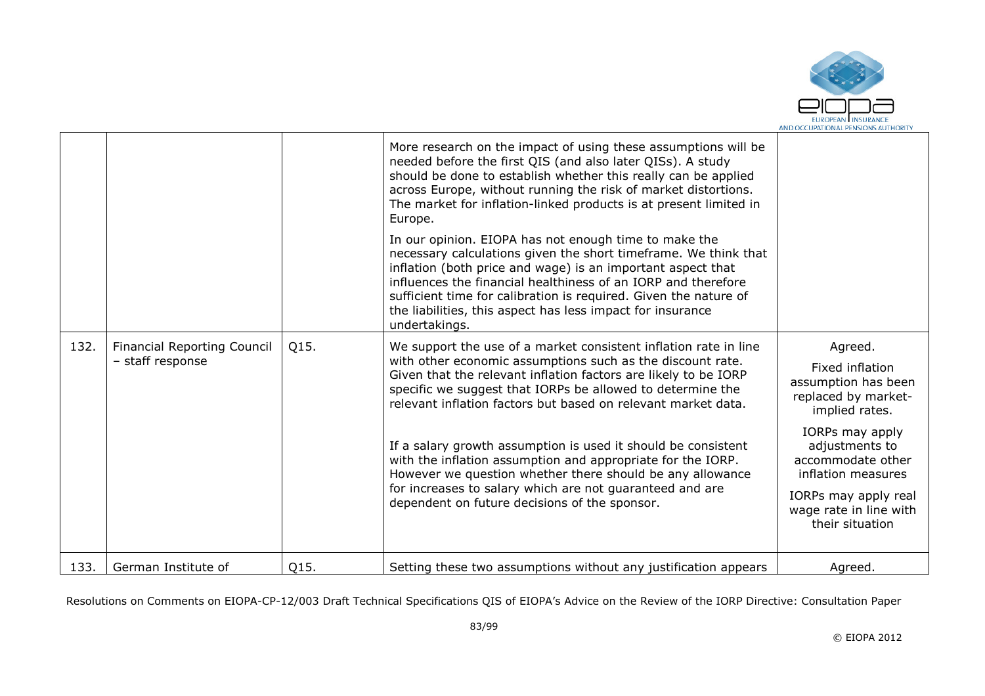

|      |                                    |      | More research on the impact of using these assumptions will be<br>needed before the first QIS (and also later QISs). A study<br>should be done to establish whether this really can be applied<br>across Europe, without running the risk of market distortions.<br>The market for inflation-linked products is at present limited in<br>Europe.                                                            |                                                                                 |
|------|------------------------------------|------|-------------------------------------------------------------------------------------------------------------------------------------------------------------------------------------------------------------------------------------------------------------------------------------------------------------------------------------------------------------------------------------------------------------|---------------------------------------------------------------------------------|
|      |                                    |      | In our opinion. EIOPA has not enough time to make the<br>necessary calculations given the short timeframe. We think that<br>inflation (both price and wage) is an important aspect that<br>influences the financial healthiness of an IORP and therefore<br>sufficient time for calibration is required. Given the nature of<br>the liabilities, this aspect has less impact for insurance<br>undertakings. |                                                                                 |
| 132. | <b>Financial Reporting Council</b> | Q15. | We support the use of a market consistent inflation rate in line                                                                                                                                                                                                                                                                                                                                            | Agreed.                                                                         |
|      | - staff response                   |      | with other economic assumptions such as the discount rate.<br>Given that the relevant inflation factors are likely to be IORP<br>specific we suggest that IORPs be allowed to determine the<br>relevant inflation factors but based on relevant market data.                                                                                                                                                | Fixed inflation<br>assumption has been<br>replaced by market-<br>implied rates. |
|      |                                    |      | If a salary growth assumption is used it should be consistent<br>with the inflation assumption and appropriate for the IORP.<br>However we question whether there should be any allowance                                                                                                                                                                                                                   | IORPs may apply<br>adjustments to<br>accommodate other<br>inflation measures    |
|      |                                    |      | for increases to salary which are not guaranteed and are<br>dependent on future decisions of the sponsor.                                                                                                                                                                                                                                                                                                   | IORPs may apply real<br>wage rate in line with<br>their situation               |
| 133. | German Institute of                | Q15. | Setting these two assumptions without any justification appears                                                                                                                                                                                                                                                                                                                                             | Agreed.                                                                         |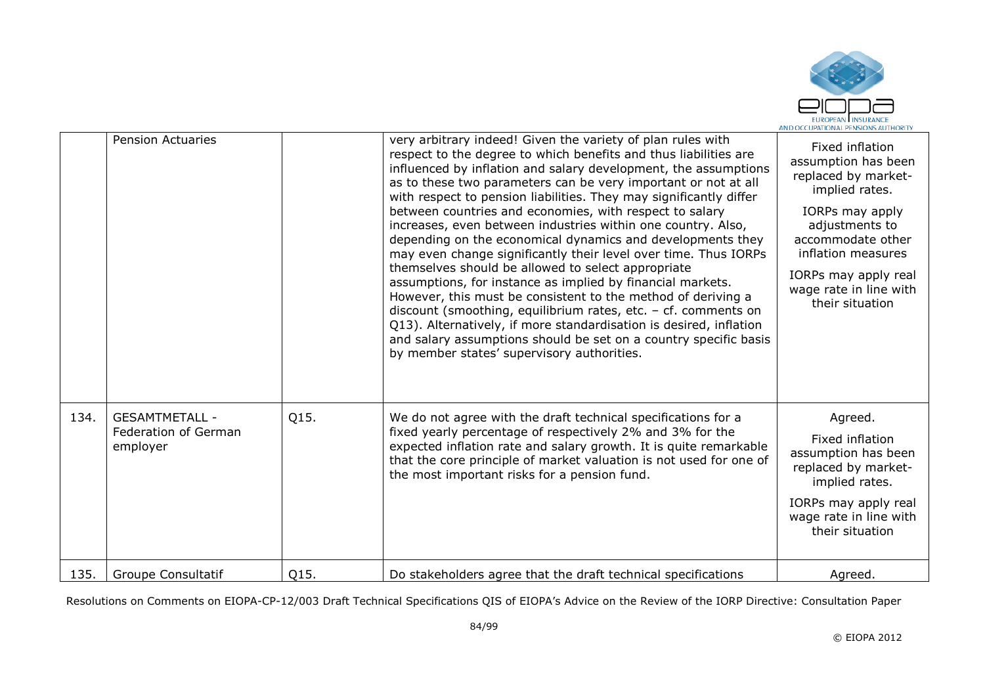

|      | <b>Pension Actuaries</b>                                  |      | very arbitrary indeed! Given the variety of plan rules with<br>respect to the degree to which benefits and thus liabilities are<br>influenced by inflation and salary development, the assumptions<br>as to these two parameters can be very important or not at all<br>with respect to pension liabilities. They may significantly differ<br>between countries and economies, with respect to salary<br>increases, even between industries within one country. Also,<br>depending on the economical dynamics and developments they<br>may even change significantly their level over time. Thus IORPs<br>themselves should be allowed to select appropriate<br>assumptions, for instance as implied by financial markets.<br>However, this must be consistent to the method of deriving a<br>discount (smoothing, equilibrium rates, etc. $-$ cf. comments on<br>Q13). Alternatively, if more standardisation is desired, inflation<br>and salary assumptions should be set on a country specific basis<br>by member states' supervisory authorities. | Fixed inflation<br>assumption has been<br>replaced by market-<br>implied rates.<br>IORPs may apply<br>adjustments to<br>accommodate other<br>inflation measures<br>IORPs may apply real<br>wage rate in line with<br>their situation |
|------|-----------------------------------------------------------|------|--------------------------------------------------------------------------------------------------------------------------------------------------------------------------------------------------------------------------------------------------------------------------------------------------------------------------------------------------------------------------------------------------------------------------------------------------------------------------------------------------------------------------------------------------------------------------------------------------------------------------------------------------------------------------------------------------------------------------------------------------------------------------------------------------------------------------------------------------------------------------------------------------------------------------------------------------------------------------------------------------------------------------------------------------------|--------------------------------------------------------------------------------------------------------------------------------------------------------------------------------------------------------------------------------------|
| 134. | <b>GESAMTMETALL -</b><br>Federation of German<br>employer | Q15. | We do not agree with the draft technical specifications for a<br>fixed yearly percentage of respectively 2% and 3% for the<br>expected inflation rate and salary growth. It is quite remarkable<br>that the core principle of market valuation is not used for one of<br>the most important risks for a pension fund.                                                                                                                                                                                                                                                                                                                                                                                                                                                                                                                                                                                                                                                                                                                                  | Agreed.<br>Fixed inflation<br>assumption has been<br>replaced by market-<br>implied rates.                                                                                                                                           |
|      |                                                           |      |                                                                                                                                                                                                                                                                                                                                                                                                                                                                                                                                                                                                                                                                                                                                                                                                                                                                                                                                                                                                                                                        | IORPs may apply real<br>wage rate in line with<br>their situation                                                                                                                                                                    |
| 135. | <b>Groupe Consultatif</b>                                 | Q15. | Do stakeholders agree that the draft technical specifications                                                                                                                                                                                                                                                                                                                                                                                                                                                                                                                                                                                                                                                                                                                                                                                                                                                                                                                                                                                          | Agreed.                                                                                                                                                                                                                              |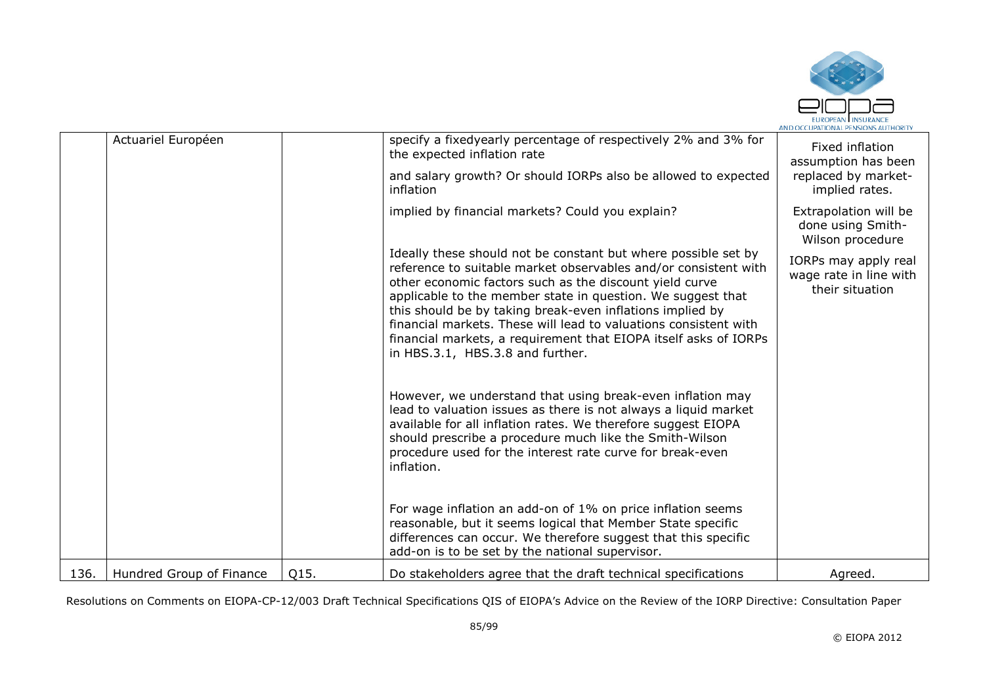

|      | Actuariel Européen       |      | specify a fixedyearly percentage of respectively 2% and 3% for<br>the expected inflation rate<br>and salary growth? Or should IORPs also be allowed to expected                                                                                                                                                                                                                                                                                                                                      | Fixed inflation<br>assumption has been<br>replaced by market-     |
|------|--------------------------|------|------------------------------------------------------------------------------------------------------------------------------------------------------------------------------------------------------------------------------------------------------------------------------------------------------------------------------------------------------------------------------------------------------------------------------------------------------------------------------------------------------|-------------------------------------------------------------------|
|      |                          |      | inflation                                                                                                                                                                                                                                                                                                                                                                                                                                                                                            | implied rates.                                                    |
|      |                          |      | implied by financial markets? Could you explain?                                                                                                                                                                                                                                                                                                                                                                                                                                                     | Extrapolation will be<br>done using Smith-<br>Wilson procedure    |
|      |                          |      | Ideally these should not be constant but where possible set by<br>reference to suitable market observables and/or consistent with<br>other economic factors such as the discount yield curve<br>applicable to the member state in question. We suggest that<br>this should be by taking break-even inflations implied by<br>financial markets. These will lead to valuations consistent with<br>financial markets, a requirement that EIOPA itself asks of IORPs<br>in HBS.3.1, HBS.3.8 and further. | IORPs may apply real<br>wage rate in line with<br>their situation |
|      |                          |      | However, we understand that using break-even inflation may<br>lead to valuation issues as there is not always a liquid market<br>available for all inflation rates. We therefore suggest EIOPA<br>should prescribe a procedure much like the Smith-Wilson<br>procedure used for the interest rate curve for break-even<br>inflation.                                                                                                                                                                 |                                                                   |
|      |                          |      | For wage inflation an add-on of 1% on price inflation seems<br>reasonable, but it seems logical that Member State specific<br>differences can occur. We therefore suggest that this specific<br>add-on is to be set by the national supervisor.                                                                                                                                                                                                                                                      |                                                                   |
| 136. | Hundred Group of Finance | Q15. | Do stakeholders agree that the draft technical specifications                                                                                                                                                                                                                                                                                                                                                                                                                                        | Agreed.                                                           |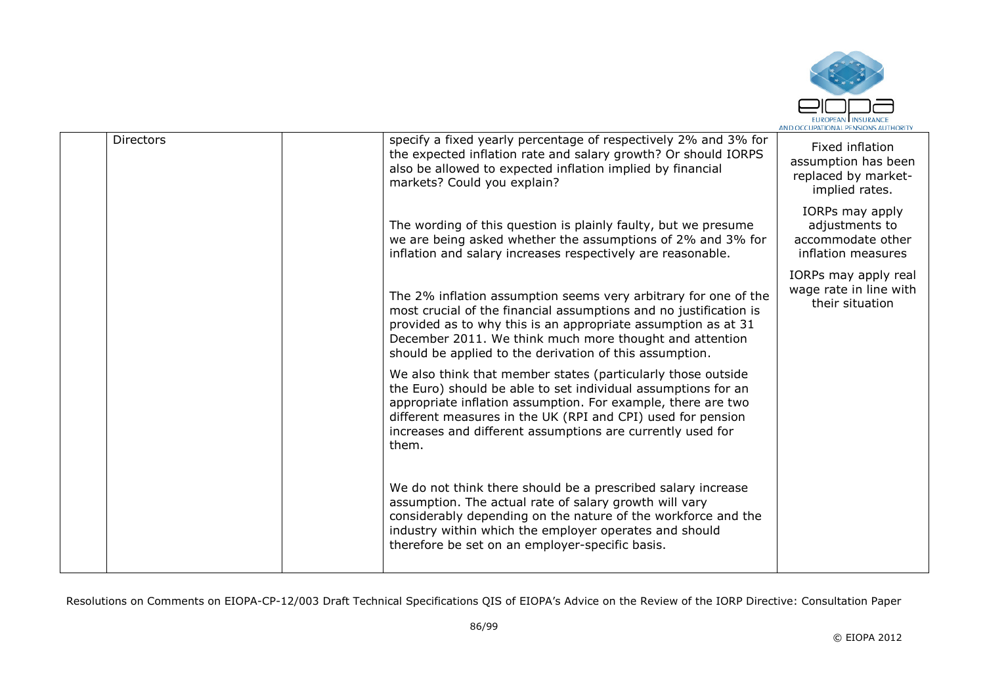

|                  |                                                                                                                                                                                                                                                                                                                                     | AND OCCUPATIONAL PENSIONS AUTHORIT                                              |
|------------------|-------------------------------------------------------------------------------------------------------------------------------------------------------------------------------------------------------------------------------------------------------------------------------------------------------------------------------------|---------------------------------------------------------------------------------|
| <b>Directors</b> | specify a fixed yearly percentage of respectively 2% and 3% for<br>the expected inflation rate and salary growth? Or should IORPS<br>also be allowed to expected inflation implied by financial<br>markets? Could you explain?                                                                                                      | Fixed inflation<br>assumption has been<br>replaced by market-<br>implied rates. |
|                  | The wording of this question is plainly faulty, but we presume<br>we are being asked whether the assumptions of 2% and 3% for<br>inflation and salary increases respectively are reasonable.                                                                                                                                        | IORPs may apply<br>adjustments to<br>accommodate other<br>inflation measures    |
|                  | The 2% inflation assumption seems very arbitrary for one of the<br>most crucial of the financial assumptions and no justification is<br>provided as to why this is an appropriate assumption as at 31<br>December 2011. We think much more thought and attention<br>should be applied to the derivation of this assumption.         | IORPs may apply real<br>wage rate in line with<br>their situation               |
|                  | We also think that member states (particularly those outside<br>the Euro) should be able to set individual assumptions for an<br>appropriate inflation assumption. For example, there are two<br>different measures in the UK (RPI and CPI) used for pension<br>increases and different assumptions are currently used for<br>them. |                                                                                 |
|                  | We do not think there should be a prescribed salary increase<br>assumption. The actual rate of salary growth will vary<br>considerably depending on the nature of the workforce and the<br>industry within which the employer operates and should<br>therefore be set on an employer-specific basis.                                |                                                                                 |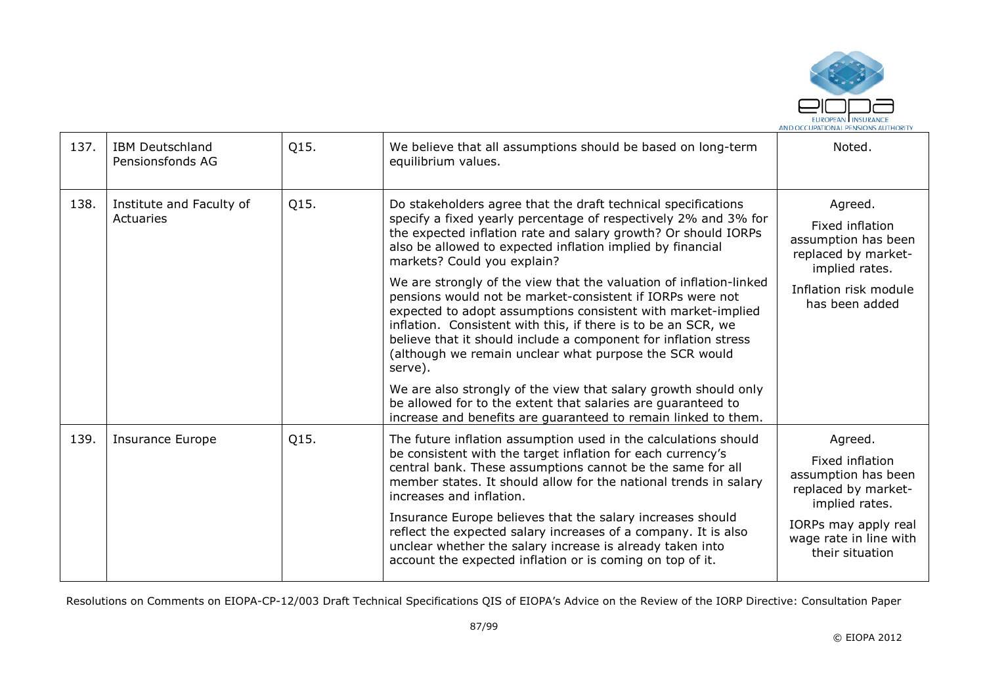

| 137. | <b>IBM Deutschland</b><br>Pensionsfonds AG | Q15. | We believe that all assumptions should be based on long-term<br>equilibrium values.                                                                                                                                                                                                                                                                                                                                                                                                                                                                                                                                                                                                                                                                                                                                                                                                                              | Noted.                                                                                                                                                          |
|------|--------------------------------------------|------|------------------------------------------------------------------------------------------------------------------------------------------------------------------------------------------------------------------------------------------------------------------------------------------------------------------------------------------------------------------------------------------------------------------------------------------------------------------------------------------------------------------------------------------------------------------------------------------------------------------------------------------------------------------------------------------------------------------------------------------------------------------------------------------------------------------------------------------------------------------------------------------------------------------|-----------------------------------------------------------------------------------------------------------------------------------------------------------------|
| 138. | Institute and Faculty of<br>Actuaries      | Q15. | Do stakeholders agree that the draft technical specifications<br>specify a fixed yearly percentage of respectively 2% and 3% for<br>the expected inflation rate and salary growth? Or should IORPs<br>also be allowed to expected inflation implied by financial<br>markets? Could you explain?<br>We are strongly of the view that the valuation of inflation-linked<br>pensions would not be market-consistent if IORPs were not<br>expected to adopt assumptions consistent with market-implied<br>inflation. Consistent with this, if there is to be an SCR, we<br>believe that it should include a component for inflation stress<br>(although we remain unclear what purpose the SCR would<br>serve).<br>We are also strongly of the view that salary growth should only<br>be allowed for to the extent that salaries are guaranteed to<br>increase and benefits are guaranteed to remain linked to them. | Agreed.<br>Fixed inflation<br>assumption has been<br>replaced by market-<br>implied rates.<br>Inflation risk module<br>has been added                           |
| 139. | Insurance Europe                           | Q15. | The future inflation assumption used in the calculations should<br>be consistent with the target inflation for each currency's<br>central bank. These assumptions cannot be the same for all<br>member states. It should allow for the national trends in salary<br>increases and inflation.<br>Insurance Europe believes that the salary increases should<br>reflect the expected salary increases of a company. It is also<br>unclear whether the salary increase is already taken into<br>account the expected inflation or is coming on top of it.                                                                                                                                                                                                                                                                                                                                                           | Agreed.<br>Fixed inflation<br>assumption has been<br>replaced by market-<br>implied rates.<br>IORPs may apply real<br>wage rate in line with<br>their situation |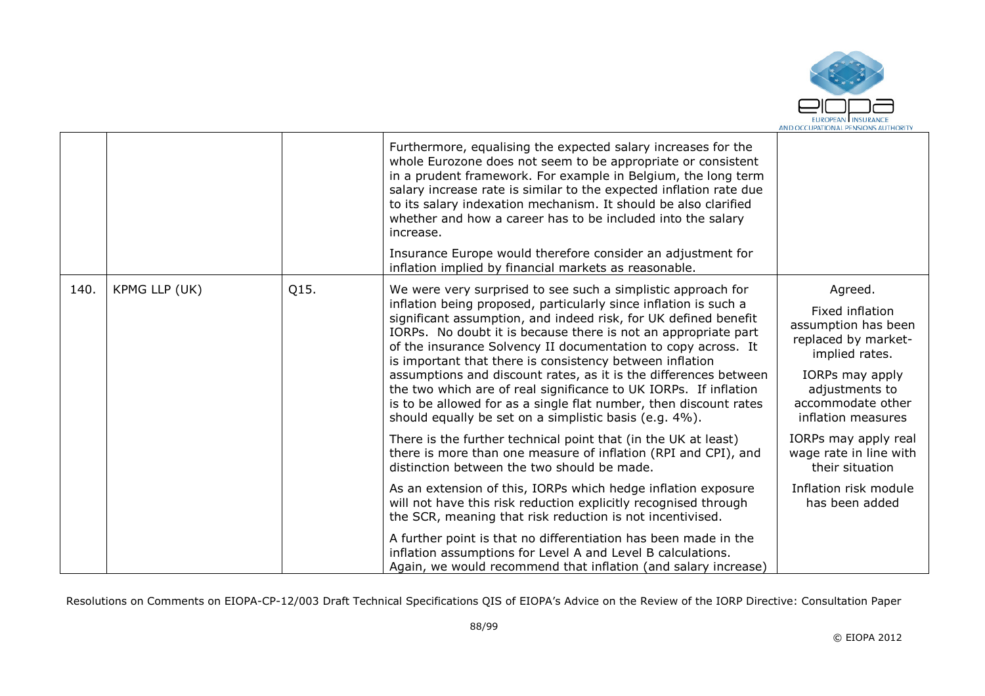

|      |               |      | Furthermore, equalising the expected salary increases for the<br>whole Eurozone does not seem to be appropriate or consistent<br>in a prudent framework. For example in Belgium, the long term<br>salary increase rate is similar to the expected inflation rate due<br>to its salary indexation mechanism. It should be also clarified<br>whether and how a career has to be included into the salary<br>increase.<br>Insurance Europe would therefore consider an adjustment for<br>inflation implied by financial markets as reasonable.                                                                                                                                                                                                 |                                                                                                                                                                                                    |
|------|---------------|------|---------------------------------------------------------------------------------------------------------------------------------------------------------------------------------------------------------------------------------------------------------------------------------------------------------------------------------------------------------------------------------------------------------------------------------------------------------------------------------------------------------------------------------------------------------------------------------------------------------------------------------------------------------------------------------------------------------------------------------------------|----------------------------------------------------------------------------------------------------------------------------------------------------------------------------------------------------|
| 140. | KPMG LLP (UK) | Q15. | We were very surprised to see such a simplistic approach for<br>inflation being proposed, particularly since inflation is such a<br>significant assumption, and indeed risk, for UK defined benefit<br>IORPs. No doubt it is because there is not an appropriate part<br>of the insurance Solvency II documentation to copy across. It<br>is important that there is consistency between inflation<br>assumptions and discount rates, as it is the differences between<br>the two which are of real significance to UK IORPs. If inflation<br>is to be allowed for as a single flat number, then discount rates<br>should equally be set on a simplistic basis (e.g. 4%).<br>There is the further technical point that (in the UK at least) | Agreed.<br>Fixed inflation<br>assumption has been<br>replaced by market-<br>implied rates.<br>IORPs may apply<br>adjustments to<br>accommodate other<br>inflation measures<br>IORPs may apply real |
|      |               |      | there is more than one measure of inflation (RPI and CPI), and<br>distinction between the two should be made.<br>As an extension of this, IORPs which hedge inflation exposure<br>will not have this risk reduction explicitly recognised through<br>the SCR, meaning that risk reduction is not incentivised.                                                                                                                                                                                                                                                                                                                                                                                                                              | wage rate in line with<br>their situation<br>Inflation risk module<br>has been added                                                                                                               |
|      |               |      | A further point is that no differentiation has been made in the<br>inflation assumptions for Level A and Level B calculations.<br>Again, we would recommend that inflation (and salary increase)                                                                                                                                                                                                                                                                                                                                                                                                                                                                                                                                            |                                                                                                                                                                                                    |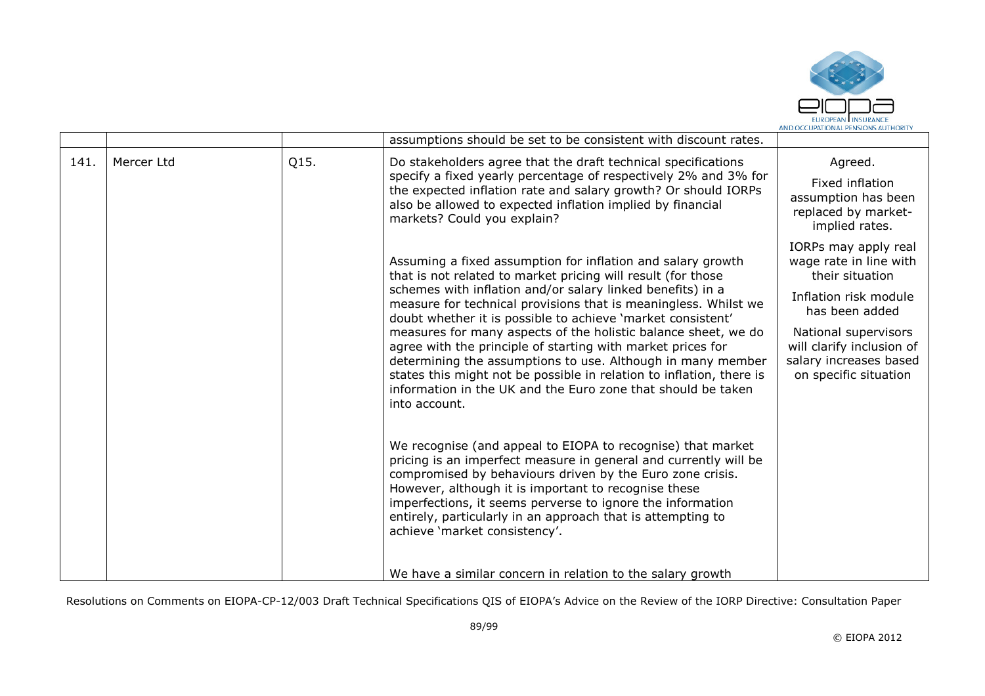

|      |            |      | assumptions should be set to be consistent with discount rates.                                                                                                                                                                                                                                                                                                                                                                                                                                                                                                                                                                                                                                                                                     |                                                                                                                                                                                                                      |
|------|------------|------|-----------------------------------------------------------------------------------------------------------------------------------------------------------------------------------------------------------------------------------------------------------------------------------------------------------------------------------------------------------------------------------------------------------------------------------------------------------------------------------------------------------------------------------------------------------------------------------------------------------------------------------------------------------------------------------------------------------------------------------------------------|----------------------------------------------------------------------------------------------------------------------------------------------------------------------------------------------------------------------|
| 141. | Mercer Ltd | Q15. | Do stakeholders agree that the draft technical specifications<br>specify a fixed yearly percentage of respectively 2% and 3% for<br>the expected inflation rate and salary growth? Or should IORPs<br>also be allowed to expected inflation implied by financial<br>markets? Could you explain?                                                                                                                                                                                                                                                                                                                                                                                                                                                     | Agreed.<br>Fixed inflation<br>assumption has been<br>replaced by market-<br>implied rates.                                                                                                                           |
|      |            |      | Assuming a fixed assumption for inflation and salary growth<br>that is not related to market pricing will result (for those<br>schemes with inflation and/or salary linked benefits) in a<br>measure for technical provisions that is meaningless. Whilst we<br>doubt whether it is possible to achieve 'market consistent'<br>measures for many aspects of the holistic balance sheet, we do<br>agree with the principle of starting with market prices for<br>determining the assumptions to use. Although in many member<br>states this might not be possible in relation to inflation, there is<br>information in the UK and the Euro zone that should be taken<br>into account.<br>We recognise (and appeal to EIOPA to recognise) that market | IORPs may apply real<br>wage rate in line with<br>their situation<br>Inflation risk module<br>has been added<br>National supervisors<br>will clarify inclusion of<br>salary increases based<br>on specific situation |
|      |            |      | pricing is an imperfect measure in general and currently will be<br>compromised by behaviours driven by the Euro zone crisis.<br>However, although it is important to recognise these<br>imperfections, it seems perverse to ignore the information<br>entirely, particularly in an approach that is attempting to<br>achieve 'market consistency'.<br>We have a similar concern in relation to the salary growth                                                                                                                                                                                                                                                                                                                                   |                                                                                                                                                                                                                      |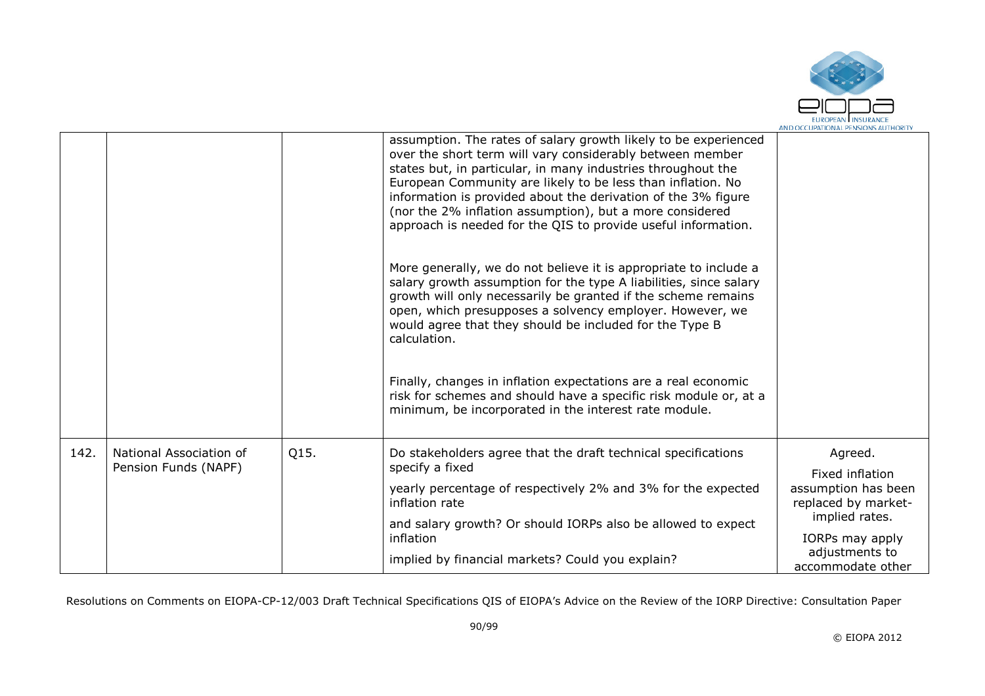

|      |                                                 |      | assumption. The rates of salary growth likely to be experienced<br>over the short term will vary considerably between member<br>states but, in particular, in many industries throughout the<br>European Community are likely to be less than inflation. No<br>information is provided about the derivation of the 3% figure<br>(nor the 2% inflation assumption), but a more considered<br>approach is needed for the QIS to provide useful information. |                                                               |
|------|-------------------------------------------------|------|-----------------------------------------------------------------------------------------------------------------------------------------------------------------------------------------------------------------------------------------------------------------------------------------------------------------------------------------------------------------------------------------------------------------------------------------------------------|---------------------------------------------------------------|
|      |                                                 |      | More generally, we do not believe it is appropriate to include a<br>salary growth assumption for the type A liabilities, since salary<br>growth will only necessarily be granted if the scheme remains<br>open, which presupposes a solvency employer. However, we<br>would agree that they should be included for the Type B<br>calculation.                                                                                                             |                                                               |
|      |                                                 |      | Finally, changes in inflation expectations are a real economic<br>risk for schemes and should have a specific risk module or, at a<br>minimum, be incorporated in the interest rate module.                                                                                                                                                                                                                                                               |                                                               |
| 142. | National Association of<br>Pension Funds (NAPF) | Q15. | Do stakeholders agree that the draft technical specifications<br>specify a fixed                                                                                                                                                                                                                                                                                                                                                                          | Agreed.                                                       |
|      |                                                 |      | yearly percentage of respectively 2% and 3% for the expected<br>inflation rate                                                                                                                                                                                                                                                                                                                                                                            | Fixed inflation<br>assumption has been<br>replaced by market- |
|      |                                                 |      | and salary growth? Or should IORPs also be allowed to expect<br>inflation                                                                                                                                                                                                                                                                                                                                                                                 | implied rates.<br>IORPs may apply                             |
|      |                                                 |      | implied by financial markets? Could you explain?                                                                                                                                                                                                                                                                                                                                                                                                          | adjustments to<br>accommodate other                           |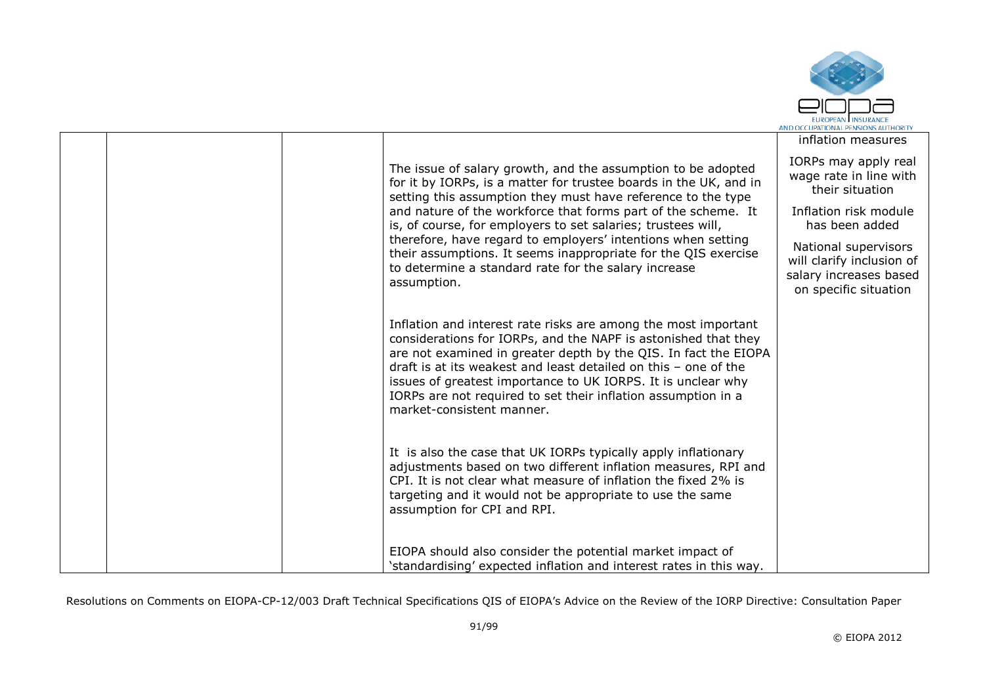

|  |                                                                                                                                                                                                                                                                                                                                                                                                                                      | inflation measures                                                                                   |
|--|--------------------------------------------------------------------------------------------------------------------------------------------------------------------------------------------------------------------------------------------------------------------------------------------------------------------------------------------------------------------------------------------------------------------------------------|------------------------------------------------------------------------------------------------------|
|  | The issue of salary growth, and the assumption to be adopted<br>for it by IORPs, is a matter for trustee boards in the UK, and in<br>setting this assumption they must have reference to the type                                                                                                                                                                                                                                    | IORPs may apply real<br>wage rate in line with<br>their situation                                    |
|  | and nature of the workforce that forms part of the scheme. It<br>is, of course, for employers to set salaries; trustees will,                                                                                                                                                                                                                                                                                                        | Inflation risk module<br>has been added                                                              |
|  | therefore, have regard to employers' intentions when setting<br>their assumptions. It seems inappropriate for the QIS exercise<br>to determine a standard rate for the salary increase<br>assumption.                                                                                                                                                                                                                                | National supervisors<br>will clarify inclusion of<br>salary increases based<br>on specific situation |
|  | Inflation and interest rate risks are among the most important<br>considerations for IORPs, and the NAPF is astonished that they<br>are not examined in greater depth by the QIS. In fact the EIOPA<br>draft is at its weakest and least detailed on this - one of the<br>issues of greatest importance to UK IORPS. It is unclear why<br>IORPs are not required to set their inflation assumption in a<br>market-consistent manner. |                                                                                                      |
|  | It is also the case that UK IORPs typically apply inflationary<br>adjustments based on two different inflation measures, RPI and<br>CPI. It is not clear what measure of inflation the fixed 2% is<br>targeting and it would not be appropriate to use the same<br>assumption for CPI and RPI.                                                                                                                                       |                                                                                                      |
|  | EIOPA should also consider the potential market impact of<br>'standardising' expected inflation and interest rates in this way.                                                                                                                                                                                                                                                                                                      |                                                                                                      |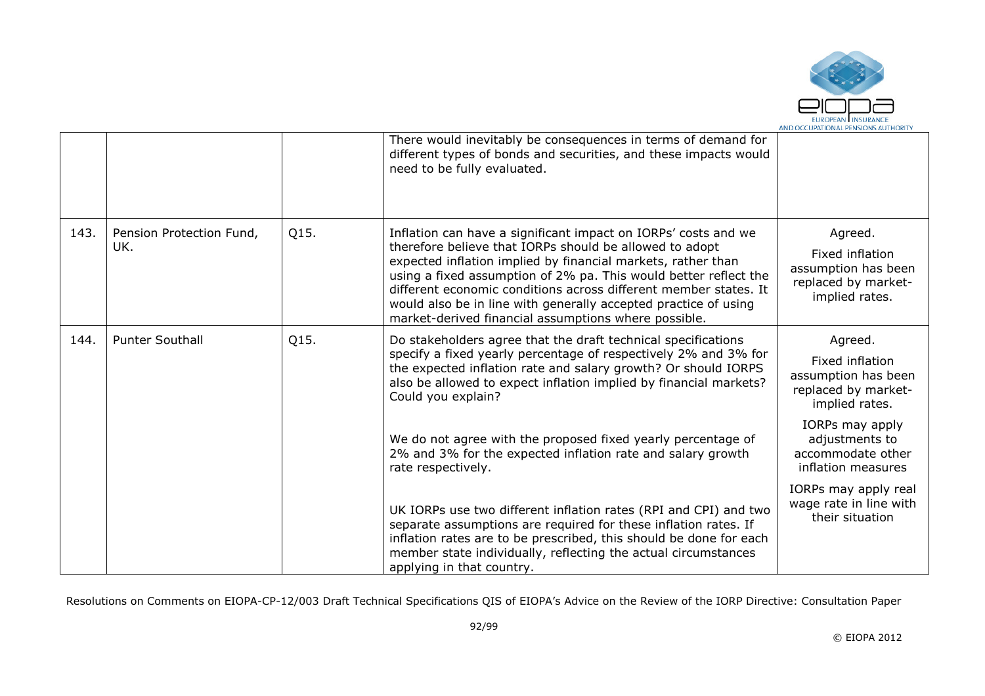

|      |                                 |      | There would inevitably be consequences in terms of demand for<br>different types of bonds and securities, and these impacts would<br>need to be fully evaluated.                                                                                                                                                                                                                                                                                             |                                                                                            |
|------|---------------------------------|------|--------------------------------------------------------------------------------------------------------------------------------------------------------------------------------------------------------------------------------------------------------------------------------------------------------------------------------------------------------------------------------------------------------------------------------------------------------------|--------------------------------------------------------------------------------------------|
| 143. | Pension Protection Fund,<br>UK. | Q15. | Inflation can have a significant impact on IORPs' costs and we<br>therefore believe that IORPs should be allowed to adopt<br>expected inflation implied by financial markets, rather than<br>using a fixed assumption of 2% pa. This would better reflect the<br>different economic conditions across different member states. It<br>would also be in line with generally accepted practice of using<br>market-derived financial assumptions where possible. | Agreed.<br>Fixed inflation<br>assumption has been<br>replaced by market-<br>implied rates. |
| 144. | <b>Punter Southall</b>          | Q15. | Do stakeholders agree that the draft technical specifications<br>specify a fixed yearly percentage of respectively 2% and 3% for<br>the expected inflation rate and salary growth? Or should IORPS<br>also be allowed to expect inflation implied by financial markets?<br>Could you explain?                                                                                                                                                                | Agreed.<br>Fixed inflation<br>assumption has been<br>replaced by market-<br>implied rates. |
|      |                                 |      | We do not agree with the proposed fixed yearly percentage of<br>2% and 3% for the expected inflation rate and salary growth<br>rate respectively.                                                                                                                                                                                                                                                                                                            | IORPs may apply<br>adjustments to<br>accommodate other<br>inflation measures               |
|      |                                 |      | UK IORPs use two different inflation rates (RPI and CPI) and two<br>separate assumptions are required for these inflation rates. If<br>inflation rates are to be prescribed, this should be done for each<br>member state individually, reflecting the actual circumstances<br>applying in that country.                                                                                                                                                     | IORPs may apply real<br>wage rate in line with<br>their situation                          |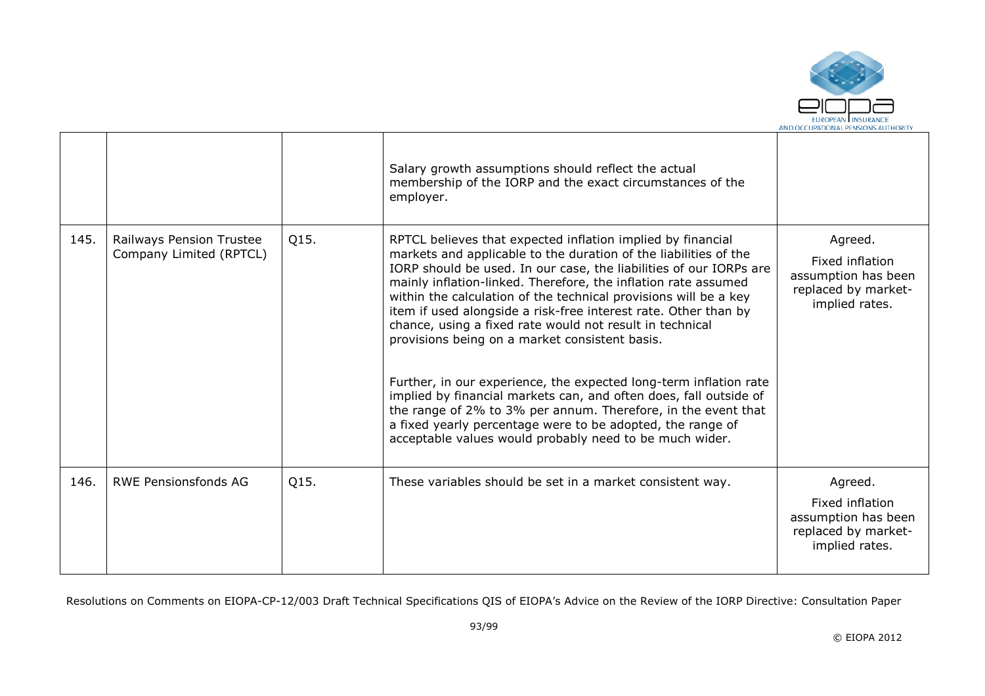

|      |                                                     |      | Salary growth assumptions should reflect the actual<br>membership of the IORP and the exact circumstances of the<br>employer.                                                                                                                                                                                                                                                                                                                                                                                                                                                                                                                                                                                                                                                                                                                                    |                                                                                            |
|------|-----------------------------------------------------|------|------------------------------------------------------------------------------------------------------------------------------------------------------------------------------------------------------------------------------------------------------------------------------------------------------------------------------------------------------------------------------------------------------------------------------------------------------------------------------------------------------------------------------------------------------------------------------------------------------------------------------------------------------------------------------------------------------------------------------------------------------------------------------------------------------------------------------------------------------------------|--------------------------------------------------------------------------------------------|
| 145. | Railways Pension Trustee<br>Company Limited (RPTCL) | Q15. | RPTCL believes that expected inflation implied by financial<br>markets and applicable to the duration of the liabilities of the<br>IORP should be used. In our case, the liabilities of our IORPs are<br>mainly inflation-linked. Therefore, the inflation rate assumed<br>within the calculation of the technical provisions will be a key<br>item if used alongside a risk-free interest rate. Other than by<br>chance, using a fixed rate would not result in technical<br>provisions being on a market consistent basis.<br>Further, in our experience, the expected long-term inflation rate<br>implied by financial markets can, and often does, fall outside of<br>the range of 2% to 3% per annum. Therefore, in the event that<br>a fixed yearly percentage were to be adopted, the range of<br>acceptable values would probably need to be much wider. | Agreed.<br>Fixed inflation<br>assumption has been<br>replaced by market-<br>implied rates. |
| 146. | <b>RWE Pensionsfonds AG</b>                         | Q15. | These variables should be set in a market consistent way.                                                                                                                                                                                                                                                                                                                                                                                                                                                                                                                                                                                                                                                                                                                                                                                                        | Agreed.<br>Fixed inflation<br>assumption has been<br>replaced by market-<br>implied rates. |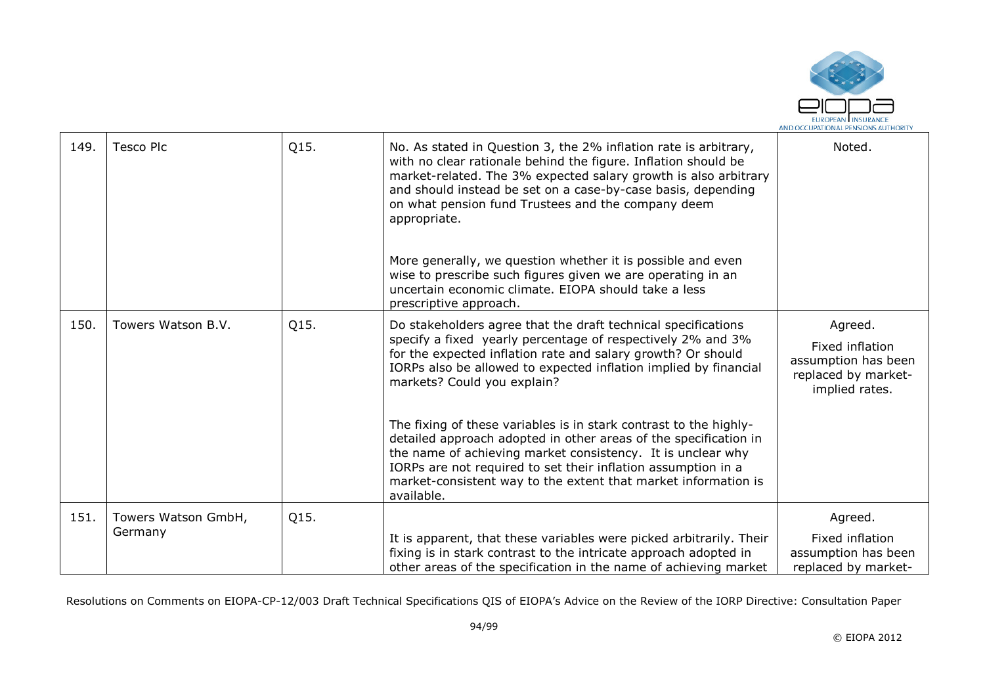

| 149. | <b>Tesco Plc</b>    | Q15. | No. As stated in Question 3, the 2% inflation rate is arbitrary,<br>with no clear rationale behind the figure. Inflation should be<br>market-related. The 3% expected salary growth is also arbitrary<br>and should instead be set on a case-by-case basis, depending<br>on what pension fund Trustees and the company deem<br>appropriate.<br>More generally, we question whether it is possible and even<br>wise to prescribe such figures given we are operating in an<br>uncertain economic climate. EIOPA should take a less<br>prescriptive approach.              | Noted.                                                                                     |
|------|---------------------|------|--------------------------------------------------------------------------------------------------------------------------------------------------------------------------------------------------------------------------------------------------------------------------------------------------------------------------------------------------------------------------------------------------------------------------------------------------------------------------------------------------------------------------------------------------------------------------|--------------------------------------------------------------------------------------------|
| 150. | Towers Watson B.V.  | Q15. | Do stakeholders agree that the draft technical specifications<br>specify a fixed yearly percentage of respectively 2% and 3%<br>for the expected inflation rate and salary growth? Or should<br>IORPs also be allowed to expected inflation implied by financial<br>markets? Could you explain?<br>The fixing of these variables is in stark contrast to the highly-<br>detailed approach adopted in other areas of the specification in<br>the name of achieving market consistency. It is unclear why<br>IORPs are not required to set their inflation assumption in a | Agreed.<br>Fixed inflation<br>assumption has been<br>replaced by market-<br>implied rates. |
|      |                     |      | market-consistent way to the extent that market information is<br>available.                                                                                                                                                                                                                                                                                                                                                                                                                                                                                             |                                                                                            |
| 151. | Towers Watson GmbH, | Q15. |                                                                                                                                                                                                                                                                                                                                                                                                                                                                                                                                                                          | Agreed.                                                                                    |
|      | Germany             |      | It is apparent, that these variables were picked arbitrarily. Their<br>fixing is in stark contrast to the intricate approach adopted in<br>other areas of the specification in the name of achieving market                                                                                                                                                                                                                                                                                                                                                              | Fixed inflation<br>assumption has been<br>replaced by market-                              |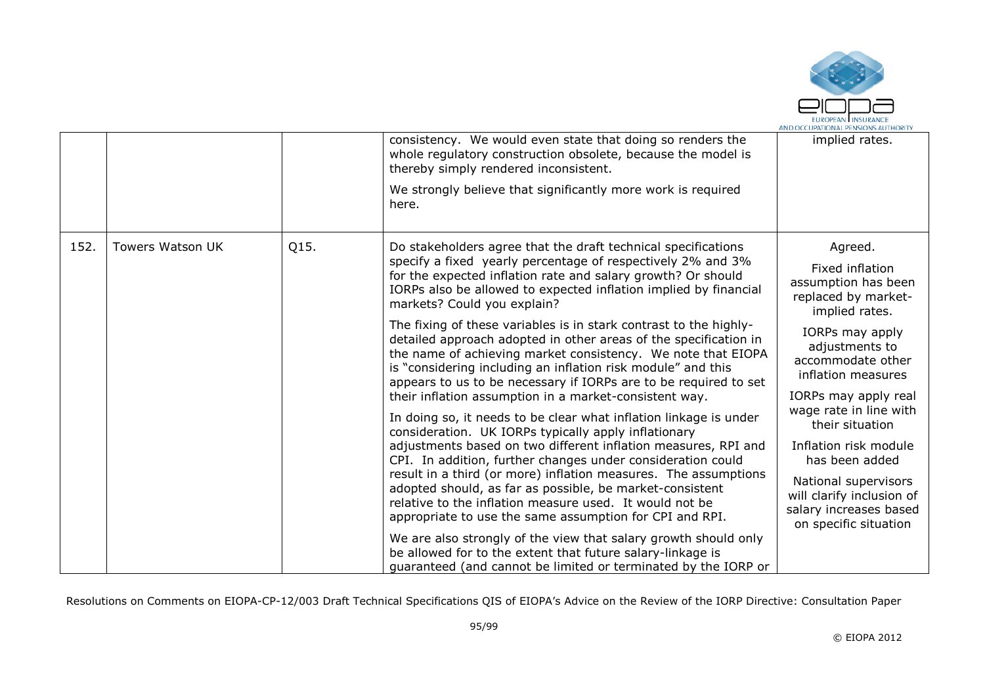

|      |                         |      | consistency. We would even state that doing so renders the<br>whole regulatory construction obsolete, because the model is<br>thereby simply rendered inconsistent.<br>We strongly believe that significantly more work is required<br>here.                                                                                                                                                                                                                                                                    | implied rates.                                                                                                                                                                               |
|------|-------------------------|------|-----------------------------------------------------------------------------------------------------------------------------------------------------------------------------------------------------------------------------------------------------------------------------------------------------------------------------------------------------------------------------------------------------------------------------------------------------------------------------------------------------------------|----------------------------------------------------------------------------------------------------------------------------------------------------------------------------------------------|
| 152. | <b>Towers Watson UK</b> | Q15. | Do stakeholders agree that the draft technical specifications<br>specify a fixed yearly percentage of respectively 2% and 3%<br>for the expected inflation rate and salary growth? Or should<br>IORPs also be allowed to expected inflation implied by financial<br>markets? Could you explain?                                                                                                                                                                                                                 | Agreed.<br>Fixed inflation<br>assumption has been<br>replaced by market-<br>implied rates.                                                                                                   |
|      |                         |      | The fixing of these variables is in stark contrast to the highly-<br>detailed approach adopted in other areas of the specification in<br>the name of achieving market consistency. We note that EIOPA<br>is "considering including an inflation risk module" and this<br>appears to us to be necessary if IORPs are to be required to set<br>their inflation assumption in a market-consistent way.                                                                                                             | IORPs may apply<br>adjustments to<br>accommodate other<br>inflation measures<br>IORPs may apply real                                                                                         |
|      |                         |      | In doing so, it needs to be clear what inflation linkage is under<br>consideration. UK IORPs typically apply inflationary<br>adjustments based on two different inflation measures, RPI and<br>CPI. In addition, further changes under consideration could<br>result in a third (or more) inflation measures. The assumptions<br>adopted should, as far as possible, be market-consistent<br>relative to the inflation measure used. It would not be<br>appropriate to use the same assumption for CPI and RPI. | wage rate in line with<br>their situation<br>Inflation risk module<br>has been added<br>National supervisors<br>will clarify inclusion of<br>salary increases based<br>on specific situation |
|      |                         |      | We are also strongly of the view that salary growth should only<br>be allowed for to the extent that future salary-linkage is<br>guaranteed (and cannot be limited or terminated by the IORP or                                                                                                                                                                                                                                                                                                                 |                                                                                                                                                                                              |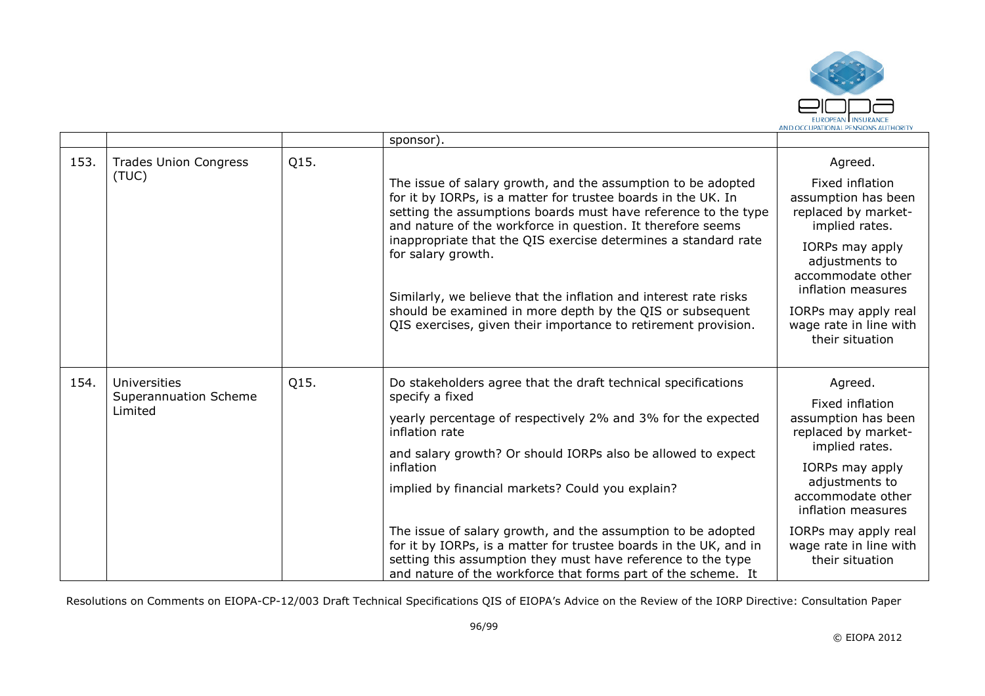

|      |                                       |      | sponsor).                                                                                                                                                                                                                                                          |                                                                                 |
|------|---------------------------------------|------|--------------------------------------------------------------------------------------------------------------------------------------------------------------------------------------------------------------------------------------------------------------------|---------------------------------------------------------------------------------|
| 153. | <b>Trades Union Congress</b>          | Q15. |                                                                                                                                                                                                                                                                    | Agreed.                                                                         |
|      | (TUC)                                 |      | The issue of salary growth, and the assumption to be adopted<br>for it by IORPs, is a matter for trustee boards in the UK. In<br>setting the assumptions boards must have reference to the type<br>and nature of the workforce in question. It therefore seems     | Fixed inflation<br>assumption has been<br>replaced by market-<br>implied rates. |
|      |                                       |      | inappropriate that the QIS exercise determines a standard rate<br>for salary growth.                                                                                                                                                                               | IORPs may apply<br>adjustments to<br>accommodate other<br>inflation measures    |
|      |                                       |      | Similarly, we believe that the inflation and interest rate risks<br>should be examined in more depth by the QIS or subsequent<br>QIS exercises, given their importance to retirement provision.                                                                    | IORPs may apply real<br>wage rate in line with<br>their situation               |
| 154. | Universities<br>Superannuation Scheme | Q15. | Do stakeholders agree that the draft technical specifications<br>specify a fixed                                                                                                                                                                                   | Agreed.                                                                         |
|      | Limited                               |      | yearly percentage of respectively 2% and 3% for the expected<br>inflation rate<br>and salary growth? Or should IORPs also be allowed to expect                                                                                                                     | Fixed inflation<br>assumption has been<br>replaced by market-<br>implied rates. |
|      |                                       |      | inflation                                                                                                                                                                                                                                                          | IORPs may apply<br>adjustments to                                               |
|      |                                       |      | implied by financial markets? Could you explain?                                                                                                                                                                                                                   | accommodate other<br>inflation measures                                         |
|      |                                       |      | The issue of salary growth, and the assumption to be adopted<br>for it by IORPs, is a matter for trustee boards in the UK, and in<br>setting this assumption they must have reference to the type<br>and nature of the workforce that forms part of the scheme. It | IORPs may apply real<br>wage rate in line with<br>their situation               |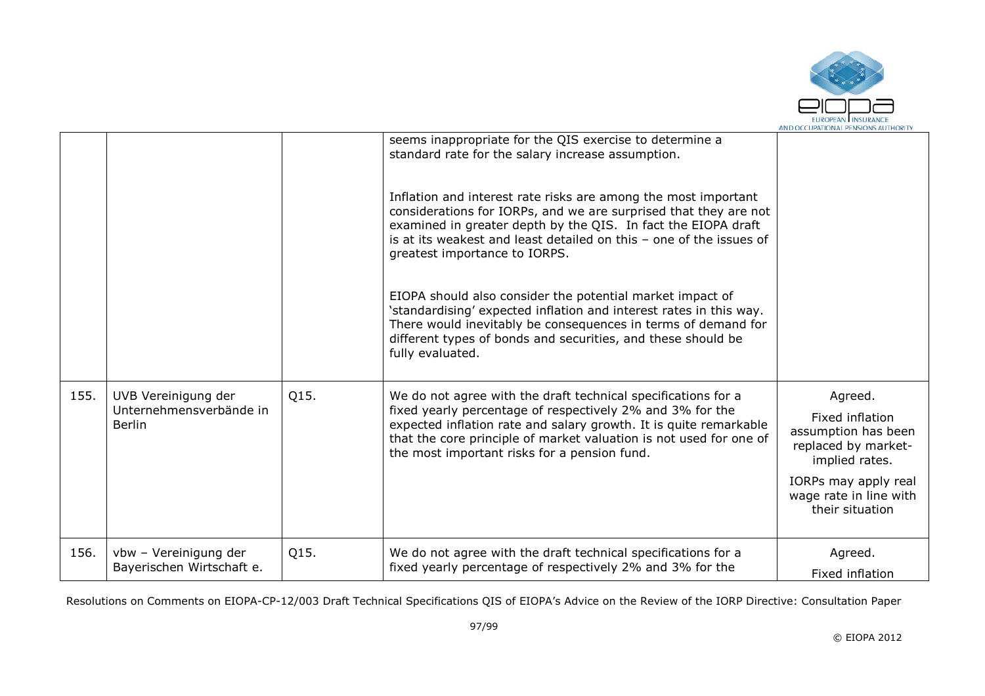

|      |                                                                 |      | seems inappropriate for the QIS exercise to determine a<br>standard rate for the salary increase assumption.                                                                                                                                                                                                          |                                                                                                                                                                 |
|------|-----------------------------------------------------------------|------|-----------------------------------------------------------------------------------------------------------------------------------------------------------------------------------------------------------------------------------------------------------------------------------------------------------------------|-----------------------------------------------------------------------------------------------------------------------------------------------------------------|
|      |                                                                 |      | Inflation and interest rate risks are among the most important<br>considerations for IORPs, and we are surprised that they are not<br>examined in greater depth by the QIS. In fact the EIOPA draft<br>is at its weakest and least detailed on this - one of the issues of<br>greatest importance to IORPS.           |                                                                                                                                                                 |
|      |                                                                 |      | EIOPA should also consider the potential market impact of<br>'standardising' expected inflation and interest rates in this way.<br>There would inevitably be consequences in terms of demand for<br>different types of bonds and securities, and these should be<br>fully evaluated.                                  |                                                                                                                                                                 |
| 155. | UVB Vereinigung der<br>Unternehmensverbände in<br><b>Berlin</b> | Q15. | We do not agree with the draft technical specifications for a<br>fixed yearly percentage of respectively 2% and 3% for the<br>expected inflation rate and salary growth. It is quite remarkable<br>that the core principle of market valuation is not used for one of<br>the most important risks for a pension fund. | Agreed.<br>Fixed inflation<br>assumption has been<br>replaced by market-<br>implied rates.<br>IORPs may apply real<br>wage rate in line with<br>their situation |
|      |                                                                 |      |                                                                                                                                                                                                                                                                                                                       |                                                                                                                                                                 |
| 156. | vbw - Vereinigung der<br>Bayerischen Wirtschaft e.              | Q15. | We do not agree with the draft technical specifications for a<br>fixed yearly percentage of respectively 2% and 3% for the                                                                                                                                                                                            | Agreed.                                                                                                                                                         |
|      |                                                                 |      |                                                                                                                                                                                                                                                                                                                       | Fixed inflation                                                                                                                                                 |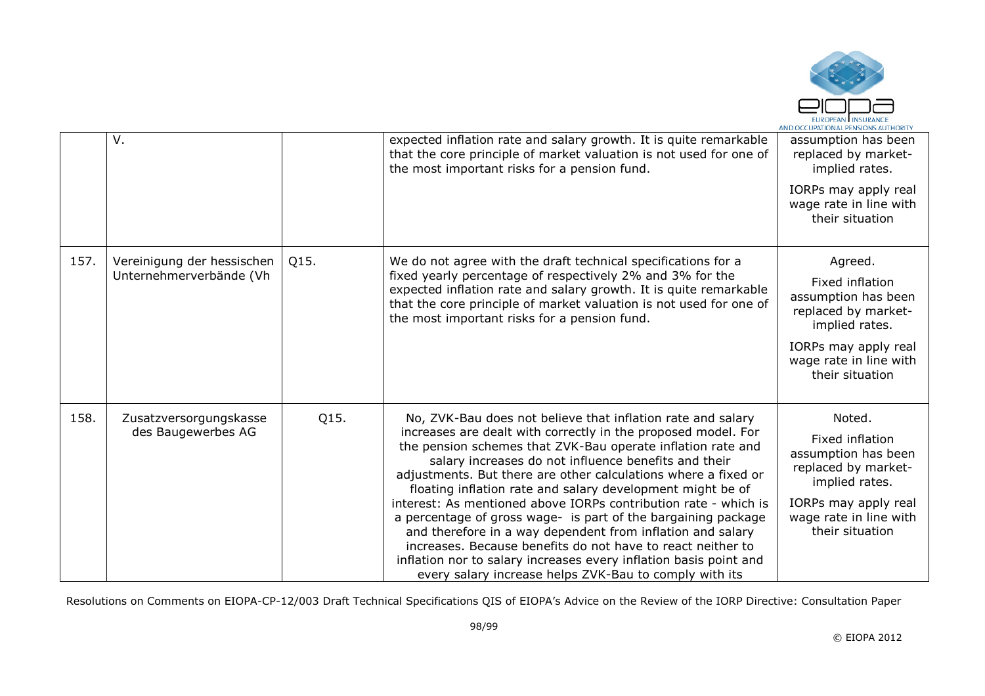

|      | $V_{\cdot}$                                           |      | expected inflation rate and salary growth. It is quite remarkable<br>that the core principle of market valuation is not used for one of<br>the most important risks for a pension fund.                                                                                                                                                                                                                                                                                                                                                                                                                                                                                                                                                                                             | assumption has been<br>replaced by market-<br>implied rates.<br>IORPs may apply real<br>wage rate in line with<br>their situation                               |
|------|-------------------------------------------------------|------|-------------------------------------------------------------------------------------------------------------------------------------------------------------------------------------------------------------------------------------------------------------------------------------------------------------------------------------------------------------------------------------------------------------------------------------------------------------------------------------------------------------------------------------------------------------------------------------------------------------------------------------------------------------------------------------------------------------------------------------------------------------------------------------|-----------------------------------------------------------------------------------------------------------------------------------------------------------------|
| 157. | Vereinigung der hessischen<br>Unternehmerverbände (Vh | Q15. | We do not agree with the draft technical specifications for a<br>fixed yearly percentage of respectively 2% and 3% for the<br>expected inflation rate and salary growth. It is quite remarkable<br>that the core principle of market valuation is not used for one of<br>the most important risks for a pension fund.                                                                                                                                                                                                                                                                                                                                                                                                                                                               | Agreed.<br>Fixed inflation<br>assumption has been<br>replaced by market-<br>implied rates.<br>IORPs may apply real<br>wage rate in line with<br>their situation |
| 158. | Zusatzversorgungskasse<br>des Baugewerbes AG          | Q15. | No, ZVK-Bau does not believe that inflation rate and salary<br>increases are dealt with correctly in the proposed model. For<br>the pension schemes that ZVK-Bau operate inflation rate and<br>salary increases do not influence benefits and their<br>adjustments. But there are other calculations where a fixed or<br>floating inflation rate and salary development might be of<br>interest: As mentioned above IORPs contribution rate - which is<br>a percentage of gross wage- is part of the bargaining package<br>and therefore in a way dependent from inflation and salary<br>increases. Because benefits do not have to react neither to<br>inflation nor to salary increases every inflation basis point and<br>every salary increase helps ZVK-Bau to comply with its | Noted.<br>Fixed inflation<br>assumption has been<br>replaced by market-<br>implied rates.<br>IORPs may apply real<br>wage rate in line with<br>their situation  |